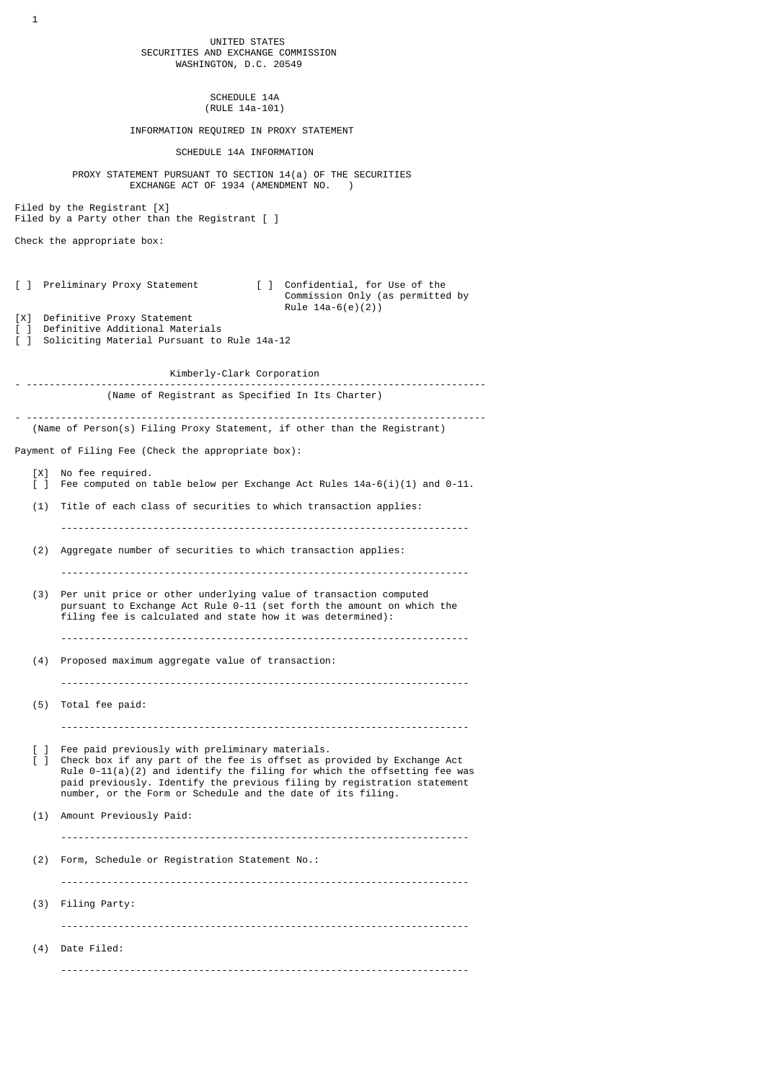UNITED STATES SECURITIES AND EXCHANGE COMMISSION WASHINGTON, D.C. 20549

> SCHEDULE 14A (RULE 14a-101)

INFORMATION REQUIRED IN PROXY STATEMENT

SCHEDULE 14A INFORMATION

 PROXY STATEMENT PURSUANT TO SECTION 14(a) OF THE SECURITIES EXCHANGE ACT OF 1934 (AMENDMENT NO. ) Filed by the Registrant [X]

Filed by a Party other than the Registrant [ ]

Check the appropriate box:

[ ] Preliminary Proxy Statement [ ] Confidential, for Use of the Commission Only (as permitted by Rule  $14a-6(e)(2)$ 

[X] Definitive Proxy Statement

[ ] Definitive Additional Materials [ ] Soliciting Material Pursuant to Rule 14a-12

Kimberly-Clark Corporation

- -------------------------------------------------------------------------------- (Name of Registrant as Specified In Its Charter) - --------------------------------------------------------------------------------

(Name of Person(s) Filing Proxy Statement, if other than the Registrant)

Payment of Filing Fee (Check the appropriate box):

- [X] No fee required. [ ] Fee computed on table below per Exchange Act Rules 14a-6(i)(1) and 0-11. (1) Title of each class of securities to which transaction applies:
- -----------------------------------------------------------------------
- (2) Aggregate number of securities to which transaction applies:
- (3) Per unit price or other underlying value of transaction computed pursuant to Exchange Act Rule 0-11 (set forth the amount on which the filing fee is calculated and state how it was determined):

-----------------------------------------------------------------------

- -----------------------------------------------------------------------
- (4) Proposed maximum aggregate value of transaction:
	- -----------------------------------------------------------------------
- (5) Total fee paid:

-----------------------------------------------------------------------

[ ] Fee paid previously with preliminary materials.<br>[ ] Check box if any part of the fee is offset as p Check box if any part of the fee is offset as provided by Exchange Act Rule  $0-11(a)(2)$  and identify the filing for which the offsetting fee was paid previously. Identify the previous filing by registration statement number, or the Form or Schedule and the date of its filing.

 (1) Amount Previously Paid: -----------------------------------------------------------------------

(2) Form, Schedule or Registration Statement No.:

 ----------------------------------------------------------------------- (3) Filing Party: -----------------------------------------------------------------------

 (4) Date Filed: -----------------------------------------------------------------------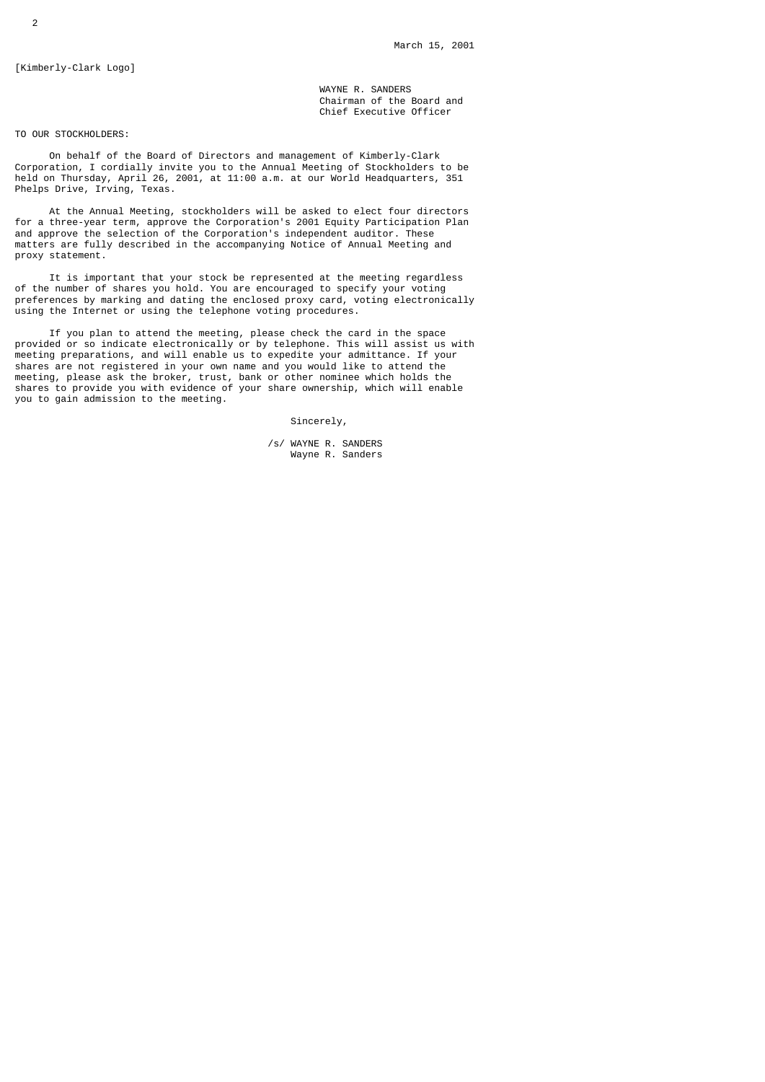[Kimberly-Clark Logo]

 WAYNE R. SANDERS Chairman of the Board and Chief Executive Officer

TO OUR STOCKHOLDERS:

 On behalf of the Board of Directors and management of Kimberly-Clark Corporation, I cordially invite you to the Annual Meeting of Stockholders to be held on Thursday, April 26, 2001, at 11:00 a.m. at our World Headquarters, 351 Phelps Drive, Irving, Texas.

 At the Annual Meeting, stockholders will be asked to elect four directors for a three-year term, approve the Corporation's 2001 Equity Participation Plan and approve the selection of the Corporation's independent auditor. These matters are fully described in the accompanying Notice of Annual Meeting and proxy statement.

 It is important that your stock be represented at the meeting regardless of the number of shares you hold. You are encouraged to specify your voting preferences by marking and dating the enclosed proxy card, voting electronically using the Internet or using the telephone voting procedures.

 If you plan to attend the meeting, please check the card in the space provided or so indicate electronically or by telephone. This will assist us with meeting preparations, and will enable us to expedite your admittance. If your shares are not registered in your own name and you would like to attend the meeting, please ask the broker, trust, bank or other nominee which holds the shares to provide you with evidence of your share ownership, which will enable you to gain admission to the meeting.

Sincerely,

 /s/ WAYNE R. SANDERS Wayne R. Sanders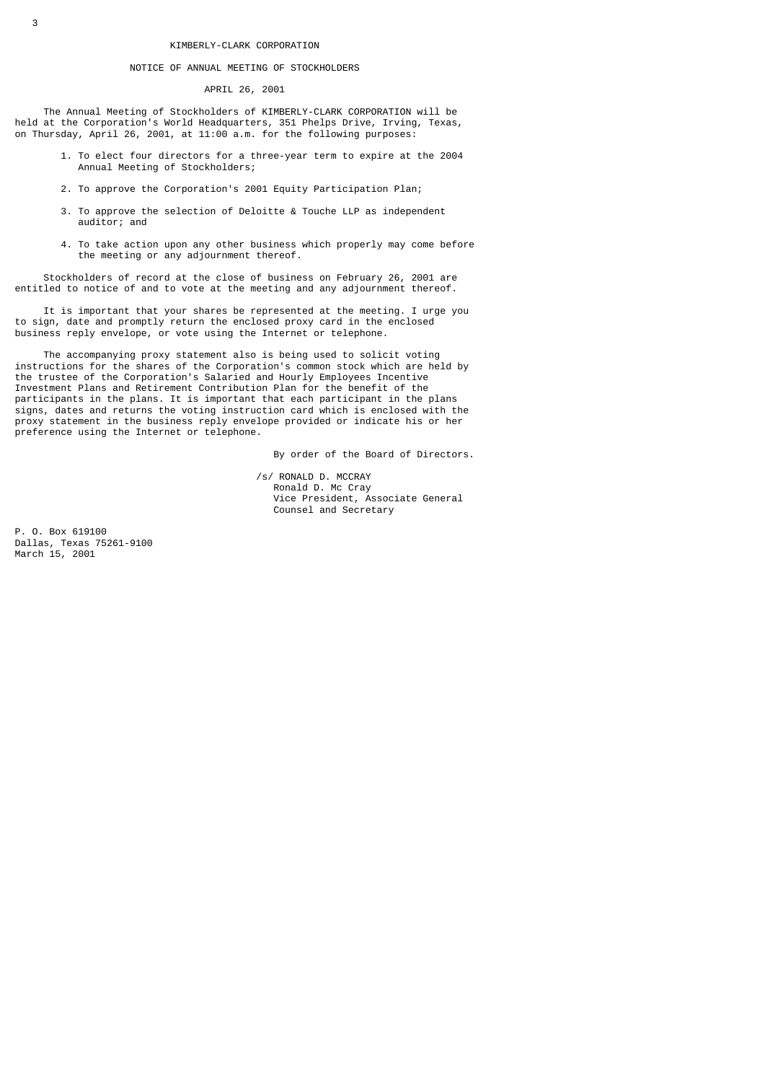#### KIMBERLY-CLARK CORPORATION

### NOTICE OF ANNUAL MEETING OF STOCKHOLDERS

APRIL 26, 2001

 The Annual Meeting of Stockholders of KIMBERLY-CLARK CORPORATION will be held at the Corporation's World Headquarters, 351 Phelps Drive, Irving, Texas, on Thursday, April 26, 2001, at 11:00 a.m. for the following purposes:

- 1. To elect four directors for a three-year term to expire at the 2004 Annual Meeting of Stockholders;
- 2. To approve the Corporation's 2001 Equity Participation Plan;
- 3. To approve the selection of Deloitte & Touche LLP as independent auditor; and
- 4. To take action upon any other business which properly may come before the meeting or any adjournment thereof.

 Stockholders of record at the close of business on February 26, 2001 are entitled to notice of and to vote at the meeting and any adjournment thereof.

 It is important that your shares be represented at the meeting. I urge you to sign, date and promptly return the enclosed proxy card in the enclosed business reply envelope, or vote using the Internet or telephone.

 The accompanying proxy statement also is being used to solicit voting instructions for the shares of the Corporation's common stock which are held by the trustee of the Corporation's Salaried and Hourly Employees Incentive Investment Plans and Retirement Contribution Plan for the benefit of the participants in the plans. It is important that each participant in the plans signs, dates and returns the voting instruction card which is enclosed with the proxy statement in the business reply envelope provided or indicate his or her preference using the Internet or telephone.

By order of the Board of Directors.

 /s/ RONALD D. MCCRAY Ronald D. Mc Cray Vice President, Associate General Counsel and Secretary

P. O. Box 619100 Dallas, Texas 75261-9100 March 15, 2001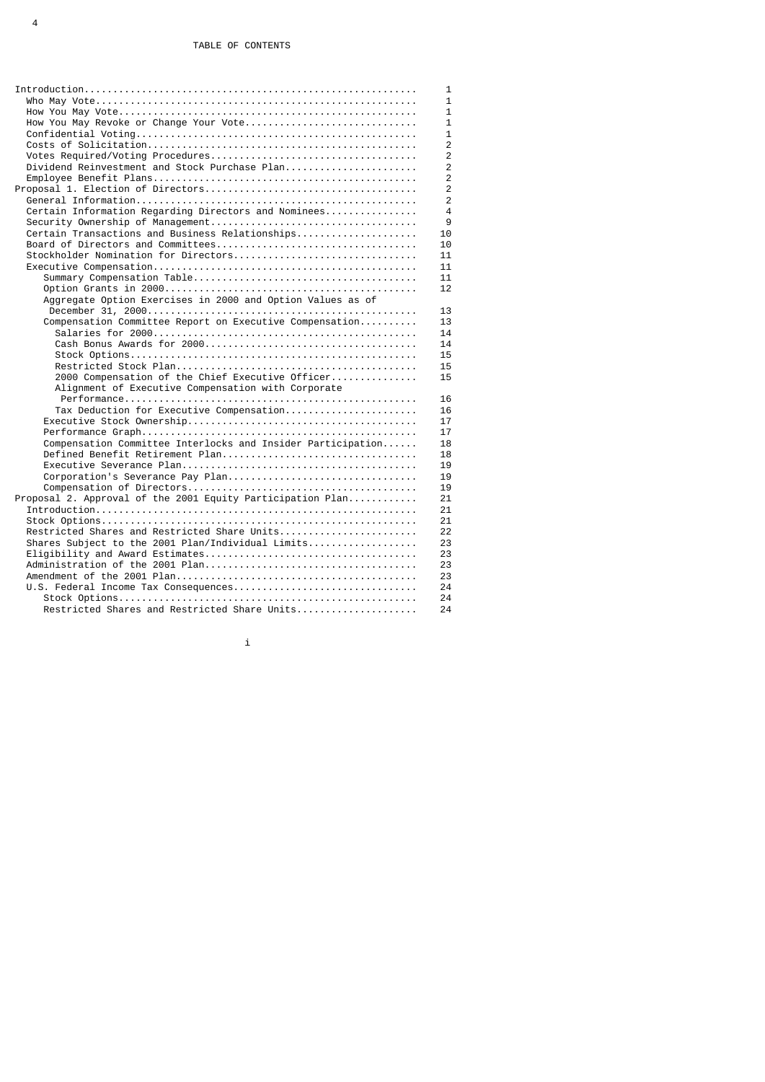|                                                             | 1              |
|-------------------------------------------------------------|----------------|
|                                                             | $\mathbf{1}$   |
|                                                             | $\mathbf{1}$   |
| How You May Revoke or Change Your Vote                      | $\mathbf{1}$   |
|                                                             | 1              |
|                                                             | $\overline{2}$ |
|                                                             | $\overline{2}$ |
| Dividend Reinvestment and Stock Purchase Plan               | $\overline{2}$ |
|                                                             | $\overline{2}$ |
|                                                             | $\overline{2}$ |
|                                                             | $\overline{2}$ |
| Certain Information Regarding Directors and Nominees        | 4              |
|                                                             | 9              |
| Certain Transactions and Business Relationships             | 10             |
|                                                             | 10             |
| Stockholder Nomination for Directors                        | 11             |
|                                                             | 11             |
|                                                             | 11             |
|                                                             | 12             |
| Aggregate Option Exercises in 2000 and Option Values as of  |                |
|                                                             | 13             |
| Compensation Committee Report on Executive Compensation     | 13             |
|                                                             | 14             |
|                                                             | 14             |
|                                                             | 15             |
|                                                             | 15             |
| 2000 Compensation of the Chief Executive Officer            | 15             |
| Alignment of Executive Compensation with Corporate          |                |
|                                                             | 16             |
| Tax Deduction for Executive Compensation                    | 16             |
|                                                             | 17             |
|                                                             | 17             |
| Compensation Committee Interlocks and Insider Participation | 18             |
| Defined Benefit Retirement Plan                             | 18             |
|                                                             | 19             |
|                                                             | 19             |
|                                                             | 19             |
| Proposal 2. Approval of the 2001 Equity Participation Plan  | 21             |
|                                                             | 21             |
|                                                             | 21             |
| Restricted Shares and Restricted Share Units                | 22             |
| Shares Subject to the 2001 Plan/Individual Limits           | 23             |
|                                                             | 23             |
|                                                             | 23             |
|                                                             | 23             |
|                                                             | 24<br>24       |
|                                                             |                |
| Restricted Shares and Restricted Share Units                | 24             |

in the  $\mathbf{i}$  -dimension of  $\mathbf{i}$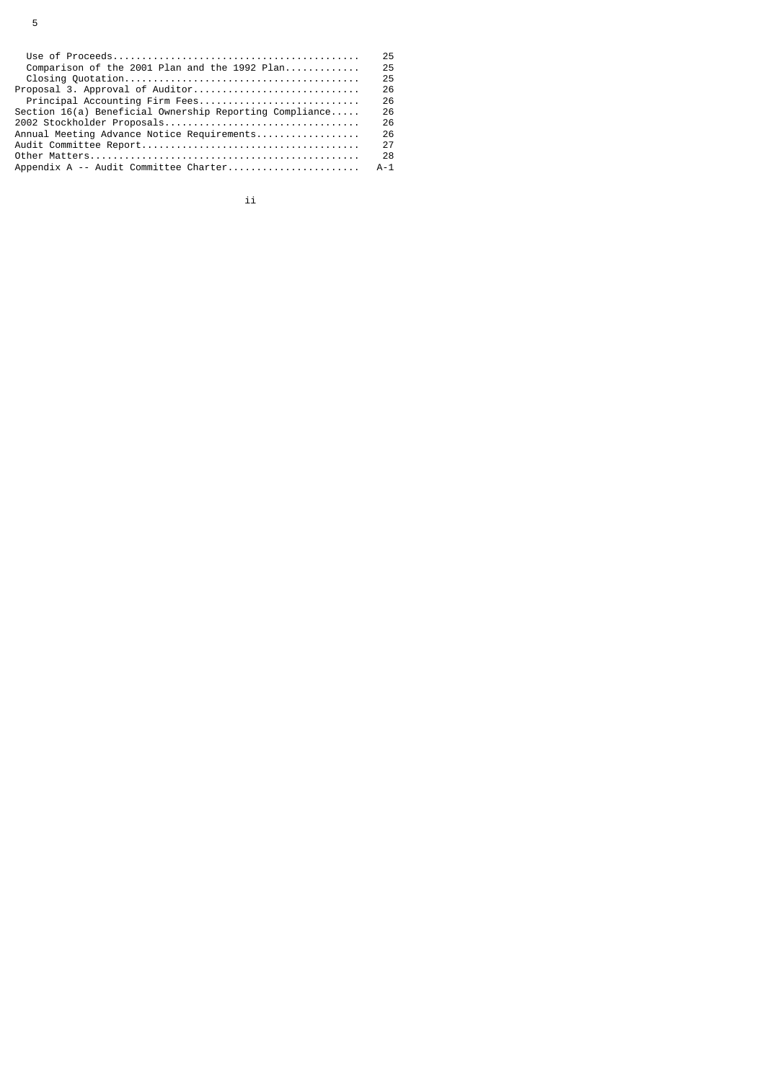|                                                         | 25    |
|---------------------------------------------------------|-------|
| Comparison of the 2001 Plan and the 1992 Plan           | 25    |
|                                                         | 25    |
| $Proposal$ 3. Approval of Auditor                       | 26    |
| Principal Accounting Firm Fees                          | 26    |
| Section 16(a) Beneficial Ownership Reporting Compliance | 26    |
|                                                         | 26    |
| Annual Meeting Advance Notice Requirements              | 26    |
|                                                         | 27    |
|                                                         | 28    |
| Appendix A -- Audit Committee Charter                   | $A-1$ |
|                                                         |       |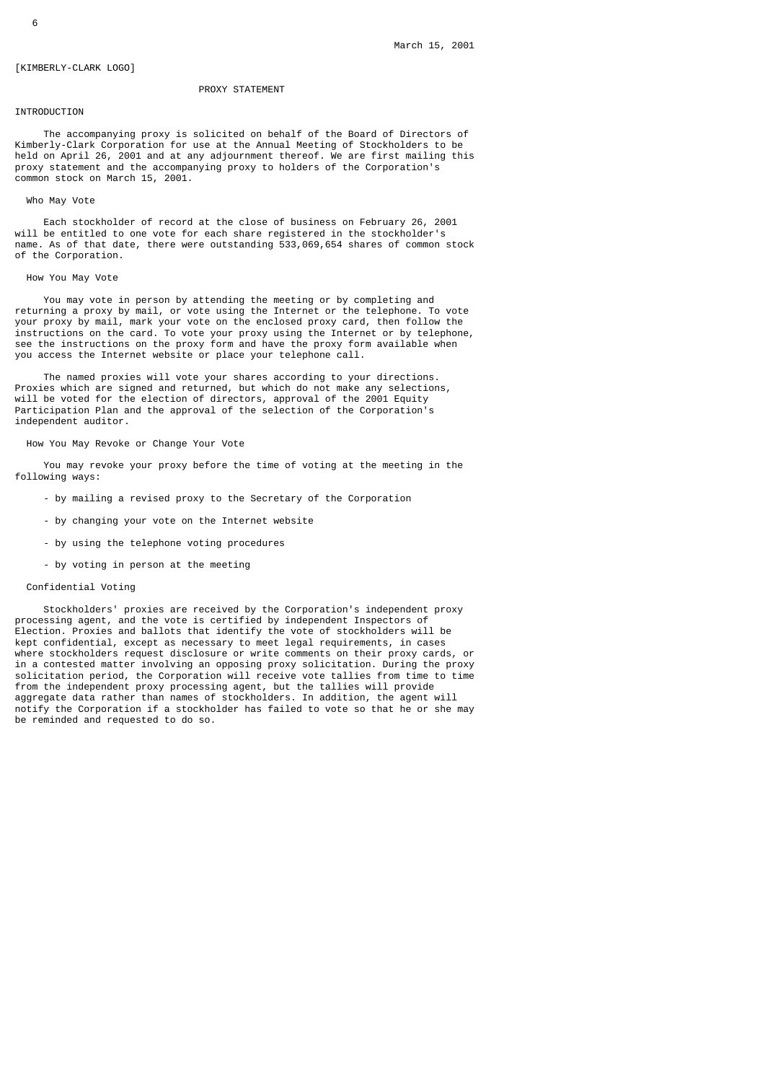# [KIMBERLY-CLARK LOGO]

# PROXY STATEMENT

# INTRODUCTION

 The accompanying proxy is solicited on behalf of the Board of Directors of Kimberly-Clark Corporation for use at the Annual Meeting of Stockholders to be held on April 26, 2001 and at any adjournment thereof. We are first mailing this proxy statement and the accompanying proxy to holders of the Corporation's common stock on March 15, 2001.

#### Who May Vote

 Each stockholder of record at the close of business on February 26, 2001 will be entitled to one vote for each share registered in the stockholder's name. As of that date, there were outstanding 533,069,654 shares of common stock of the Corporation.

## How You May Vote

 You may vote in person by attending the meeting or by completing and returning a proxy by mail, or vote using the Internet or the telephone. To vote your proxy by mail, mark your vote on the enclosed proxy card, then follow the instructions on the card. To vote your proxy using the Internet or by telephone, see the instructions on the proxy form and have the proxy form available when you access the Internet website or place your telephone call.

 The named proxies will vote your shares according to your directions. Proxies which are signed and returned, but which do not make any selections, will be voted for the election of directors, approval of the 2001 Equity Participation Plan and the approval of the selection of the Corporation's independent auditor.

# How You May Revoke or Change Your Vote

 You may revoke your proxy before the time of voting at the meeting in the following ways:

- by mailing a revised proxy to the Secretary of the Corporation
- by changing your vote on the Internet website
- by using the telephone voting procedures
- by voting in person at the meeting

# Confidential Voting

 Stockholders' proxies are received by the Corporation's independent proxy processing agent, and the vote is certified by independent Inspectors of Election. Proxies and ballots that identify the vote of stockholders will be kept confidential, except as necessary to meet legal requirements, in cases where stockholders request disclosure or write comments on their proxy cards, or in a contested matter involving an opposing proxy solicitation. During the proxy solicitation period, the Corporation will receive vote tallies from time to time from the independent proxy processing agent, but the tallies will provide aggregate data rather than names of stockholders. In addition, the agent will notify the Corporation if a stockholder has failed to vote so that he or she may be reminded and requested to do so.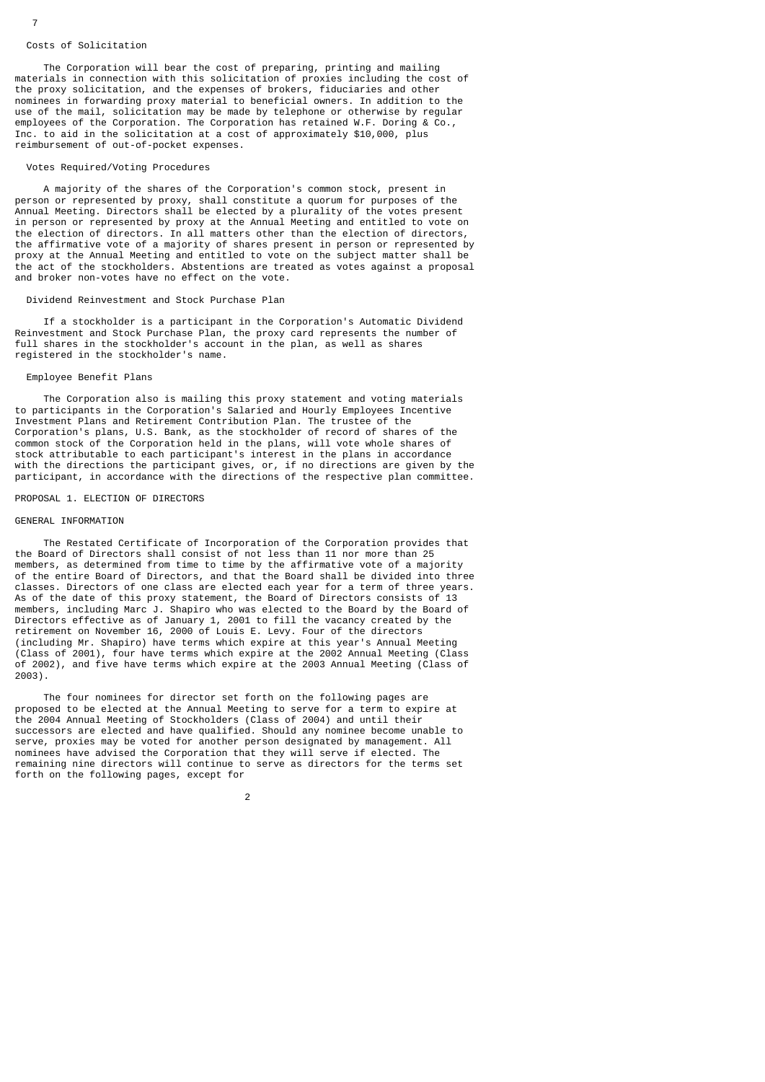#### Costs of Solicitation

 The Corporation will bear the cost of preparing, printing and mailing materials in connection with this solicitation of proxies including the cost of the proxy solicitation, and the expenses of brokers, fiduciaries and other nominees in forwarding proxy material to beneficial owners. In addition to the use of the mail, solicitation may be made by telephone or otherwise by regular employees of the Corporation. The Corporation has retained W.F. Doring & Co., Inc. to aid in the solicitation at a cost of approximately \$10,000, plus reimbursement of out-of-pocket expenses.

#### Votes Required/Voting Procedures

 A majority of the shares of the Corporation's common stock, present in person or represented by proxy, shall constitute a quorum for purposes of the Annual Meeting. Directors shall be elected by a plurality of the votes present in person or represented by proxy at the Annual Meeting and entitled to vote on the election of directors. In all matters other than the election of directors, the affirmative vote of a majority of shares present in person or represented by proxy at the Annual Meeting and entitled to vote on the subject matter shall be the act of the stockholders. Abstentions are treated as votes against a proposal and broker non-votes have no effect on the vote.

# Dividend Reinvestment and Stock Purchase Plan

 If a stockholder is a participant in the Corporation's Automatic Dividend Reinvestment and Stock Purchase Plan, the proxy card represents the number of full shares in the stockholder's account in the plan, as well as shares registered in the stockholder's name.

#### Employee Benefit Plans

 The Corporation also is mailing this proxy statement and voting materials to participants in the Corporation's Salaried and Hourly Employees Incentive Investment Plans and Retirement Contribution Plan. The trustee of the Corporation's plans, U.S. Bank, as the stockholder of record of shares of the common stock of the Corporation held in the plans, will vote whole shares of stock attributable to each participant's interest in the plans in accordance with the directions the participant gives, or, if no directions are given by the participant, in accordance with the directions of the respective plan committee.

# PROPOSAL 1. ELECTION OF DIRECTORS

# GENERAL INFORMATION

 The Restated Certificate of Incorporation of the Corporation provides that the Board of Directors shall consist of not less than 11 nor more than 25 members, as determined from time to time by the affirmative vote of a majority of the entire Board of Directors, and that the Board shall be divided into three classes. Directors of one class are elected each year for a term of three years. As of the date of this proxy statement, the Board of Directors consists of members, including Marc J. Shapiro who was elected to the Board by the Board of Directors effective as of January 1, 2001 to fill the vacancy created by the retirement on November 16, 2000 of Louis E. Levy. Four of the directors (including Mr. Shapiro) have terms which expire at this year's Annual Meeting (Class of 2001), four have terms which expire at the 2002 Annual Meeting (Class of 2002), and five have terms which expire at the 2003 Annual Meeting (Class of 2003).

 The four nominees for director set forth on the following pages are proposed to be elected at the Annual Meeting to serve for a term to expire at the 2004 Annual Meeting of Stockholders (Class of 2004) and until their successors are elected and have qualified. Should any nominee become unable to serve, proxies may be voted for another person designated by management. All nominees have advised the Corporation that they will serve if elected. The remaining nine directors will continue to serve as directors for the terms set forth on the following pages, except for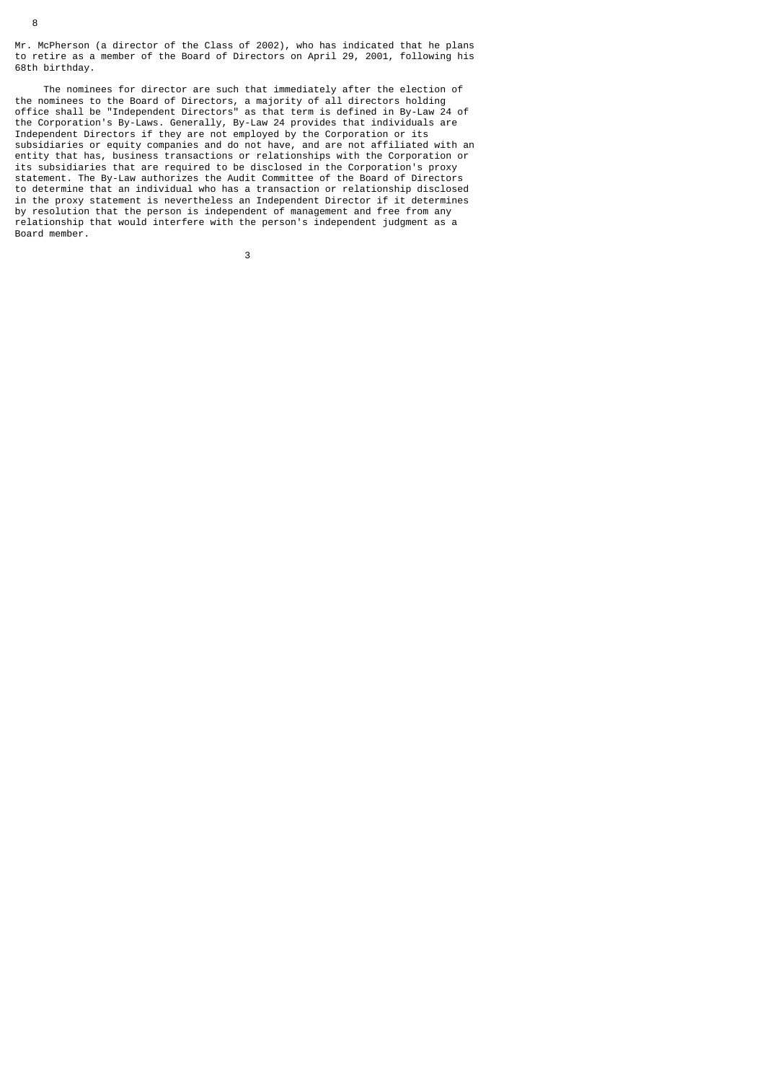Mr. McPherson (a director of the Class of 2002), who has indicated that he plans to retire as a member of the Board of Directors on April 29, 2001, following his 68th birthday.

 The nominees for director are such that immediately after the election of the nominees to the Board of Directors, a majority of all directors holding office shall be "Independent Directors" as that term is defined in By-Law 24 of the Corporation's By-Laws. Generally, By-Law 24 provides that individuals are Independent Directors if they are not employed by the Corporation or its subsidiaries or equity companies and do not have, and are not affiliated with an entity that has, business transactions or relationships with the Corporation or its subsidiaries that are required to be disclosed in the Corporation's proxy statement. The By-Law authorizes the Audit Committee of the Board of Directors to determine that an individual who has a transaction or relationship disclosed in the proxy statement is nevertheless an Independent Director if it determines by resolution that the person is independent of management and free from any relationship that would interfere with the person's independent judgment as a Board member.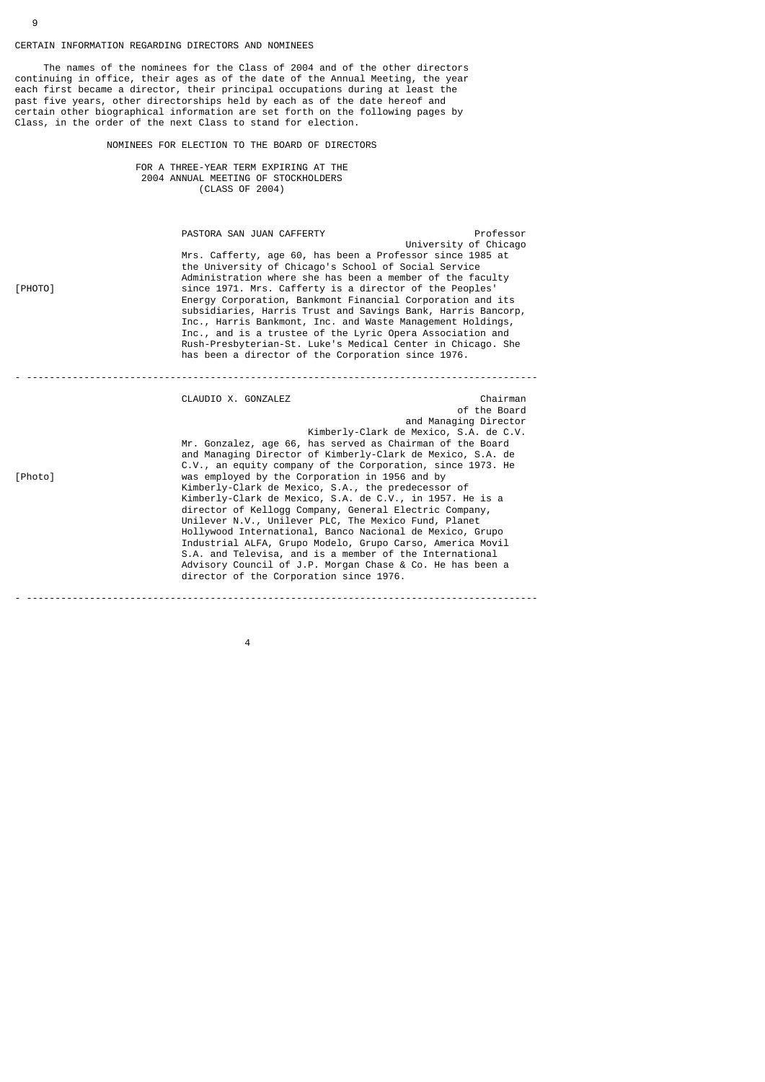# CERTAIN INFORMATION REGARDING DIRECTORS AND NOMINEES

4

 The names of the nominees for the Class of 2004 and of the other directors continuing in office, their ages as of the date of the Annual Meeting, the year each first became a director, their principal occupations during at least the past five years, other directorships held by each as of the date hereof and certain other biographical information are set forth on the following pages by Class, in the order of the next Class to stand for election.

NOMINEES FOR ELECTION TO THE BOARD OF DIRECTORS

 FOR A THREE-YEAR TERM EXPIRING AT THE 2004 ANNUAL MEETING OF STOCKHOLDERS (CLASS OF 2004)

PASTORA SAN JUAN CAFFERTY PASTORA SAN JUAN CAFFERTY University of Chicago Mrs. Cafferty, age 60, has been a Professor since 1985 at the University of Chicago's School of Social Service Administration where she has been a member of the faculty<br>since 1971. Mrs. Cafferty is a director of the Peoples' since 1971. Mrs. Cafferty is a director of the Peoples' Energy Corporation, Bankmont Financial Corporation and its subsidiaries, Harris Trust and Savings Bank, Harris Bancorp, Inc., Harris Bankmont, Inc. and Waste Management Holdings, Inc., and is a trustee of the Lyric Opera Association and Rush-Presbyterian-St. Luke's Medical Center in Chicago. She has been a director of the Corporation since 1976.

|         | CLAUDIO X. GONZALEZ                                                                                                                                                                                                                                                                                                                                                                                                                                                                                                                                                            | Chairman<br>of the Board |
|---------|--------------------------------------------------------------------------------------------------------------------------------------------------------------------------------------------------------------------------------------------------------------------------------------------------------------------------------------------------------------------------------------------------------------------------------------------------------------------------------------------------------------------------------------------------------------------------------|--------------------------|
|         | Kimberly-Clark de Mexico, S.A. de C.V.<br>Mr. Gonzalez, age 66, has served as Chairman of the Board<br>and Managing Director of Kimberly-Clark de Mexico, S.A. de<br>C.V., an equity company of the Corporation, since 1973. He                                                                                                                                                                                                                                                                                                                                                | and Managing Director    |
| [Photo] | was employed by the Corporation in 1956 and by<br>Kimberly-Clark de Mexico, S.A., the predecessor of<br>Kimberly-Clark de Mexico, S.A. de C.V., in 1957. He is a<br>director of Kellogg Company, General Electric Company,<br>Unilever N.V., Unilever PLC, The Mexico Fund, Planet<br>Hollywood International, Banco Nacional de Mexico, Grupo<br>Industrial ALFA, Grupo Modelo, Grupo Carso, America Movil<br>S.A. and Televisa, and is a member of the International<br>Advisory Council of J.P. Morgan Chase & Co. He has been a<br>director of the Corporation since 1976. |                          |

- -----------------------------------------------------------------------------------------

9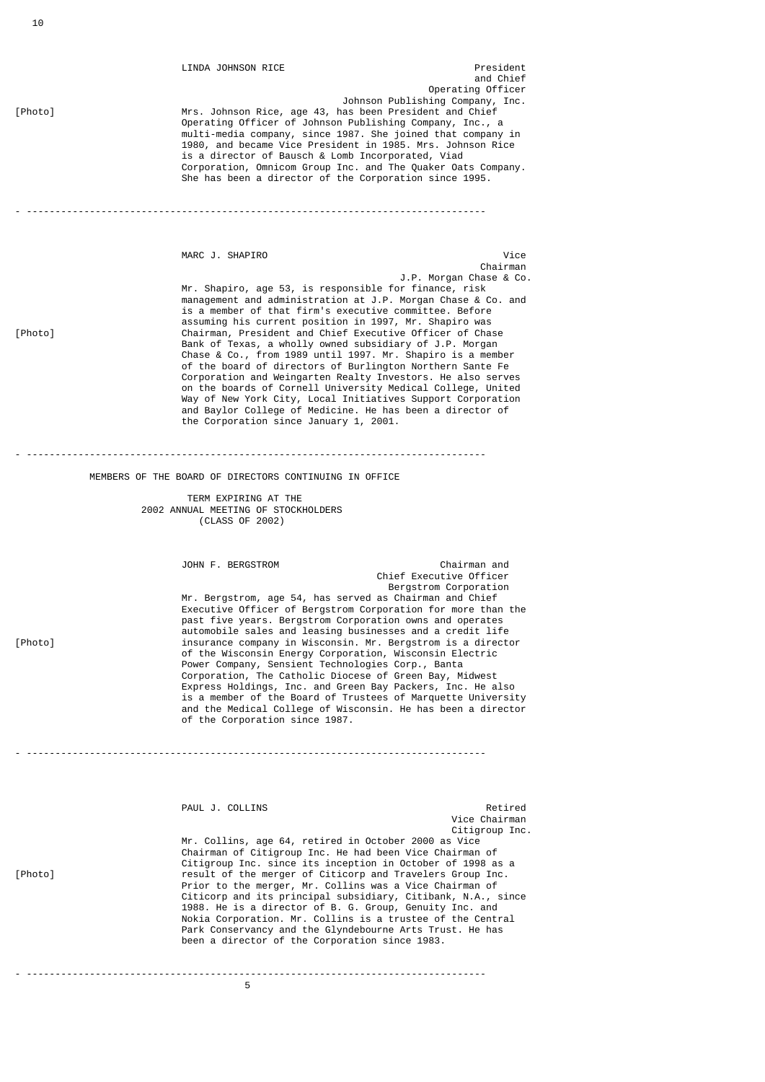LINDA JOHNSON RICE<br>
and Chief and Chief and Chief and Chief and Chief and Chief and Chief and Chief and Chief and Chief and Chief and Chief and Chief and Chief and Chief and Chief and Chief and Chief and Chief and Chief and Chief and Chief and Chief an Johnson Publishing Company, Inc.<br>The Mrs. Johnson Rice, age 43, has been President and Chief Mrs. Johnson Rice, age 43, has been President and Chief Operating Officer of Johnson Publishing Company, Inc., a multi-media company, since 1987. She joined that company in 1980, and became Vice President in 1985. Mrs. Johnson Rice is a director of Bausch & Lomb Incorporated, Viad Corporation, Omnicom Group Inc. and The Quaker Oats Company. She has been a director of the Corporation since 1995. - --------------------------------------------------------------------------------

Vice و Vice<br>Chairman با المستشركة المستشركة المستشركة المستشركة المستشركة المستشركة المستشركة المستشركة المستشركة<br>Chairman chairman anns an t-ìreann an t-ìreann an t-ìreann an t-ìreann an t-ìreann an t-ìreann an t-ìreann an t-ìreann a J.P. Morgan Chase & Co. Mr. Shapiro, age 53, is responsible for finance, risk management and administration at J.P. Morgan Chase & Co. and is a member of that firm's executive committee. Before assuming his current position in 1997, Mr. Shapiro was<br>Chairman. President and Chief Executive Officer of Cha Chairman, President and Chief Executive Officer of Chase Bank of Texas, a wholly owned subsidiary of J.P. Morgan Chase & Co., from 1989 until 1997. Mr. Shapiro is a member of the board of directors of Burlington Northern Sante Fe Corporation and Weingarten Realty Investors. He also serves on the boards of Cornell University Medical College, United Way of New York City, Local Initiatives Support Corporation and Baylor College of Medicine. He has been a director of the Corporation since January 1, 2001.

Operating Officer

MEMBERS OF THE BOARD OF DIRECTORS CONTINUING IN OFFICE

- --------------------------------------------------------------------------------

 TERM EXPIRING AT THE 2002 ANNUAL MEETING OF STOCKHOLDERS (CLASS OF 2002)

 JOHN F. BERGSTROM Chairman and Chief Executive Officer Bergstrom Corporation Mr. Bergstrom, age 54, has served as Chairman and Chief Executive Officer of Bergstrom Corporation for more than the past five years. Bergstrom Corporation owns and operates automobile sales and leasing businesses and a credit life<br>Insurance company in Wisconsin. Mr. Bergstrom is a direct insurance company in Wisconsin. Mr. Bergstrom is a director of the Wisconsin Energy Corporation, Wisconsin Electric Power Company, Sensient Technologies Corp., Banta Corporation, The Catholic Diocese of Green Bay, Midwest Express Holdings, Inc. and Green Bay Packers, Inc. He also is a member of the Board of Trustees of Marquette University and the Medical College of Wisconsin. He has been a director of the Corporation since 1987.

PAUL J. COLLINS Retired Vice Chairman<br>Citigroup Inc. Citigroup Inc. Mr. Collins, age 64, retired in October 2000 as Vice Chairman of Citigroup Inc. He had been Vice Chairman of Citigroup Inc. since its inception in October of 1998 as a<br>Fesult of the merger of Citicorp and Travelers Group Inc. result of the merger of Citicorp and Travelers Group Inc. Prior to the merger, Mr. Collins was a Vice Chairman of Citicorp and its principal subsidiary, Citibank, N.A., since 1988. He is a director of B. G. Group, Genuity Inc. and Nokia Corporation. Mr. Collins is a trustee of the Central Park Conservancy and the Glyndebourne Arts Trust. He has been a director of the Corporation since 1983.

- --------------------------------------------------------------------------------

- --------------------------------------------------------------------------------

the contract of the contract of the contract of the contract of the contract of the contract of the contract o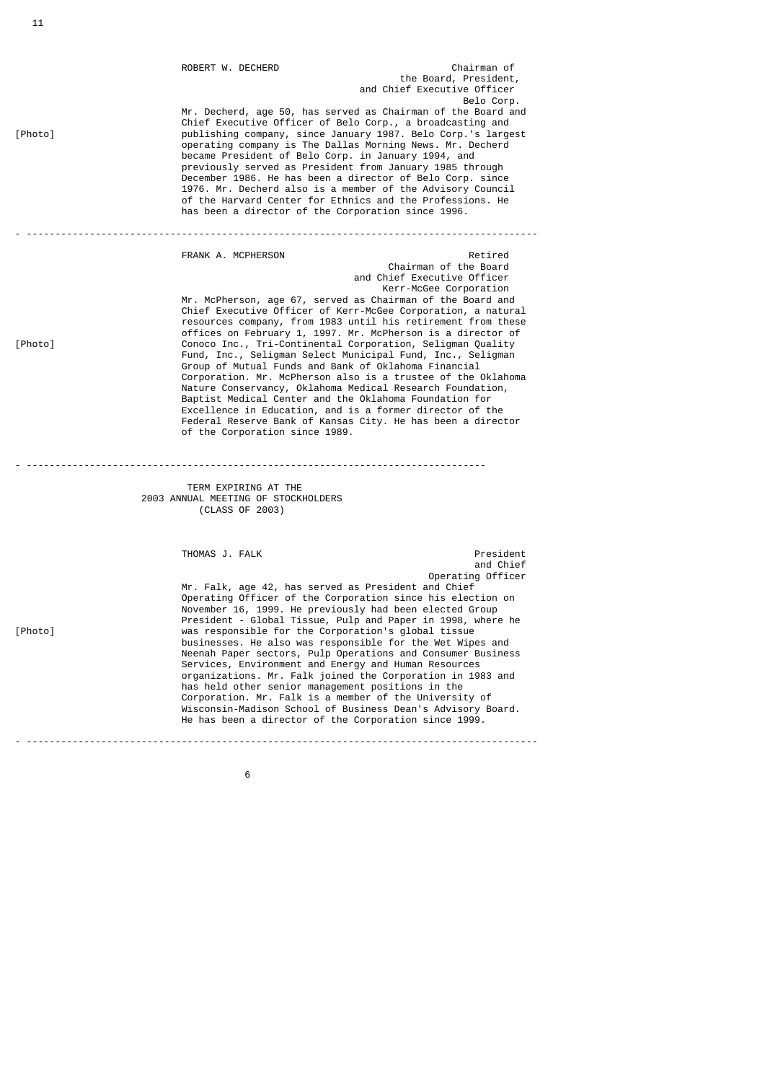| [Photo] | ROBERT W. DECHERD<br>became President of Belo Corp. in January 1994, and<br>has been a director of the Corporation since 1996.                                                                                                                                                                     | Chairman of<br>the Board, President,<br>and Chief Executive Officer<br>Belo Corp.<br>Mr. Decherd, age 50, has served as Chairman of the Board and<br>Chief Executive Officer of Belo Corp., a broadcasting and<br>publishing company, since January 1987. Belo Corp.'s largest<br>operating company is The Dallas Morning News. Mr. Decherd<br>previously served as President from January 1985 through<br>December 1986. He has been a director of Belo Corp. since<br>1976. Mr. Decherd also is a member of the Advisory Council<br>of the Harvard Center for Ethnics and the Professions. He                                                                                                                                                                                                      |
|---------|----------------------------------------------------------------------------------------------------------------------------------------------------------------------------------------------------------------------------------------------------------------------------------------------------|------------------------------------------------------------------------------------------------------------------------------------------------------------------------------------------------------------------------------------------------------------------------------------------------------------------------------------------------------------------------------------------------------------------------------------------------------------------------------------------------------------------------------------------------------------------------------------------------------------------------------------------------------------------------------------------------------------------------------------------------------------------------------------------------------|
| [Photo] | FRANK A. MCPHERSON<br>Group of Mutual Funds and Bank of Oklahoma Financial<br>of the Corporation since 1989.                                                                                                                                                                                       | Retired<br>Chairman of the Board<br>and Chief Executive Officer<br>Kerr-McGee Corporation<br>Mr. McPherson, age 67, served as Chairman of the Board and<br>Chief Executive Officer of Kerr-McGee Corporation, a natural<br>resources company, from 1983 until his retirement from these<br>offices on February 1, 1997. Mr. McPherson is a director of<br>Conoco Inc., Tri-Continental Corporation, Seligman Quality<br>Fund, Inc., Seligman Select Municipal Fund, Inc., Seligman<br>Corporation. Mr. McPherson also is a trustee of the Oklahoma<br>Nature Conservancy, Oklahoma Medical Research Foundation,<br>Baptist Medical Center and the Oklahoma Foundation for<br>Excellence in Education, and is a former director of the<br>Federal Reserve Bank of Kansas City. He has been a director |
|         | TERM EXPIRING AT THE<br>2003 ANNUAL MEETING OF STOCKHOLDERS<br>(CLASS OF 2003)                                                                                                                                                                                                                     |                                                                                                                                                                                                                                                                                                                                                                                                                                                                                                                                                                                                                                                                                                                                                                                                      |
| [Photo] | THOMAS J. FALK<br>Mr. Falk, age 42, has served as President and Chief<br>was responsible for the Corporation's global tissue<br>Services, Environment and Energy and Human Resources<br>has held other senior management positions in the<br>He has been a director of the Corporation since 1999. | President<br>and Chief<br>Operating Officer<br>Operating Officer of the Corporation since his election on<br>November 16, 1999. He previously had been elected Group<br>President - Global Tissue, Pulp and Paper in 1998, where he<br>businesses. He also was responsible for the Wet Wipes and<br>Neenah Paper sectors, Pulp Operations and Consumer Business<br>organizations. Mr. Falk joined the Corporation in 1983 and<br>Corporation. Mr. Falk is a member of the University of<br>Wisconsin-Madison School of Business Dean's Advisory Board.                                                                                                                                                                                                                                               |

 $\sim$  600  $\sim$  600  $\sim$  600  $\sim$  600  $\sim$  600  $\sim$  600  $\sim$  600  $\sim$  600  $\sim$  600  $\sim$  600  $\sim$  600  $\sim$  600  $\sim$  600  $\sim$  600  $\sim$  600  $\sim$  600  $\sim$  600  $\sim$  600  $\sim$  600  $\sim$  600  $\sim$  600  $\sim$  600  $\sim$  600  $\sim$  600  $\sim$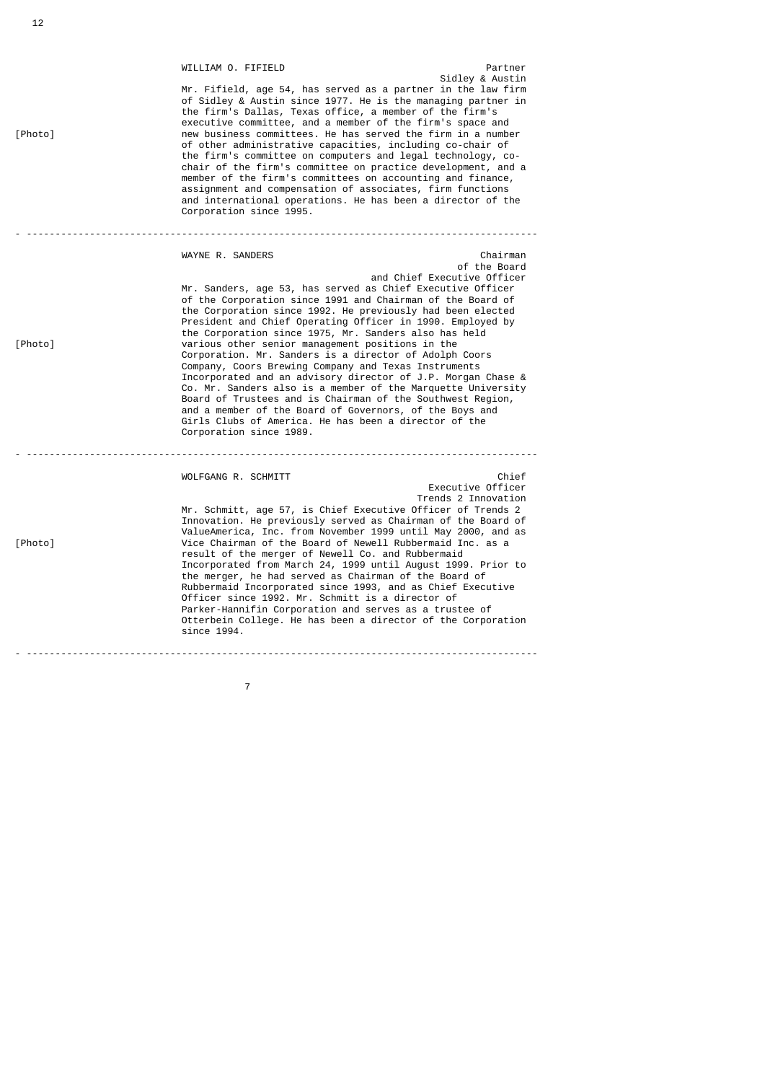|         | WILLIAM O. FIFIELD                                                                                                                                                                                                                                                                                                                                                                                                                                                                                                                                                                                                                                                                                                                                                                                                                                   | Partner                                                 |  |  |  |  |  |
|---------|------------------------------------------------------------------------------------------------------------------------------------------------------------------------------------------------------------------------------------------------------------------------------------------------------------------------------------------------------------------------------------------------------------------------------------------------------------------------------------------------------------------------------------------------------------------------------------------------------------------------------------------------------------------------------------------------------------------------------------------------------------------------------------------------------------------------------------------------------|---------------------------------------------------------|--|--|--|--|--|
| [Photo] | Sidley & Austin<br>Mr. Fifield, age 54, has served as a partner in the law firm<br>of Sidley & Austin since 1977. He is the managing partner in<br>the firm's Dallas, Texas office, a member of the firm's<br>executive committee, and a member of the firm's space and<br>new business committees. He has served the firm in a number<br>of other administrative capacities, including co-chair of<br>the firm's committee on computers and legal technology, co-<br>chair of the firm's committee on practice development, and a<br>member of the firm's committees on accounting and finance,<br>assignment and compensation of associates, firm functions<br>and international operations. He has been a director of the<br>Corporation since 1995.                                                                                              |                                                         |  |  |  |  |  |
|         |                                                                                                                                                                                                                                                                                                                                                                                                                                                                                                                                                                                                                                                                                                                                                                                                                                                      |                                                         |  |  |  |  |  |
| [Photo] | WAYNE R. SANDERS<br>Mr. Sanders, age 53, has served as Chief Executive Officer<br>of the Corporation since 1991 and Chairman of the Board of<br>the Corporation since 1992. He previously had been elected<br>President and Chief Operating Officer in 1990. Employed by<br>the Corporation since 1975, Mr. Sanders also has held<br>various other senior management positions in the<br>Corporation. Mr. Sanders is a director of Adolph Coors<br>Company, Coors Brewing Company and Texas Instruments<br>Incorporated and an advisory director of J.P. Morgan Chase &<br>Co. Mr. Sanders also is a member of the Marquette University<br>Board of Trustees and is Chairman of the Southwest Region,<br>and a member of the Board of Governors, of the Boys and<br>Girls Clubs of America. He has been a director of the<br>Corporation since 1989. | Chairman<br>of the Board<br>and Chief Executive Officer |  |  |  |  |  |
|         |                                                                                                                                                                                                                                                                                                                                                                                                                                                                                                                                                                                                                                                                                                                                                                                                                                                      |                                                         |  |  |  |  |  |
| [Photo] | WOLFGANG R. SCHMITT<br>Mr. Schmitt, age 57, is Chief Executive Officer of Trends 2<br>Innovation. He previously served as Chairman of the Board of<br>ValueAmerica, Inc. from November 1999 until May 2000, and as<br>Vice Chairman of the Board of Newell Rubbermaid Inc. as a<br>result of the merger of Newell Co. and Rubbermaid<br>Incorporated from March 24, 1999 until August 1999. Prior to<br>the merger, he had served as Chairman of the Board of<br>Rubbermaid Incorporated since 1993, and as Chief Executive<br>Officer since 1992. Mr. Schmitt is a director of<br>Parker-Hannifin Corporation and serves as a trustee of<br>Otterbein College. He has been a director of the Corporation<br>since 1994.                                                                                                                             | Chief<br>Executive Officer<br>Trends 2 Innovation       |  |  |  |  |  |
|         |                                                                                                                                                                                                                                                                                                                                                                                                                                                                                                                                                                                                                                                                                                                                                                                                                                                      |                                                         |  |  |  |  |  |

7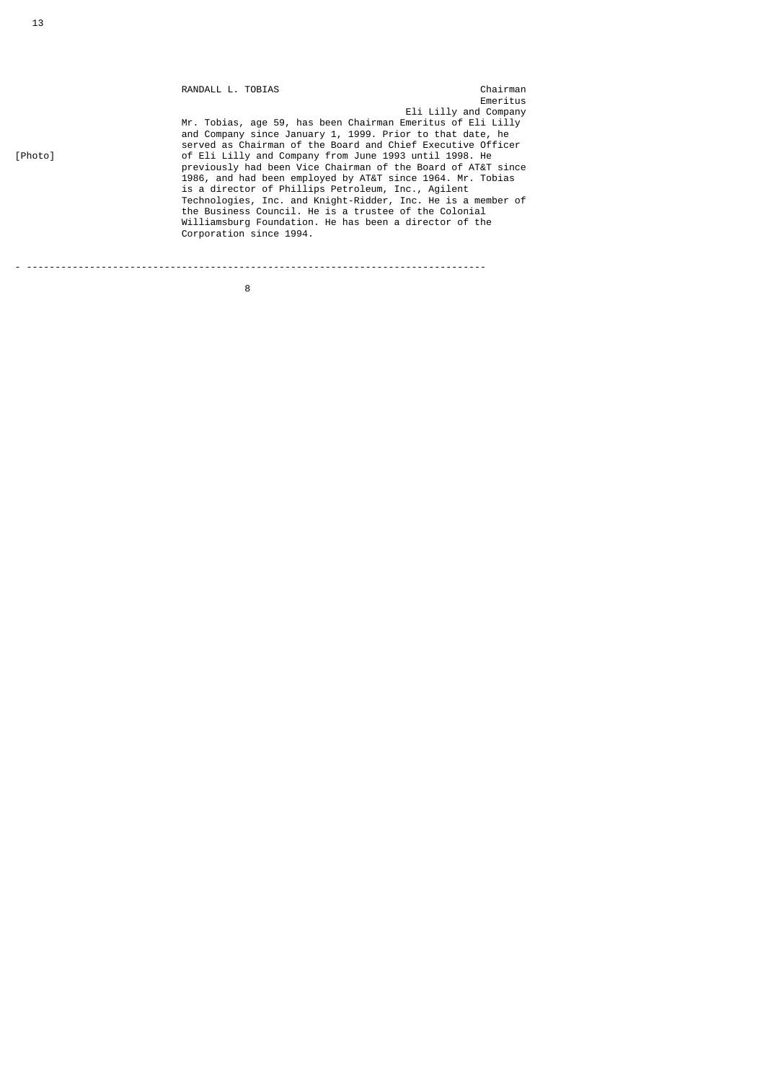|         | RANDALL L. TOBIAS                                            | Chairman              |
|---------|--------------------------------------------------------------|-----------------------|
|         |                                                              | Emeritus              |
|         |                                                              | Eli Lilly and Company |
|         | Mr. Tobias, age 59, has been Chairman Emeritus of Eli Lilly  |                       |
|         | and Company since January 1, 1999. Prior to that date, he    |                       |
|         | served as Chairman of the Board and Chief Executive Officer  |                       |
| [Photo] | of Eli Lilly and Company from June 1993 until 1998. He       |                       |
|         | previously had been Vice Chairman of the Board of AT&T since |                       |
|         | 1986, and had been employed by AT&T since 1964. Mr. Tobias   |                       |
|         | is a director of Phillips Petroleum, Inc., Agilent           |                       |
|         | Technologies, Inc. and Knight-Ridder, Inc. He is a member of |                       |
|         | the Business Council. He is a trustee of the Colonial        |                       |
|         | Williamsburg Foundation. He has been a director of the       |                       |
|         | Corporation since 1994.                                      |                       |
|         |                                                              |                       |
|         |                                                              |                       |
|         |                                                              |                       |

<u>8 and 2008 and 2008 and 2008 and 2008 and 2008 and 2008 and 2008 and 2008 and 2008 and 2008 and 2008 and 2008 </u>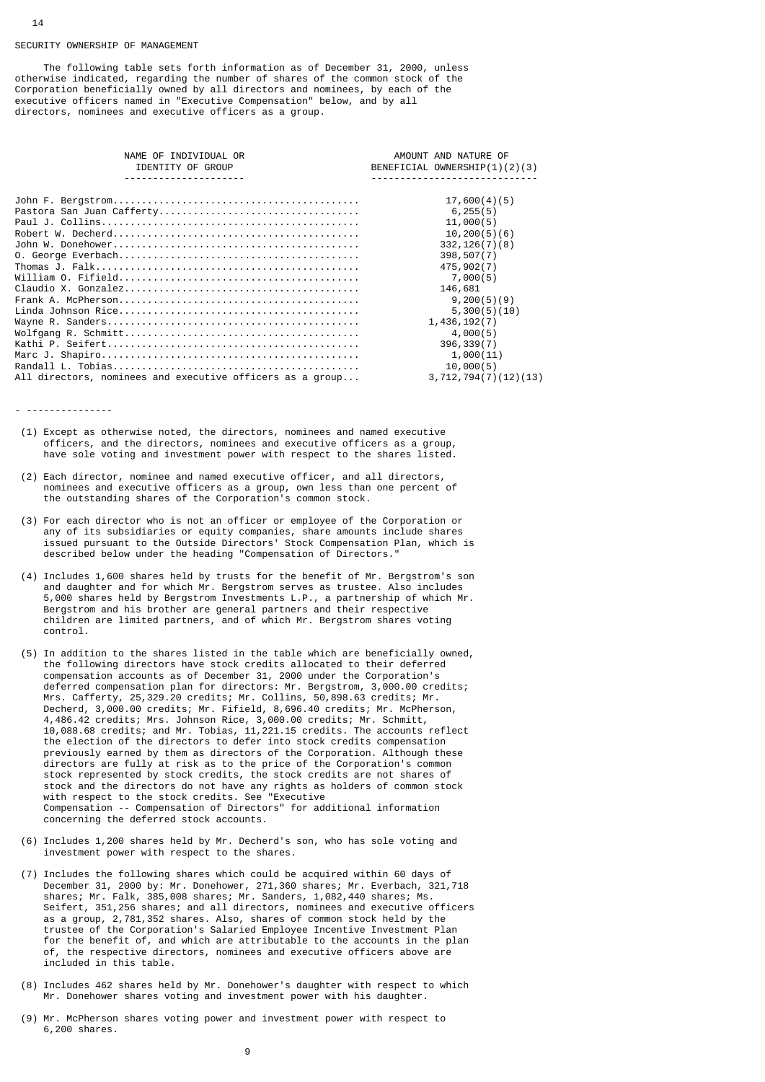#### SECURITY OWNERSHIP OF MANAGEMENT

 The following table sets forth information as of December 31, 2000, unless otherwise indicated, regarding the number of shares of the common stock of the Corporation beneficially owned by all directors and nominees, by each of the executive officers named in "Executive Compensation" below, and by all directors, nominees and executive officers as a group.

| NAME OF INDIVIDUAL OR                                     | AMOUNT AND NATURE OF          |
|-----------------------------------------------------------|-------------------------------|
| IDENTITY OF GROUP                                         | BENEFICIAL OWNERSHIP(1)(2)(3) |
| .                                                         |                               |
|                                                           |                               |
|                                                           | 17,600(4)(5)                  |
|                                                           | 6, 255(5)                     |
|                                                           | 11,000(5)                     |
|                                                           | 10, 200(5)(6)                 |
|                                                           | 332, 126(7)(8)                |
|                                                           | 398, 507(7)                   |
|                                                           | 475,902(7)                    |
|                                                           | 7,000(5)                      |
|                                                           | 146,681                       |
|                                                           | 9,200(5)(9)                   |
|                                                           | 5,300(5)(10)                  |
|                                                           | 1,436,192(7)                  |
|                                                           | 4,000(5)                      |
|                                                           | 396, 339(7)                   |
|                                                           | 1,000(11)                     |
|                                                           | 10,000(5)                     |
| All directors, nominees and executive officers as a group | 3, 712, 794(7)(12)(13)        |

- ---------------

- (1) Except as otherwise noted, the directors, nominees and named executive officers, and the directors, nominees and executive officers as a group, have sole voting and investment power with respect to the shares listed.
- (2) Each director, nominee and named executive officer, and all directors, nominees and executive officers as a group, own less than one percent of the outstanding shares of the Corporation's common stock.
- (3) For each director who is not an officer or employee of the Corporation or any of its subsidiaries or equity companies, share amounts include shares issued pursuant to the Outside Directors' Stock Compensation Plan, which is described below under the heading "Compensation of Directors."
- (4) Includes 1,600 shares held by trusts for the benefit of Mr. Bergstrom's son and daughter and for which Mr. Bergstrom serves as trustee. Also includes 5,000 shares held by Bergstrom Investments L.P., a partnership of which Mr. Bergstrom and his brother are general partners and their respective children are limited partners, and of which Mr. Bergstrom shares voting control.
- (5) In addition to the shares listed in the table which are beneficially owned, the following directors have stock credits allocated to their deferred compensation accounts as of December 31, 2000 under the Corporation's deferred compensation plan for directors: Mr. Bergstrom, 3,000.00 credits; Mrs. Cafferty, 25,329.20 credits; Mr. Collins, 50,898.63 credits; Mr. Decherd, 3,000.00 credits; Mr. Fifield, 8,696.40 credits; Mr. McPherson, 4,486.42 credits; Mrs. Johnson Rice, 3,000.00 credits; Mr. Schmitt, 10,088.68 credits; and Mr. Tobias, 11,221.15 credits. The accounts reflect the election of the directors to defer into stock credits compensation previously earned by them as directors of the Corporation. Although these directors are fully at risk as to the price of the Corporation's common stock represented by stock credits, the stock credits are not shares of stock and the directors do not have any rights as holders of common stock with respect to the stock credits. See "Executive Compensation -- Compensation of Directors" for additional information concerning the deferred stock accounts.
- (6) Includes 1,200 shares held by Mr. Decherd's son, who has sole voting and investment power with respect to the shares.
- (7) Includes the following shares which could be acquired within 60 days of December 31, 2000 by: Mr. Donehower, 271,360 shares; Mr. Everbach, 321,718 shares; Mr. Falk, 385,008 shares; Mr. Sanders, 1,082,440 shares; Ms. Seifert, 351,256 shares; and all directors, nominees and executive officers as a group, 2,781,352 shares. Also, shares of common stock held by the trustee of the Corporation's Salaried Employee Incentive Investment Plan for the benefit of, and which are attributable to the accounts in the plan of, the respective directors, nominees and executive officers above are included in this table.
- (8) Includes 462 shares held by Mr. Donehower's daughter with respect to which Mr. Donehower shares voting and investment power with his daughter.
- (9) Mr. McPherson shares voting power and investment power with respect to 6,200 shares.

14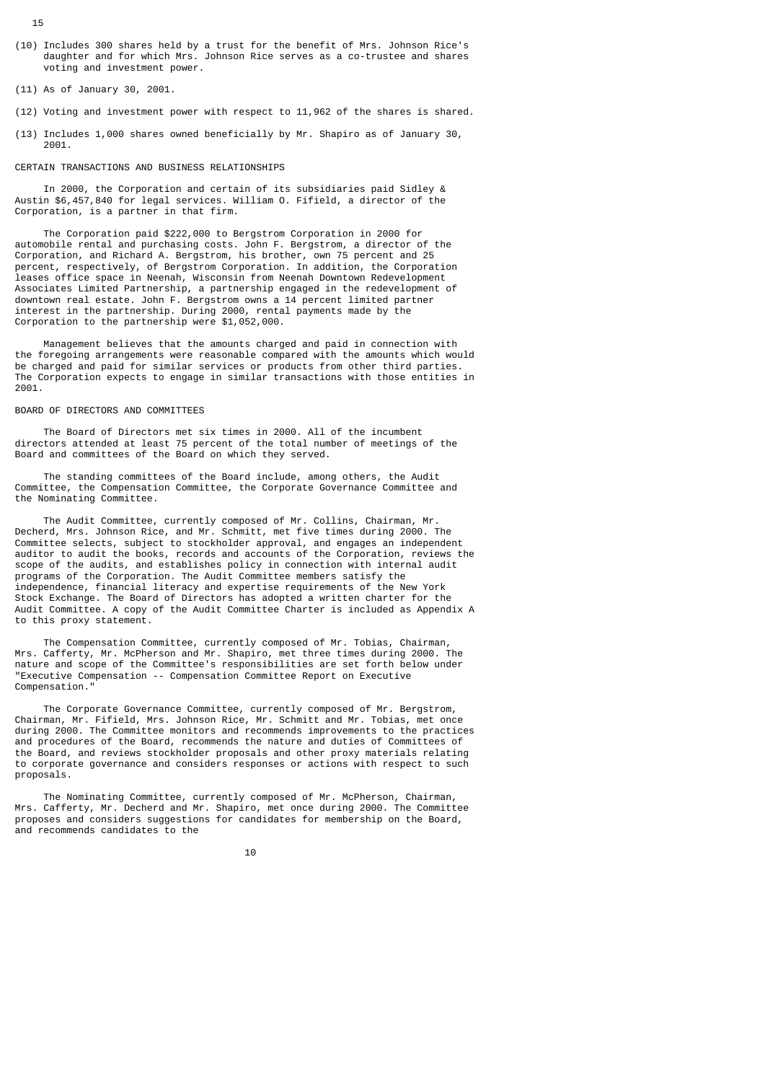- (10) Includes 300 shares held by a trust for the benefit of Mrs. Johnson Rice's daughter and for which Mrs. Johnson Rice serves as a co-trustee and shares voting and investment power.
- (11) As of January 30, 2001.
- (12) Voting and investment power with respect to 11,962 of the shares is shared.
- (13) Includes 1,000 shares owned beneficially by Mr. Shapiro as of January 30, 2001.

# CERTAIN TRANSACTIONS AND BUSINESS RELATIONSHIPS

 In 2000, the Corporation and certain of its subsidiaries paid Sidley & Austin \$6,457,840 for legal services. William O. Fifield, a director of the Corporation, is a partner in that firm.

 The Corporation paid \$222,000 to Bergstrom Corporation in 2000 for automobile rental and purchasing costs. John F. Bergstrom, a director of the Corporation, and Richard A. Bergstrom, his brother, own 75 percent and 25 percent, respectively, of Bergstrom Corporation. In addition, the Corporation leases office space in Neenah, Wisconsin from Neenah Downtown Redevelopment Associates Limited Partnership, a partnership engaged in the redevelopment of downtown real estate. John F. Bergstrom owns a 14 percent limited partner interest in the partnership. During 2000, rental payments made by the Corporation to the partnership were \$1,052,000.

 Management believes that the amounts charged and paid in connection with the foregoing arrangements were reasonable compared with the amounts which would be charged and paid for similar services or products from other third parties. The Corporation expects to engage in similar transactions with those entities in 2001.

#### BOARD OF DIRECTORS AND COMMITTEES

 The Board of Directors met six times in 2000. All of the incumbent directors attended at least 75 percent of the total number of meetings of the Board and committees of the Board on which they served.

 The standing committees of the Board include, among others, the Audit Committee, the Compensation Committee, the Corporate Governance Committee and the Nominating Committee.

 The Audit Committee, currently composed of Mr. Collins, Chairman, Mr. Decherd, Mrs. Johnson Rice, and Mr. Schmitt, met five times during 2000. The Committee selects, subject to stockholder approval, and engages an independent auditor to audit the books, records and accounts of the Corporation, reviews the scope of the audits, and establishes policy in connection with internal audit programs of the Corporation. The Audit Committee members satisfy the independence, financial literacy and expertise requirements of the New York Stock Exchange. The Board of Directors has adopted a written charter for the Audit Committee. A copy of the Audit Committee Charter is included as Appendix A to this proxy statement.

 The Compensation Committee, currently composed of Mr. Tobias, Chairman, Mrs. Cafferty, Mr. McPherson and Mr. Shapiro, met three times during 2000. The nature and scope of the Committee's responsibilities are set forth below under "Executive Compensation -- Compensation Committee Report on Executive Compensation."

 The Corporate Governance Committee, currently composed of Mr. Bergstrom, Chairman, Mr. Fifield, Mrs. Johnson Rice, Mr. Schmitt and Mr. Tobias, met once during 2000. The Committee monitors and recommends improvements to the practices and procedures of the Board, recommends the nature and duties of Committees of the Board, and reviews stockholder proposals and other proxy materials relating to corporate governance and considers responses or actions with respect to such proposals.

 The Nominating Committee, currently composed of Mr. McPherson, Chairman, Mrs. Cafferty, Mr. Decherd and Mr. Shapiro, met once during 2000. The Committee proposes and considers suggestions for candidates for membership on the Board, and recommends candidates to the

10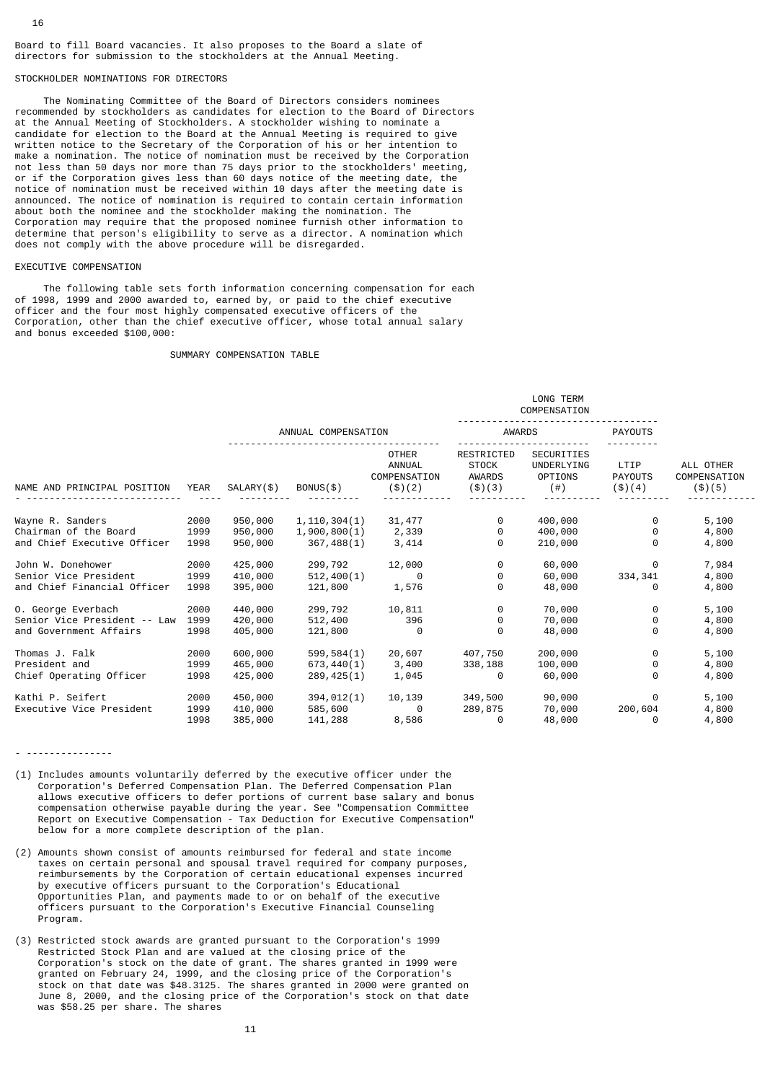Board to fill Board vacancies. It also proposes to the Board a slate of directors for submission to the stockholders at the Annual Meeting.

# STOCKHOLDER NOMINATIONS FOR DIRECTORS

 The Nominating Committee of the Board of Directors considers nominees recommended by stockholders as candidates for election to the Board of Directors at the Annual Meeting of Stockholders. A stockholder wishing to nominate a candidate for election to the Board at the Annual Meeting is required to give written notice to the Secretary of the Corporation of his or her intention to make a nomination. The notice of nomination must be received by the Corporation not less than 50 days nor more than 75 days prior to the stockholders' meeting, or if the Corporation gives less than 60 days notice of the meeting date, the notice of nomination must be received within 10 days after the meeting date is announced. The notice of nomination is required to contain certain information about both the nominee and the stockholder making the nomination. The Corporation may require that the proposed nominee furnish other information to determine that person's eligibility to serve as a director. A nomination which does not comply with the above procedure will be disregarded.

# EXECUTIVE COMPENSATION

 The following table sets forth information concerning compensation for each of 1998, 1999 and 2000 awarded to, earned by, or paid to the chief executive officer and the four most highly compensated executive officers of the Corporation, other than the chief executive officer, whose total annual salary and bonus exceeded \$100,000:

#### SUMMARY COMPENSATION TABLE

|                              |             |                     |                |                                                           |                                                                | LONG TERM<br>COMPENSATION                                      |                                    |                                       |
|------------------------------|-------------|---------------------|----------------|-----------------------------------------------------------|----------------------------------------------------------------|----------------------------------------------------------------|------------------------------------|---------------------------------------|
|                              |             | ANNUAL COMPENSATION |                |                                                           | <b>AWARDS</b>                                                  |                                                                | <b>PAYOUTS</b>                     |                                       |
| NAME AND PRINCIPAL POSITION  | <b>YEAR</b> | SALARY(\$)          | $BONUS($ \$)   | <b>OTHER</b><br><b>ANNUAL</b><br>COMPENSATION<br>( \$)(2) | <b>RESTRICTED</b><br><b>STOCK</b><br><b>AWARDS</b><br>( \$)(3) | <b>SECURITIES</b><br>UNDERLYING<br><b>OPTIONS</b><br>$($ # $)$ | LTIP<br><b>PAYOUTS</b><br>( \$)(4) | ALL OTHER<br>COMPENSATION<br>( \$)(5) |
| Wayne R. Sanders             | 2000        | 950,000             | 1, 110, 304(1) | 31,477                                                    | 0                                                              | 400,000                                                        | 0                                  | 5,100                                 |
| Chairman of the Board        | 1999        | 950,000             | 1,900,800(1)   | 2,339                                                     | 0                                                              | 400,000                                                        | 0                                  | 4,800                                 |
| and Chief Executive Officer  | 1998        | 950,000             | 367,488(1)     | 3,414                                                     | 0                                                              | 210,000                                                        | 0                                  | 4,800                                 |
| John W. Donehower            | 2000        | 425,000             | 299,792        | 12,000                                                    | 0                                                              | 60,000                                                         | 0                                  | 7,984                                 |
| Senior Vice President        | 1999        | 410,000             | 512,400(1)     | 0                                                         | 0                                                              | 60,000                                                         | 334, 341                           | 4,800                                 |
| and Chief Financial Officer  | 1998        | 395,000             | 121,800        | 1,576                                                     | 0                                                              | 48,000                                                         | 0                                  | 4,800                                 |
| 0. George Everbach           | 2000        | 440,000             | 299,792        | 10,811                                                    | 0                                                              | 70,000                                                         | $\Theta$                           | 5,100                                 |
| Senior Vice President -- Law | 1999        | 420,000             | 512,400        | 396                                                       | 0                                                              | 70,000                                                         | 0                                  | 4,800                                 |
| and Government Affairs       | 1998        | 405,000             | 121,800        | $\Theta$                                                  | $\Theta$                                                       | 48,000                                                         | 0                                  | 4,800                                 |
| Thomas J. Falk               | 2000        | 600,000             | 599,584(1)     | 20,607                                                    | 407,750                                                        | 200,000                                                        | 0                                  | 5,100                                 |
| President and                | 1999        | 465,000             | 673, 440(1)    | 3,400                                                     | 338,188                                                        | 100,000                                                        | 0                                  | 4,800                                 |
| Chief Operating Officer      | 1998        | 425,000             | 289, 425(1)    | 1,045                                                     | 0                                                              | 60,000                                                         | 0                                  | 4,800                                 |
| Kathi P. Seifert             | 2000        | 450,000             | 394, 012(1)    | 10,139                                                    | 349,500                                                        | 90,000                                                         | 0                                  | 5,100                                 |
| Executive Vice President     | 1999        | 410,000             | 585,600        | $\Theta$                                                  | 289,875                                                        | 70,000                                                         | 200,604                            | 4,800                                 |
|                              | 1998        | 385,000             | 141,288        | 8,586                                                     | 0                                                              | 48,000                                                         | 0                                  | 4,800                                 |

- ---------------

- (1) Includes amounts voluntarily deferred by the executive officer under the Corporation's Deferred Compensation Plan. The Deferred Compensation Plan allows executive officers to defer portions of current base salary and bonus compensation otherwise payable during the year. See "Compensation Committee Report on Executive Compensation - Tax Deduction for Executive Compensation" below for a more complete description of the plan.
- (2) Amounts shown consist of amounts reimbursed for federal and state income taxes on certain personal and spousal travel required for company purposes, reimbursements by the Corporation of certain educational expenses incurred by executive officers pursuant to the Corporation's Educational Opportunities Plan, and payments made to or on behalf of the executive officers pursuant to the Corporation's Executive Financial Counseling Program.
- (3) Restricted stock awards are granted pursuant to the Corporation's 1999 Restricted Stock Plan and are valued at the closing price of the Corporation's stock on the date of grant. The shares granted in 1999 were granted on February 24, 1999, and the closing price of the Corporation's stock on that date was \$48.3125. The shares granted in 2000 were granted on June 8, 2000, and the closing price of the Corporation's stock on that date was \$58.25 per share. The shares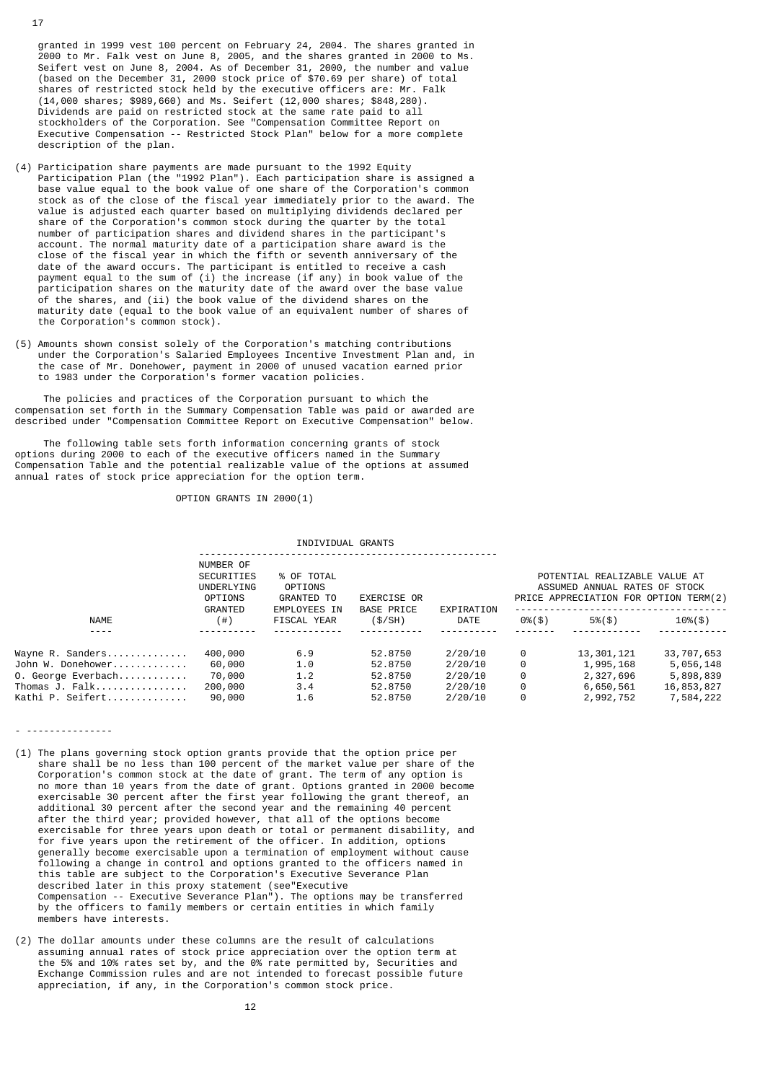granted in 1999 vest 100 percent on February 24, 2004. The shares granted in 2000 to Mr. Falk vest on June 8, 2005, and the shares granted in 2000 to Ms. Seifert vest on June 8, 2004. As of December 31, 2000, the number and value (based on the December 31, 2000 stock price of \$70.69 per share) of total shares of restricted stock held by the executive officers are: Mr. Falk (14,000 shares; \$989,660) and Ms. Seifert (12,000 shares; \$848,280). Dividends are paid on restricted stock at the same rate paid to all stockholders of the Corporation. See "Compensation Committee Report on Executive Compensation -- Restricted Stock Plan" below for a more complete description of the plan.

- (4) Participation share payments are made pursuant to the 1992 Equity Participation Plan (the "1992 Plan"). Each participation share is assigned a base value equal to the book value of one share of the Corporation's common stock as of the close of the fiscal year immediately prior to the award. The value is adjusted each quarter based on multiplying dividends declared per share of the Corporation's common stock during the quarter by the total number of participation shares and dividend shares in the participant's account. The normal maturity date of a participation share award is the close of the fiscal year in which the fifth or seventh anniversary of the date of the award occurs. The participant is entitled to receive a cash payment equal to the sum of (i) the increase (if any) in book value of the participation shares on the maturity date of the award over the base value of the shares, and (ii) the book value of the dividend shares on the maturity date (equal to the book value of an equivalent number of shares of the Corporation's common stock).
- (5) Amounts shown consist solely of the Corporation's matching contributions under the Corporation's Salaried Employees Incentive Investment Plan and, in the case of Mr. Donehower, payment in 2000 of unused vacation earned prior to 1983 under the Corporation's former vacation policies.

 The policies and practices of the Corporation pursuant to which the compensation set forth in the Summary Compensation Table was paid or awarded are described under "Compensation Committee Report on Executive Compensation" below.

 The following table sets forth information concerning grants of stock options during 2000 to each of the executive officers named in the Summary Compensation Table and the potential realizable value of the options at assumed annual rates of stock price appreciation for the option term.

OPTION GRANTS IN 2000(1)

INDIVIDUAL GRANTS

|                    | NUMBER OF<br><b>SECURITIES</b><br>UNDERLYING<br>OPTIONS<br>GRANTED | % OF TOTAL<br>OPTIONS<br>GRANTED TO<br>EMPLOYEES IN | EXERCISE OR<br><b>BASE PRICE</b> | EXPIRATION | POTENTIAL REALIZABLE VALUE AT<br>ASSUMED ANNUAL RATES OF STOCK<br>PRICE APPRECIATION FOR OPTION TERM(2) |               |             |  |  |  |
|--------------------|--------------------------------------------------------------------|-----------------------------------------------------|----------------------------------|------------|---------------------------------------------------------------------------------------------------------|---------------|-------------|--|--|--|
| <b>NAME</b>        | (  # )                                                             | FISCAL YEAR                                         | (S/SH)                           | DATE       | $0\%$ (\$)                                                                                              | $5\%$ $($ \$) | $10\%$ (\$) |  |  |  |
| - - - -            |                                                                    |                                                     |                                  |            |                                                                                                         |               |             |  |  |  |
| Wayne R. Sanders   | 400,000                                                            | 6.9                                                 | 52.8750                          | 2/20/10    | 0                                                                                                       | 13,301,121    | 33,707,653  |  |  |  |
| John W. Donehower  | 60,000                                                             | 1.0                                                 | 52.8750                          | 2/20/10    | 0                                                                                                       | 1,995,168     | 5,056,148   |  |  |  |
| 0. George Everbach | 70,000                                                             | 1.2                                                 | 52.8750                          | 2/20/10    | 0                                                                                                       | 2,327,696     | 5,898,839   |  |  |  |
| Thomas J. Falk     | 200,000                                                            | 3.4                                                 | 52.8750                          | 2/20/10    | 0                                                                                                       | 6,650,561     | 16,853,827  |  |  |  |
| Kathi P. Seifert   | 90,000                                                             | 1.6                                                 | 52.8750                          | 2/20/10    | 0                                                                                                       | 2,992,752     | 7,584,222   |  |  |  |

- (1) The plans governing stock option grants provide that the option price per share shall be no less than 100 percent of the market value per share of the Corporation's common stock at the date of grant. The term of any option is no more than 10 years from the date of grant. Options granted in 2000 become exercisable 30 percent after the first year following the grant thereof, an additional 30 percent after the second year and the remaining 40 percent after the third year; provided however, that all of the options become exercisable for three years upon death or total or permanent disability, and for five years upon the retirement of the officer. In addition, options generally become exercisable upon a termination of employment without cause following a change in control and options granted to the officers named in this table are subject to the Corporation's Executive Severance Plan described later in this proxy statement (see"Executive Compensation -- Executive Severance Plan"). The options may be transferred by the officers to family members or certain entities in which family members have interests.
- (2) The dollar amounts under these columns are the result of calculations assuming annual rates of stock price appreciation over the option term at the 5% and 10% rates set by, and the 0% rate permitted by, Securities and Exchange Commission rules and are not intended to forecast possible future appreciation, if any, in the Corporation's common stock price.

17

- ---------------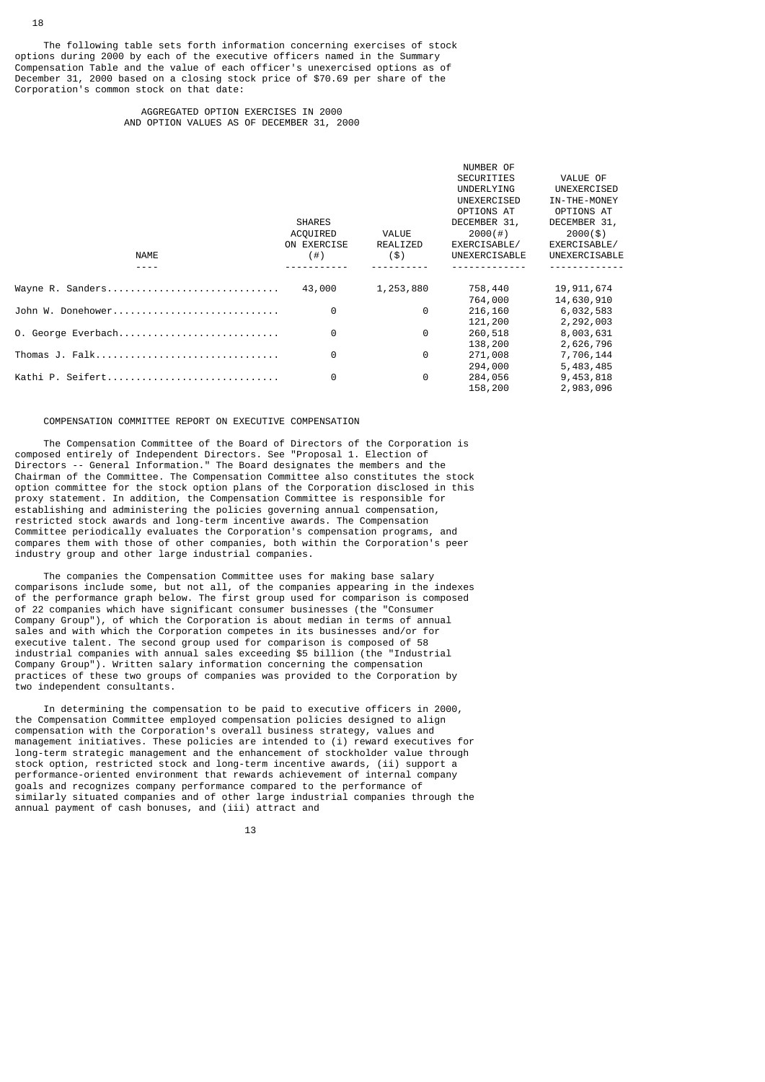The following table sets forth information concerning exercises of stock options during 2000 by each of the executive officers named in the Summary Compensation Table and the value of each officer's unexercised options as of December 31, 2000 based on a closing stock price of \$70.69 per share of the Corporation's common stock on that date:

# AGGREGATED OPTION EXERCISES IN 2000 AND OPTION VALUES AS OF DECEMBER 31, 2000

|                    |               |           | NUMBER OF         |               |
|--------------------|---------------|-----------|-------------------|---------------|
|                    |               |           | <b>SECURITIES</b> | VALUE OF      |
|                    |               |           | UNDERLYING        | UNEXERCISED   |
|                    |               |           | UNEXERCISED       | IN-THE-MONEY  |
|                    |               |           | OPTIONS AT        | OPTIONS AT    |
|                    | <b>SHARES</b> |           | DECEMBER 31,      | DECEMBER 31,  |
|                    | ACQUIRED      | VALUE     | 2000(#)           | $2000($ \$)   |
|                    | ON EXERCISE   | REALIZED  | EXERCISABLE/      | EXERCISABLE/  |
| <b>NAME</b>        | $($ # $)$     | (5)       | UNEXERCISABLE     | UNEXERCISABLE |
|                    |               |           |                   |               |
| Wayne R. Sanders   | 43,000        | 1,253,880 | 758,440           | 19,911,674    |
|                    |               |           | 764,000           | 14,630,910    |
| John W. Donehower  | 0             | 0         | 216,160           | 6,032,583     |
|                    |               |           | 121,200           | 2,292,003     |
| 0. George Everbach | 0             | 0         | 260,518           | 8,003,631     |
|                    |               |           | 138,200           | 2,626,796     |
| Thomas J. Falk     | 0             | 0         | 271,008           | 7,706,144     |
|                    |               |           | 294,000           | 5,483,485     |
| Kathi P. Seifert   | 0             | 0         | 284,056           | 9,453,818     |
|                    |               |           | 158,200           | 2,983,096     |

## COMPENSATION COMMITTEE REPORT ON EXECUTIVE COMPENSATION

 The Compensation Committee of the Board of Directors of the Corporation is composed entirely of Independent Directors. See "Proposal 1. Election of Directors -- General Information." The Board designates the members and the Chairman of the Committee. The Compensation Committee also constitutes the stock option committee for the stock option plans of the Corporation disclosed in this proxy statement. In addition, the Compensation Committee is responsible for establishing and administering the policies governing annual compensation, restricted stock awards and long-term incentive awards. The Compensation Committee periodically evaluates the Corporation's compensation programs, and compares them with those of other companies, both within the Corporation's peer industry group and other large industrial companies.

 The companies the Compensation Committee uses for making base salary comparisons include some, but not all, of the companies appearing in the indexes of the performance graph below. The first group used for comparison is composed of 22 companies which have significant consumer businesses (the "Consumer Company Group"), of which the Corporation is about median in terms of annual sales and with which the Corporation competes in its businesses and/or for executive talent. The second group used for comparison is composed of 58 industrial companies with annual sales exceeding \$5 billion (the "Industrial Company Group"). Written salary information concerning the compensation practices of these two groups of companies was provided to the Corporation by two independent consultants.

 In determining the compensation to be paid to executive officers in 2000, the Compensation Committee employed compensation policies designed to align compensation with the Corporation's overall business strategy, values and management initiatives. These policies are intended to (i) reward executives for long-term strategic management and the enhancement of stockholder value through stock option, restricted stock and long-term incentive awards, (ii) support a performance-oriented environment that rewards achievement of internal company goals and recognizes company performance compared to the performance of similarly situated companies and of other large industrial companies through the annual payment of cash bonuses, and (iii) attract and

13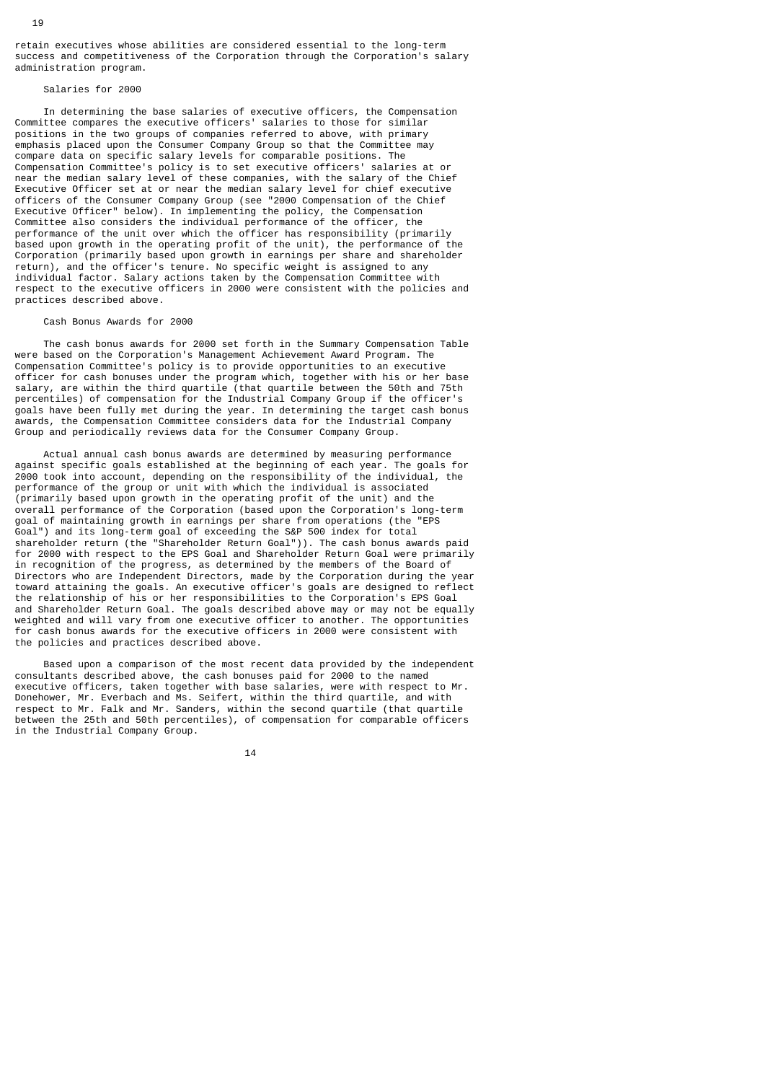retain executives whose abilities are considered essential to the long-term success and competitiveness of the Corporation through the Corporation's salary administration program.

## Salaries for 2000

 In determining the base salaries of executive officers, the Compensation Committee compares the executive officers' salaries to those for similar positions in the two groups of companies referred to above, with primary emphasis placed upon the Consumer Company Group so that the Committee may compare data on specific salary levels for comparable positions. The Compensation Committee's policy is to set executive officers' salaries at or near the median salary level of these companies, with the salary of the Chief Executive Officer set at or near the median salary level for chief executive officers of the Consumer Company Group (see "2000 Compensation of the Chief Executive Officer" below). In implementing the policy, the Compensation Committee also considers the individual performance of the officer, the performance of the unit over which the officer has responsibility (primarily based upon growth in the operating profit of the unit), the performance of the Corporation (primarily based upon growth in earnings per share and shareholder return), and the officer's tenure. No specific weight is assigned to any individual factor. Salary actions taken by the Compensation Committee with respect to the executive officers in 2000 were consistent with the policies and practices described above.

#### Cash Bonus Awards for 2000

 The cash bonus awards for 2000 set forth in the Summary Compensation Table were based on the Corporation's Management Achievement Award Program. The Compensation Committee's policy is to provide opportunities to an executive officer for cash bonuses under the program which, together with his or her base salary, are within the third quartile (that quartile between the 50th and 75th percentiles) of compensation for the Industrial Company Group if the officer's goals have been fully met during the year. In determining the target cash bonus awards, the Compensation Committee considers data for the Industrial Company Group and periodically reviews data for the Consumer Company Group.

 Actual annual cash bonus awards are determined by measuring performance against specific goals established at the beginning of each year. The goals for 2000 took into account, depending on the responsibility of the individual, the performance of the group or unit with which the individual is associated (primarily based upon growth in the operating profit of the unit) and the overall performance of the Corporation (based upon the Corporation's long-term goal of maintaining growth in earnings per share from operations (the "EPS Goal") and its long-term goal of exceeding the S&P 500 index for total shareholder return (the "Shareholder Return Goal")). The cash bonus awards paid for 2000 with respect to the EPS Goal and Shareholder Return Goal were primarily in recognition of the progress, as determined by the members of the Board of Directors who are Independent Directors, made by the Corporation during the year toward attaining the goals. An executive officer's goals are designed to reflect the relationship of his or her responsibilities to the Corporation's EPS Goal and Shareholder Return Goal. The goals described above may or may not be equally weighted and will vary from one executive officer to another. The opportunities for cash bonus awards for the executive officers in 2000 were consistent with the policies and practices described above.

 Based upon a comparison of the most recent data provided by the independent consultants described above, the cash bonuses paid for 2000 to the named executive officers, taken together with base salaries, were with respect to Mr. Donehower, Mr. Everbach and Ms. Seifert, within the third quartile, and with respect to Mr. Falk and Mr. Sanders, within the second quartile (that quartile between the 25th and 50th percentiles), of compensation for comparable officers in the Industrial Company Group.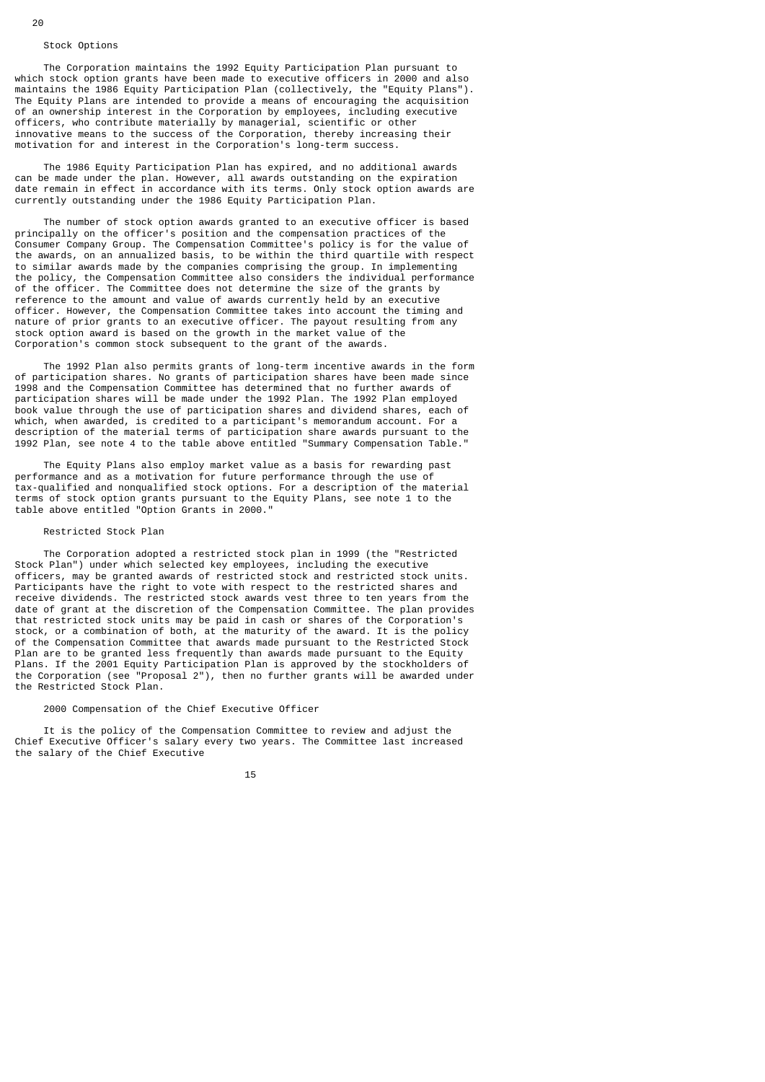#### Stock Options

 The Corporation maintains the 1992 Equity Participation Plan pursuant to which stock option grants have been made to executive officers in 2000 and also maintains the 1986 Equity Participation Plan (collectively, the "Equity Plans"). The Equity Plans are intended to provide a means of encouraging the acquisition of an ownership interest in the Corporation by employees, including executive officers, who contribute materially by managerial, scientific or other innovative means to the success of the Corporation, thereby increasing their motivation for and interest in the Corporation's long-term success.

 The 1986 Equity Participation Plan has expired, and no additional awards can be made under the plan. However, all awards outstanding on the expiration date remain in effect in accordance with its terms. Only stock option awards are currently outstanding under the 1986 Equity Participation Plan.

 The number of stock option awards granted to an executive officer is based principally on the officer's position and the compensation practices of the Consumer Company Group. The Compensation Committee's policy is for the value of the awards, on an annualized basis, to be within the third quartile with respect to similar awards made by the companies comprising the group. In implementing the policy, the Compensation Committee also considers the individual performance of the officer. The Committee does not determine the size of the grants by reference to the amount and value of awards currently held by an executive officer. However, the Compensation Committee takes into account the timing and nature of prior grants to an executive officer. The payout resulting from any stock option award is based on the growth in the market value of the Corporation's common stock subsequent to the grant of the awards.

 The 1992 Plan also permits grants of long-term incentive awards in the form of participation shares. No grants of participation shares have been made since 1998 and the Compensation Committee has determined that no further awards of participation shares will be made under the 1992 Plan. The 1992 Plan employed book value through the use of participation shares and dividend shares, each of which, when awarded, is credited to a participant's memorandum account. For a description of the material terms of participation share awards pursuant to the 1992 Plan, see note 4 to the table above entitled "Summary Compensation Table."

 The Equity Plans also employ market value as a basis for rewarding past performance and as a motivation for future performance through the use of tax-qualified and nonqualified stock options. For a description of the material terms of stock option grants pursuant to the Equity Plans, see note 1 to the table above entitled "Option Grants in 2000."

#### Restricted Stock Plan

 The Corporation adopted a restricted stock plan in 1999 (the "Restricted Stock Plan") under which selected key employees, including the executive officers, may be granted awards of restricted stock and restricted stock units. Participants have the right to vote with respect to the restricted shares and receive dividends. The restricted stock awards vest three to ten years from the date of grant at the discretion of the Compensation Committee. The plan provides that restricted stock units may be paid in cash or shares of the Corporation's stock, or a combination of both, at the maturity of the award. It is the policy of the Compensation Committee that awards made pursuant to the Restricted Stock Plan are to be granted less frequently than awards made pursuant to the Equity Plans. If the 2001 Equity Participation Plan is approved by the stockholders of the Corporation (see "Proposal 2"), then no further grants will be awarded under the Restricted Stock Plan.

# 2000 Compensation of the Chief Executive Officer

 It is the policy of the Compensation Committee to review and adjust the Chief Executive Officer's salary every two years. The Committee last increased the salary of the Chief Executive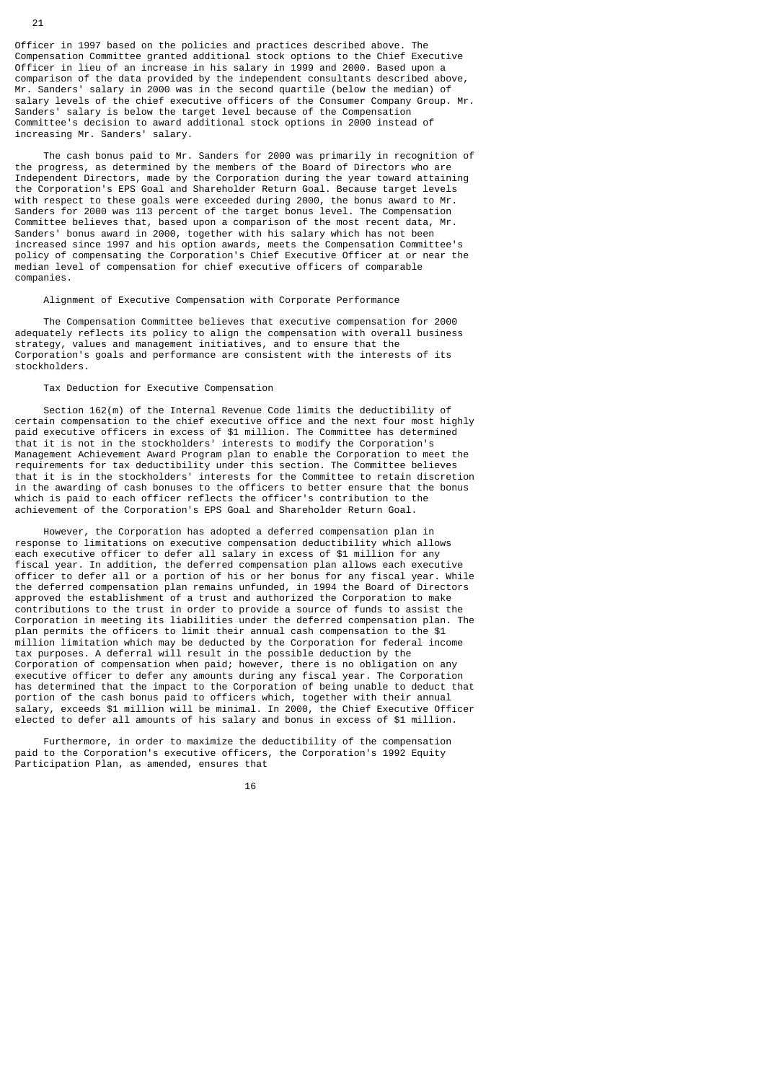Officer in 1997 based on the policies and practices described above. The Compensation Committee granted additional stock options to the Chief Executive Officer in lieu of an increase in his salary in 1999 and 2000. Based upon a comparison of the data provided by the independent consultants described above, Mr. Sanders' salary in 2000 was in the second quartile (below the median) of salary levels of the chief executive officers of the Consumer Company Group. Mr. Sanders' salary is below the target level because of the Compensation Committee's decision to award additional stock options in 2000 instead of increasing Mr. Sanders' salary.

 The cash bonus paid to Mr. Sanders for 2000 was primarily in recognition of the progress, as determined by the members of the Board of Directors who are Independent Directors, made by the Corporation during the year toward attaining the Corporation's EPS Goal and Shareholder Return Goal. Because target levels with respect to these goals were exceeded during 2000, the bonus award to Mr. Sanders for 2000 was 113 percent of the target bonus level. The Compensation Committee believes that, based upon a comparison of the most recent data, Mr. Sanders' bonus award in 2000, together with his salary which has not been increased since 1997 and his option awards, meets the Compensation Committee's policy of compensating the Corporation's Chief Executive Officer at or near the median level of compensation for chief executive officers of comparable companies.

# Alignment of Executive Compensation with Corporate Performance

 The Compensation Committee believes that executive compensation for 2000 adequately reflects its policy to align the compensation with overall business strategy, values and management initiatives, and to ensure that the Corporation's goals and performance are consistent with the interests of its stockholders.

# Tax Deduction for Executive Compensation

 Section 162(m) of the Internal Revenue Code limits the deductibility of certain compensation to the chief executive office and the next four most highly paid executive officers in excess of \$1 million. The Committee has determined that it is not in the stockholders' interests to modify the Corporation's Management Achievement Award Program plan to enable the Corporation to meet the requirements for tax deductibility under this section. The Committee believes that it is in the stockholders' interests for the Committee to retain discretion in the awarding of cash bonuses to the officers to better ensure that the bonus which is paid to each officer reflects the officer's contribution to the achievement of the Corporation's EPS Goal and Shareholder Return Goal.

 However, the Corporation has adopted a deferred compensation plan in response to limitations on executive compensation deductibility which allows each executive officer to defer all salary in excess of \$1 million for any fiscal year. In addition, the deferred compensation plan allows each executive officer to defer all or a portion of his or her bonus for any fiscal year. While the deferred compensation plan remains unfunded, in 1994 the Board of Directors approved the establishment of a trust and authorized the Corporation to make contributions to the trust in order to provide a source of funds to assist the Corporation in meeting its liabilities under the deferred compensation plan. The plan permits the officers to limit their annual cash compensation to the \$1 million limitation which may be deducted by the Corporation for federal income tax purposes. A deferral will result in the possible deduction by the Corporation of compensation when paid; however, there is no obligation on any executive officer to defer any amounts during any fiscal year. The Corporation has determined that the impact to the Corporation of being unable to deduct that portion of the cash bonus paid to officers which, together with their annual salary, exceeds \$1 million will be minimal. In 2000, the Chief Executive Officer elected to defer all amounts of his salary and bonus in excess of \$1 million.

 Furthermore, in order to maximize the deductibility of the compensation paid to the Corporation's executive officers, the Corporation's 1992 Equity Participation Plan, as amended, ensures that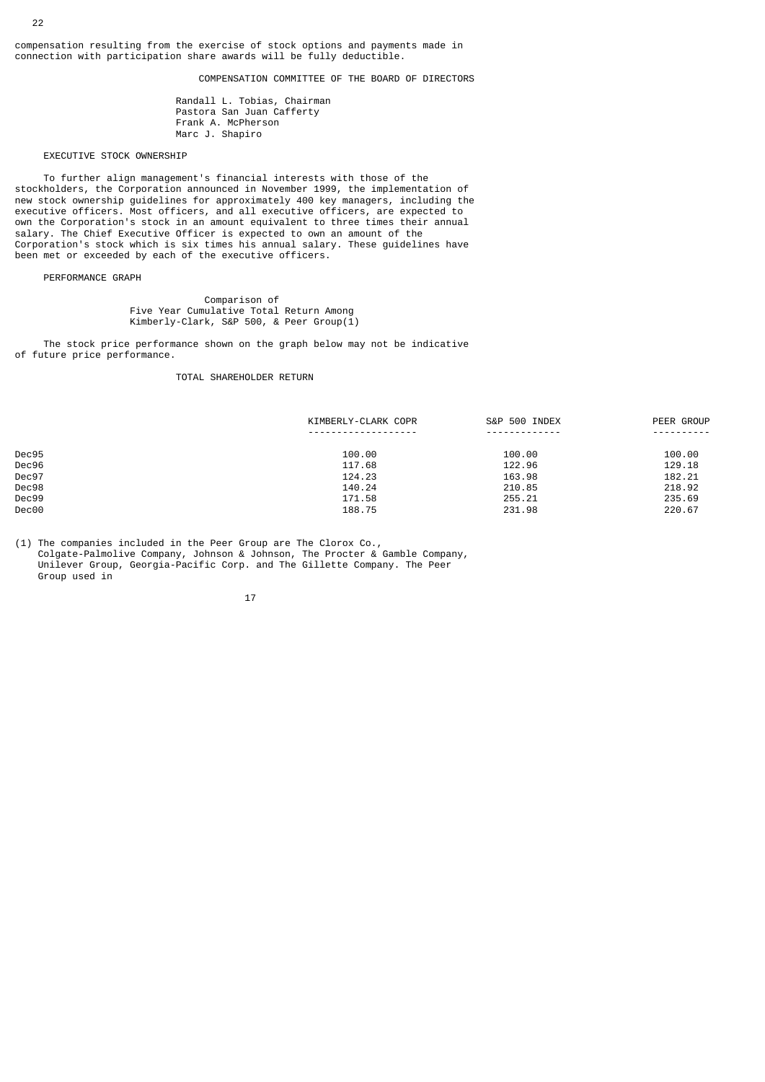compensation resulting from the exercise of stock options and payments made in connection with participation share awards will be fully deductible.

# COMPENSATION COMMITTEE OF THE BOARD OF DIRECTORS

 Randall L. Tobias, Chairman Pastora San Juan Cafferty Frank A. McPherson Marc J. Shapiro

# EXECUTIVE STOCK OWNERSHIP

 To further align management's financial interests with those of the stockholders, the Corporation announced in November 1999, the implementation of new stock ownership guidelines for approximately 400 key managers, including the executive officers. Most officers, and all executive officers, are expected to own the Corporation's stock in an amount equivalent to three times their annual salary. The Chief Executive Officer is expected to own an amount of the Corporation's stock which is six times his annual salary. These guidelines have been met or exceeded by each of the executive officers.

# PERFORMANCE GRAPH

 Comparison of Five Year Cumulative Total Return Among Kimberly-Clark, S&P 500, & Peer Group(1)

 The stock price performance shown on the graph below may not be indicative of future price performance.

# TOTAL SHAREHOLDER RETURN

|       | KIMBERLY-CLARK COPR                   | S&P 500 INDEX | PEER GROUP |
|-------|---------------------------------------|---------------|------------|
|       | - - - - - - - - - - - - - - - - - - - | .             | ---------- |
| Dec95 | 100.00                                | 100.00        | 100.00     |
| Dec96 | 117.68                                | 122.96        | 129.18     |
| Dec97 | 124.23                                | 163.98        | 182.21     |
| Dec98 | 140.24                                | 210.85        | 218.92     |
| Dec99 | 171.58                                | 255.21        | 235.69     |
| Dec00 | 188.75                                | 231.98        | 220.67     |

(1) The companies included in the Peer Group are The Clorox Co., Colgate-Palmolive Company, Johnson & Johnson, The Procter & Gamble Company, Unilever Group, Georgia-Pacific Corp. and The Gillette Company. The Peer Group used in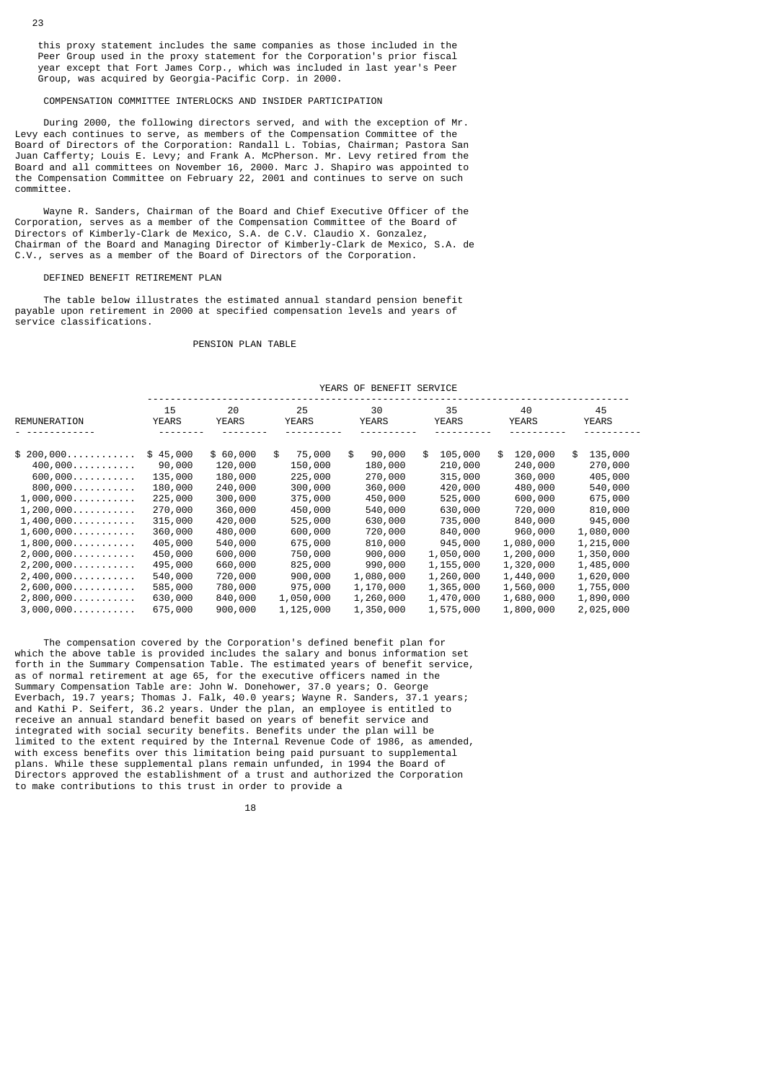this proxy statement includes the same companies as those included in the Peer Group used in the proxy statement for the Corporation's prior fiscal year except that Fort James Corp., which was included in last year's Peer Group, was acquired by Georgia-Pacific Corp. in 2000.

# COMPENSATION COMMITTEE INTERLOCKS AND INSIDER PARTICIPATION

 During 2000, the following directors served, and with the exception of Mr. Levy each continues to serve, as members of the Compensation Committee of the Board of Directors of the Corporation: Randall L. Tobias, Chairman; Pastora San Juan Cafferty; Louis E. Levy; and Frank A. McPherson. Mr. Levy retired from the Board and all committees on November 16, 2000. Marc J. Shapiro was appointed to the Compensation Committee on February 22, 2001 and continues to serve on such committee.

 Wayne R. Sanders, Chairman of the Board and Chief Executive Officer of the Corporation, serves as a member of the Compensation Committee of the Board of Directors of Kimberly-Clark de Mexico, S.A. de C.V. Claudio X. Gonzalez, Chairman of the Board and Managing Director of Kimberly-Clark de Mexico, S.A. de C.V., serves as a member of the Board of Directors of the Corporation.

#### DEFINED BENEFIT RETIREMENT PLAN

 The table below illustrates the estimated annual standard pension benefit payable upon retirement in 2000 at specified compensation levels and years of service classifications.

# PENSION PLAN TABLE

|                                    | 15           | 20           |    | 25           |    | 30           |    | 35           |    | 40           |    | 45           |
|------------------------------------|--------------|--------------|----|--------------|----|--------------|----|--------------|----|--------------|----|--------------|
| REMUNERATION                       | <b>YEARS</b> | <b>YEARS</b> |    | <b>YEARS</b> |    | <b>YEARS</b> |    | <b>YEARS</b> |    | <b>YEARS</b> |    | <b>YEARS</b> |
|                                    |              |              |    |              |    |              |    |              |    |              |    |              |
| $$200,000$                         | \$45,000     | \$60,000     | \$ | 75,000       | \$ | 90,000       | \$ | 105,000      | \$ | 120,000      | \$ | 135,000      |
| $400,000$                          | 90,000       | 120,000      |    | 150,000      |    | 180,000      |    | 210,000      |    | 240,000      |    | 270,000      |
| 600,000                            | 135,000      | 180,000      |    | 225,000      |    | 270,000      |    | 315,000      |    | 360,000      |    | 405,000      |
| 800,000                            | 180,000      | 240,000      |    | 300,000      |    | 360,000      |    | 420,000      |    | 480,000      |    | 540,000      |
| $1,000,000$                        | 225,000      | 300,000      |    | 375,000      |    | 450,000      |    | 525,000      |    | 600,000      |    | 675,000      |
| $1, 200, 000 \ldots \ldots \ldots$ | 270,000      | 360,000      |    | 450,000      |    | 540,000      |    | 630,000      |    | 720,000      |    | 810,000      |
| 1,400,000                          | 315,000      | 420,000      |    | 525,000      |    | 630,000      |    | 735,000      |    | 840,000      |    | 945,000      |
| $1,600,000$                        | 360,000      | 480,000      |    | 600,000      |    | 720,000      |    | 840,000      |    | 960,000      |    | 1,080,000    |
| $1,800,000\dots\dots\dots\dots$    | 405,000      | 540,000      |    | 675,000      |    | 810,000      |    | 945,000      |    | 1,080,000    |    | 1,215,000    |
| 2,000,000                          | 450,000      | 600,000      |    | 750,000      |    | 900,000      |    | 1,050,000    |    | 1,200,000    |    | 1,350,000    |
| $2, 200, 000 \ldots \ldots \ldots$ | 495,000      | 660,000      |    | 825,000      |    | 990,000      |    | 1,155,000    |    | 1,320,000    |    | 1,485,000    |
| 2,400,000                          | 540,000      | 720,000      |    | 900,000      |    | 1,080,000    |    | 1,260,000    |    | 1,440,000    |    | 1,620,000    |
| $2,600,000$                        | 585,000      | 780,000      |    | 975,000      |    | 1,170,000    |    | 1,365,000    |    | 1,560,000    |    | 1,755,000    |
| $2,800,000$                        | 630,000      | 840,000      |    | 1,050,000    |    | 1,260,000    |    | 1,470,000    |    | 1,680,000    |    | 1,890,000    |
| 3,000,000                          | 675,000      | 900,000      |    | 1,125,000    |    | 1,350,000    |    | 1,575,000    |    | 1,800,000    |    | 2,025,000    |

YEARS OF BENEFIT SERVICE

 The compensation covered by the Corporation's defined benefit plan for which the above table is provided includes the salary and bonus information set forth in the Summary Compensation Table. The estimated years of benefit service, as of normal retirement at age 65, for the executive officers named in the Summary Compensation Table are: John W. Donehower, 37.0 years; O. George Everbach, 19.7 years; Thomas J. Falk, 40.0 years; Wayne R. Sanders, 37.1 years; and Kathi P. Seifert, 36.2 years. Under the plan, an employee is entitled to receive an annual standard benefit based on years of benefit service and integrated with social security benefits. Benefits under the plan will be limited to the extent required by the Internal Revenue Code of 1986, as amended, with excess benefits over this limitation being paid pursuant to supplemental plans. While these supplemental plans remain unfunded, in 1994 the Board of Directors approved the establishment of a trust and authorized the Corporation to make contributions to this trust in order to provide a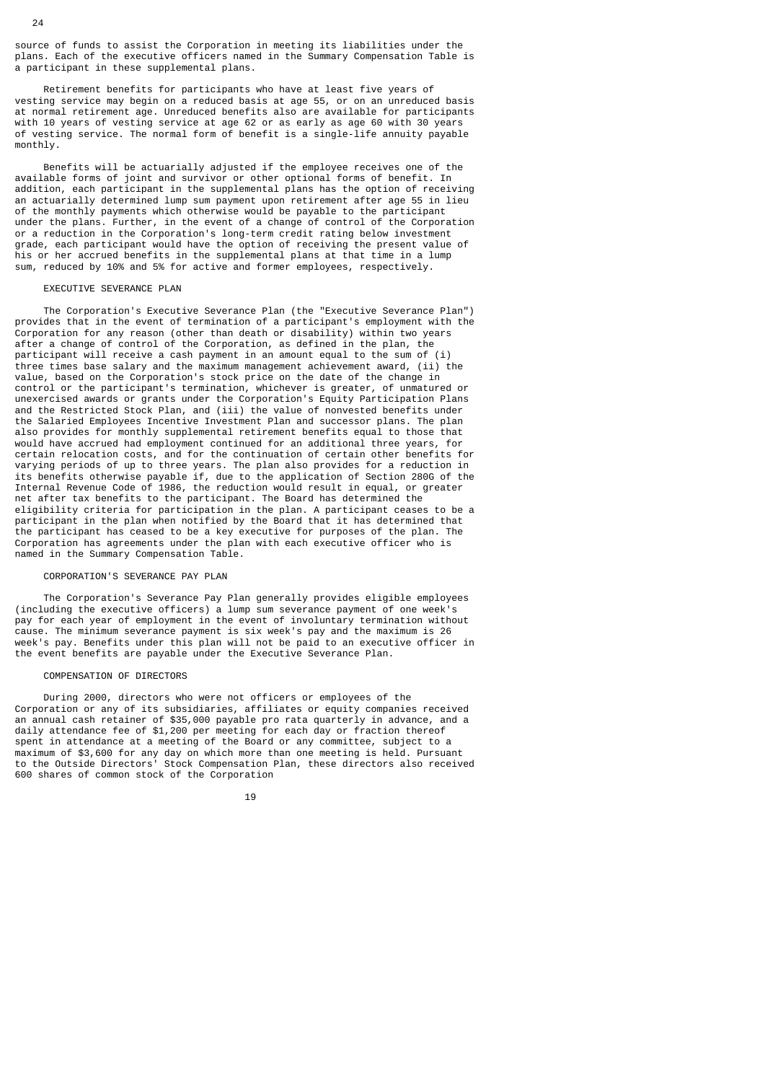source of funds to assist the Corporation in meeting its liabilities under the plans. Each of the executive officers named in the Summary Compensation Table is a participant in these supplemental plans.

 Retirement benefits for participants who have at least five years of vesting service may begin on a reduced basis at age 55, or on an unreduced basis at normal retirement age. Unreduced benefits also are available for participants with 10 years of vesting service at age 62 or as early as age 60 with 30 years of vesting service. The normal form of benefit is a single-life annuity payable monthly.

 Benefits will be actuarially adjusted if the employee receives one of the available forms of joint and survivor or other optional forms of benefit. In addition, each participant in the supplemental plans has the option of receiving an actuarially determined lump sum payment upon retirement after age 55 in lieu of the monthly payments which otherwise would be payable to the participant under the plans. Further, in the event of a change of control of the Corporation or a reduction in the Corporation's long-term credit rating below investment grade, each participant would have the option of receiving the present value of his or her accrued benefits in the supplemental plans at that time in a lump sum, reduced by 10% and 5% for active and former employees, respectively.

#### EXECUTIVE SEVERANCE PLAN

 The Corporation's Executive Severance Plan (the "Executive Severance Plan") provides that in the event of termination of a participant's employment with the Corporation for any reason (other than death or disability) within two years after a change of control of the Corporation, as defined in the plan, the participant will receive a cash payment in an amount equal to the sum of (i) three times base salary and the maximum management achievement award, (ii) the value, based on the Corporation's stock price on the date of the change in control or the participant's termination, whichever is greater, of unmatured or unexercised awards or grants under the Corporation's Equity Participation Plans and the Restricted Stock Plan, and (iii) the value of nonvested benefits under the Salaried Employees Incentive Investment Plan and successor plans. The plan also provides for monthly supplemental retirement benefits equal to those that would have accrued had employment continued for an additional three years, for certain relocation costs, and for the continuation of certain other benefits for varying periods of up to three years. The plan also provides for a reduction in its benefits otherwise payable if, due to the application of Section 280G of the Internal Revenue Code of 1986, the reduction would result in equal, or greater net after tax benefits to the participant. The Board has determined the eligibility criteria for participation in the plan. A participant ceases to be a participant in the plan when notified by the Board that it has determined that the participant has ceased to be a key executive for purposes of the plan. The Corporation has agreements under the plan with each executive officer who is named in the Summary Compensation Table.

#### CORPORATION'S SEVERANCE PAY PLAN

 The Corporation's Severance Pay Plan generally provides eligible employees (including the executive officers) a lump sum severance payment of one week's pay for each year of employment in the event of involuntary termination without cause. The minimum severance payment is six week's pay and the maximum is 26 week's pay. Benefits under this plan will not be paid to an executive officer in the event benefits are payable under the Executive Severance Plan.

## COMPENSATION OF DIRECTORS

 During 2000, directors who were not officers or employees of the Corporation or any of its subsidiaries, affiliates or equity companies received an annual cash retainer of \$35,000 payable pro rata quarterly in advance, and a daily attendance fee of \$1,200 per meeting for each day or fraction thereof spent in attendance at a meeting of the Board or any committee, subject to a maximum of \$3,600 for any day on which more than one meeting is held. Pursuant to the Outside Directors' Stock Compensation Plan, these directors also received 600 shares of common stock of the Corporation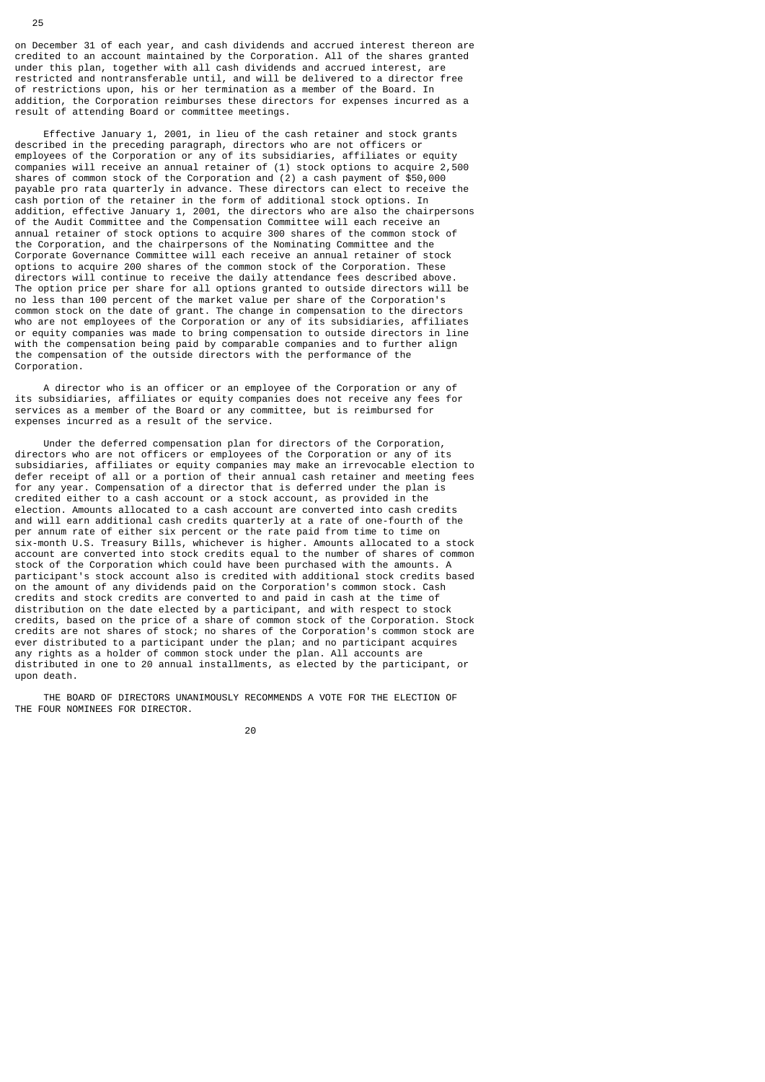on December 31 of each year, and cash dividends and accrued interest thereon are credited to an account maintained by the Corporation. All of the shares granted under this plan, together with all cash dividends and accrued interest, are restricted and nontransferable until, and will be delivered to a director free of restrictions upon, his or her termination as a member of the Board. In addition, the Corporation reimburses these directors for expenses incurred as a result of attending Board or committee meetings.

 Effective January 1, 2001, in lieu of the cash retainer and stock grants described in the preceding paragraph, directors who are not officers or employees of the Corporation or any of its subsidiaries, affiliates or equity companies will receive an annual retainer of (1) stock options to acquire 2,500 shares of common stock of the Corporation and (2) a cash payment of \$50,000 payable pro rata quarterly in advance. These directors can elect to receive the cash portion of the retainer in the form of additional stock options. In addition, effective January 1, 2001, the directors who are also the chairpersons of the Audit Committee and the Compensation Committee will each receive an annual retainer of stock options to acquire 300 shares of the common stock of the Corporation, and the chairpersons of the Nominating Committee and the Corporate Governance Committee will each receive an annual retainer of stock options to acquire 200 shares of the common stock of the Corporation. These directors will continue to receive the daily attendance fees described above. The option price per share for all options granted to outside directors will be no less than 100 percent of the market value per share of the Corporation's common stock on the date of grant. The change in compensation to the directors who are not employees of the Corporation or any of its subsidiaries, affiliates or equity companies was made to bring compensation to outside directors in line with the compensation being paid by comparable companies and to further align the compensation of the outside directors with the performance of the Corporation

 A director who is an officer or an employee of the Corporation or any of its subsidiaries, affiliates or equity companies does not receive any fees for services as a member of the Board or any committee, but is reimbursed for expenses incurred as a result of the service.

 Under the deferred compensation plan for directors of the Corporation, directors who are not officers or employees of the Corporation or any of its subsidiaries, affiliates or equity companies may make an irrevocable election to defer receipt of all or a portion of their annual cash retainer and meeting fees for any year. Compensation of a director that is deferred under the plan is credited either to a cash account or a stock account, as provided in the election. Amounts allocated to a cash account are converted into cash credits and will earn additional cash credits quarterly at a rate of one-fourth of the per annum rate of either six percent or the rate paid from time to time on six-month U.S. Treasury Bills, whichever is higher. Amounts allocated to a stock account are converted into stock credits equal to the number of shares of common stock of the Corporation which could have been purchased with the amounts. A participant's stock account also is credited with additional stock credits based on the amount of any dividends paid on the Corporation's common stock. Cash credits and stock credits are converted to and paid in cash at the time of distribution on the date elected by a participant, and with respect to stock credits, based on the price of a share of common stock of the Corporation. Stock credits are not shares of stock; no shares of the Corporation's common stock are ever distributed to a participant under the plan; and no participant acquires any rights as a holder of common stock under the plan. All accounts are distributed in one to 20 annual installments, as elected by the participant, or upon death.

 THE BOARD OF DIRECTORS UNANIMOUSLY RECOMMENDS A VOTE FOR THE ELECTION OF THE FOUR NOMINEES FOR DIRECTOR.

 $20$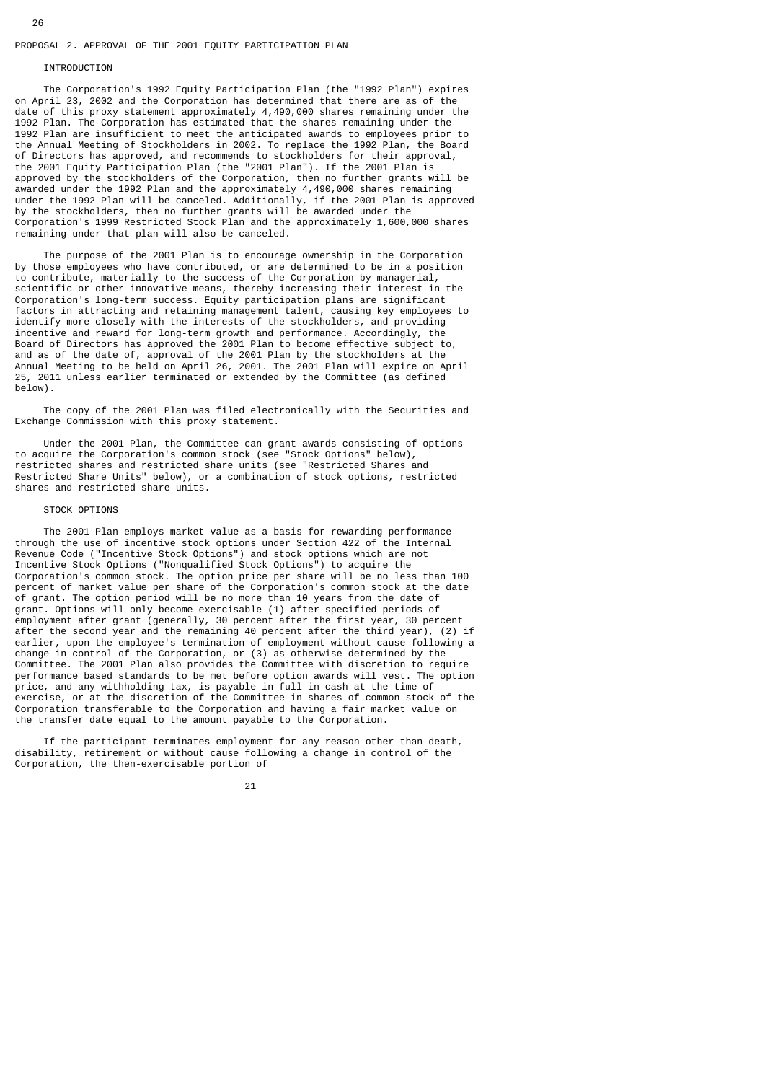## PROPOSAL 2. APPROVAL OF THE 2001 EQUITY PARTICIPATION PLAN

#### **INTRODUCTION**

 The Corporation's 1992 Equity Participation Plan (the "1992 Plan") expires on April 23, 2002 and the Corporation has determined that there are as of the date of this proxy statement approximately 4,490,000 shares remaining under the 1992 Plan. The Corporation has estimated that the shares remaining under the 1992 Plan are insufficient to meet the anticipated awards to employees prior to the Annual Meeting of Stockholders in 2002. To replace the 1992 Plan, the Board of Directors has approved, and recommends to stockholders for their approval, the 2001 Equity Participation Plan (the "2001 Plan"). If the 2001 Plan is approved by the stockholders of the Corporation, then no further grants will be awarded under the 1992 Plan and the approximately 4,490,000 shares remaining under the 1992 Plan will be canceled. Additionally, if the 2001 Plan is approved by the stockholders, then no further grants will be awarded under the Corporation's 1999 Restricted Stock Plan and the approximately 1,600,000 shares remaining under that plan will also be canceled.

 The purpose of the 2001 Plan is to encourage ownership in the Corporation by those employees who have contributed, or are determined to be in a position to contribute, materially to the success of the Corporation by managerial, scientific or other innovative means, thereby increasing their interest in the Corporation's long-term success. Equity participation plans are significant factors in attracting and retaining management talent, causing key employees to identify more closely with the interests of the stockholders, and providing incentive and reward for long-term growth and performance. Accordingly, the Board of Directors has approved the 2001 Plan to become effective subject to, and as of the date of, approval of the 2001 Plan by the stockholders at the Annual Meeting to be held on April 26, 2001. The 2001 Plan will expire on April 25, 2011 unless earlier terminated or extended by the Committee (as defined below).

 The copy of the 2001 Plan was filed electronically with the Securities and Exchange Commission with this proxy statement.

 Under the 2001 Plan, the Committee can grant awards consisting of options to acquire the Corporation's common stock (see "Stock Options" below), restricted shares and restricted share units (see "Restricted Shares and Restricted Share Units" below), or a combination of stock options, restricted shares and restricted share units.

#### STOCK OPTIONS

 The 2001 Plan employs market value as a basis for rewarding performance through the use of incentive stock options under Section 422 of the Internal Revenue Code ("Incentive Stock Options") and stock options which are not Incentive Stock Options ("Nonqualified Stock Options") to acquire the Corporation's common stock. The option price per share will be no less than 100 percent of market value per share of the Corporation's common stock at the date of grant. The option period will be no more than 10 years from the date of grant. Options will only become exercisable (1) after specified periods of employment after grant (generally, 30 percent after the first year, 30 percent after the second year and the remaining 40 percent after the third year), (2) if earlier, upon the employee's termination of employment without cause following a change in control of the Corporation, or (3) as otherwise determined by the Committee. The 2001 Plan also provides the Committee with discretion to require performance based standards to be met before option awards will vest. The option price, and any withholding tax, is payable in full in cash at the time of exercise, or at the discretion of the Committee in shares of common stock of the Corporation transferable to the Corporation and having a fair market value on the transfer date equal to the amount payable to the Corporation.

 If the participant terminates employment for any reason other than death, disability, retirement or without cause following a change in control of the Corporation, the then-exercisable portion of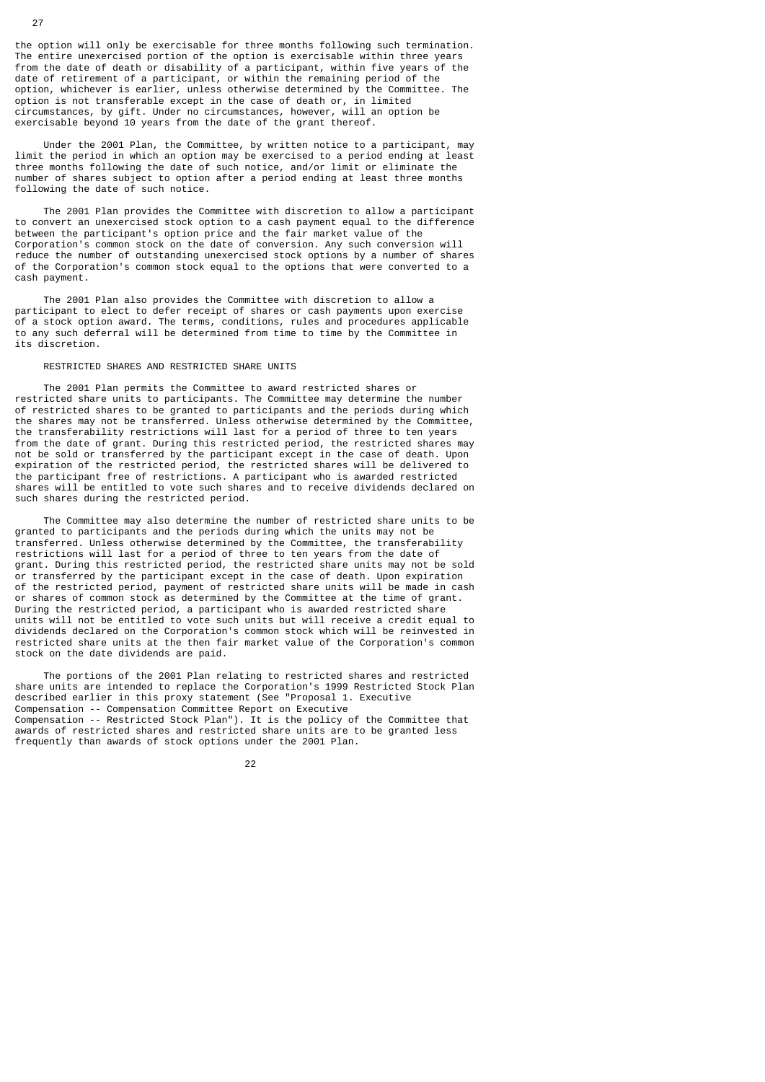the option will only be exercisable for three months following such termination. The entire unexercised portion of the option is exercisable within three years from the date of death or disability of a participant, within five years of the date of retirement of a participant, or within the remaining period of the option, whichever is earlier, unless otherwise determined by the Committee. The option is not transferable except in the case of death or, in limited circumstances, by gift. Under no circumstances, however, will an option be exercisable beyond 10 years from the date of the grant thereof.

 Under the 2001 Plan, the Committee, by written notice to a participant, may limit the period in which an option may be exercised to a period ending at least three months following the date of such notice, and/or limit or eliminate the number of shares subject to option after a period ending at least three months following the date of such notice.

 The 2001 Plan provides the Committee with discretion to allow a participant to convert an unexercised stock option to a cash payment equal to the difference between the participant's option price and the fair market value of the Corporation's common stock on the date of conversion. Any such conversion will reduce the number of outstanding unexercised stock options by a number of shares of the Corporation's common stock equal to the options that were converted to a cash payment.

 The 2001 Plan also provides the Committee with discretion to allow a participant to elect to defer receipt of shares or cash payments upon exercise of a stock option award. The terms, conditions, rules and procedures applicable to any such deferral will be determined from time to time by the Committee in its discretion.

# RESTRICTED SHARES AND RESTRICTED SHARE UNITS

 The 2001 Plan permits the Committee to award restricted shares or restricted share units to participants. The Committee may determine the number of restricted shares to be granted to participants and the periods during which the shares may not be transferred. Unless otherwise determined by the Committee, the transferability restrictions will last for a period of three to ten years from the date of grant. During this restricted period, the restricted shares may not be sold or transferred by the participant except in the case of death. Upon expiration of the restricted period, the restricted shares will be delivered to the participant free of restrictions. A participant who is awarded restricted shares will be entitled to vote such shares and to receive dividends declared on such shares during the restricted period.

 The Committee may also determine the number of restricted share units to be granted to participants and the periods during which the units may not be transferred. Unless otherwise determined by the Committee, the transferability restrictions will last for a period of three to ten years from the date of grant. During this restricted period, the restricted share units may not be sold or transferred by the participant except in the case of death. Upon expiration of the restricted period, payment of restricted share units will be made in cash or shares of common stock as determined by the Committee at the time of grant. During the restricted period, a participant who is awarded restricted share units will not be entitled to vote such units but will receive a credit equal to dividends declared on the Corporation's common stock which will be reinvested in restricted share units at the then fair market value of the Corporation's common stock on the date dividends are paid.

 The portions of the 2001 Plan relating to restricted shares and restricted share units are intended to replace the Corporation's 1999 Restricted Stock Plan described earlier in this proxy statement (See "Proposal 1. Executive Compensation -- Compensation Committee Report on Executive Compensation -- Restricted Stock Plan"). It is the policy of the Committee that awards of restricted shares and restricted share units are to be granted less frequently than awards of stock options under the 2001 Plan.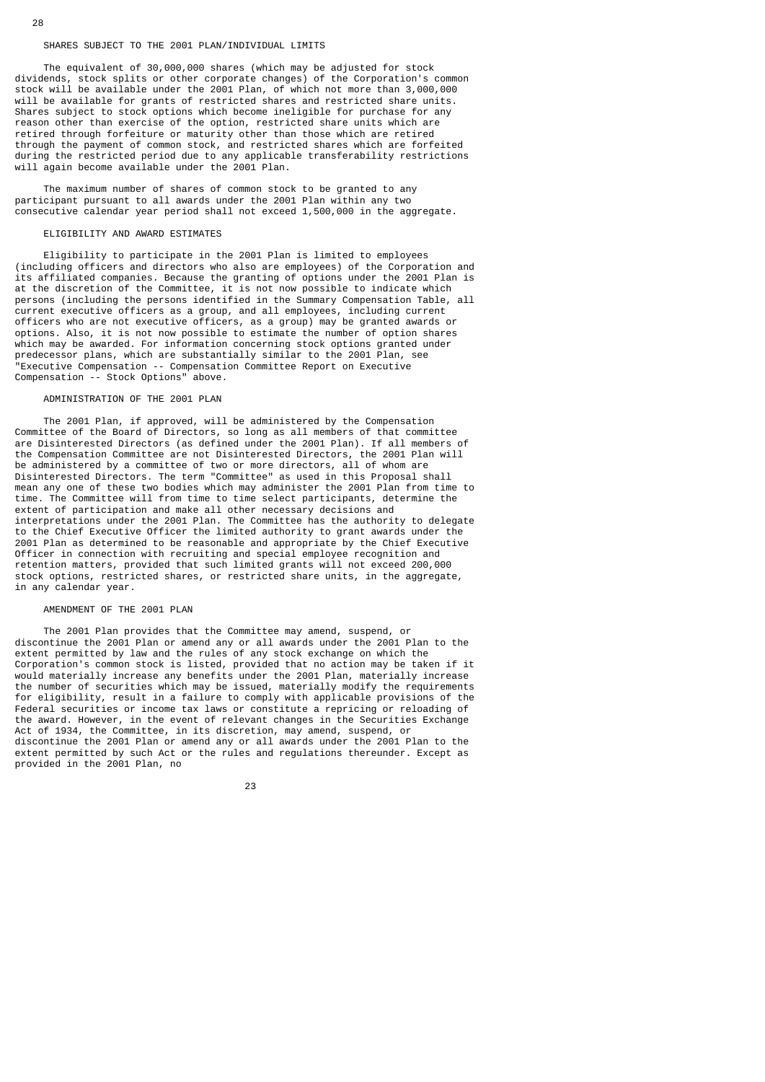# SHARES SUBJECT TO THE 2001 PLAN/INDIVIDUAL LIMITS

 The equivalent of 30,000,000 shares (which may be adjusted for stock dividends, stock splits or other corporate changes) of the Corporation's common stock will be available under the 2001 Plan, of which not more than 3,000,000 will be available for grants of restricted shares and restricted share units. Shares subject to stock options which become ineligible for purchase for any reason other than exercise of the option, restricted share units which are retired through forfeiture or maturity other than those which are retired through the payment of common stock, and restricted shares which are forfeited during the restricted period due to any applicable transferability restrictions will again become available under the 2001 Plan.

 The maximum number of shares of common stock to be granted to any participant pursuant to all awards under the 2001 Plan within any two consecutive calendar year period shall not exceed 1,500,000 in the aggregate.

#### ELIGIBILITY AND AWARD ESTIMATES

 Eligibility to participate in the 2001 Plan is limited to employees (including officers and directors who also are employees) of the Corporation and its affiliated companies. Because the granting of options under the 2001 Plan is at the discretion of the Committee, it is not now possible to indicate which persons (including the persons identified in the Summary Compensation Table, all current executive officers as a group, and all employees, including current officers who are not executive officers, as a group) may be granted awards or options. Also, it is not now possible to estimate the number of option shares which may be awarded. For information concerning stock options granted under predecessor plans, which are substantially similar to the 2001 Plan, see "Executive Compensation -- Compensation Committee Report on Executive Compensation -- Stock Options" above.

# ADMINISTRATION OF THE 2001 PLAN

 The 2001 Plan, if approved, will be administered by the Compensation Committee of the Board of Directors, so long as all members of that committee are Disinterested Directors (as defined under the 2001 Plan). If all members of the Compensation Committee are not Disinterested Directors, the 2001 Plan will be administered by a committee of two or more directors, all of whom are Disinterested Directors. The term "Committee" as used in this Proposal shall mean any one of these two bodies which may administer the 2001 Plan from time to time. The Committee will from time to time select participants, determine the extent of participation and make all other necessary decisions and interpretations under the 2001 Plan. The Committee has the authority to delegate to the Chief Executive Officer the limited authority to grant awards under the 2001 Plan as determined to be reasonable and appropriate by the Chief Executive Officer in connection with recruiting and special employee recognition and retention matters, provided that such limited grants will not exceed 200,000 stock options, restricted shares, or restricted share units, in the aggregate, in any calendar year.

## AMENDMENT OF THE 2001 PLAN

 The 2001 Plan provides that the Committee may amend, suspend, or discontinue the 2001 Plan or amend any or all awards under the 2001 Plan to the extent permitted by law and the rules of any stock exchange on which the Corporation's common stock is listed, provided that no action may be taken if it would materially increase any benefits under the 2001 Plan, materially increase the number of securities which may be issued, materially modify the requirements for eligibility, result in a failure to comply with applicable provisions of the Federal securities or income tax laws or constitute a repricing or reloading of the award. However, in the event of relevant changes in the Securities Exchange Act of 1934, the Committee, in its discretion, may amend, suspend, or discontinue the 2001 Plan or amend any or all awards under the 2001 Plan to the extent permitted by such Act or the rules and regulations thereunder. Except as provided in the 2001 Plan, no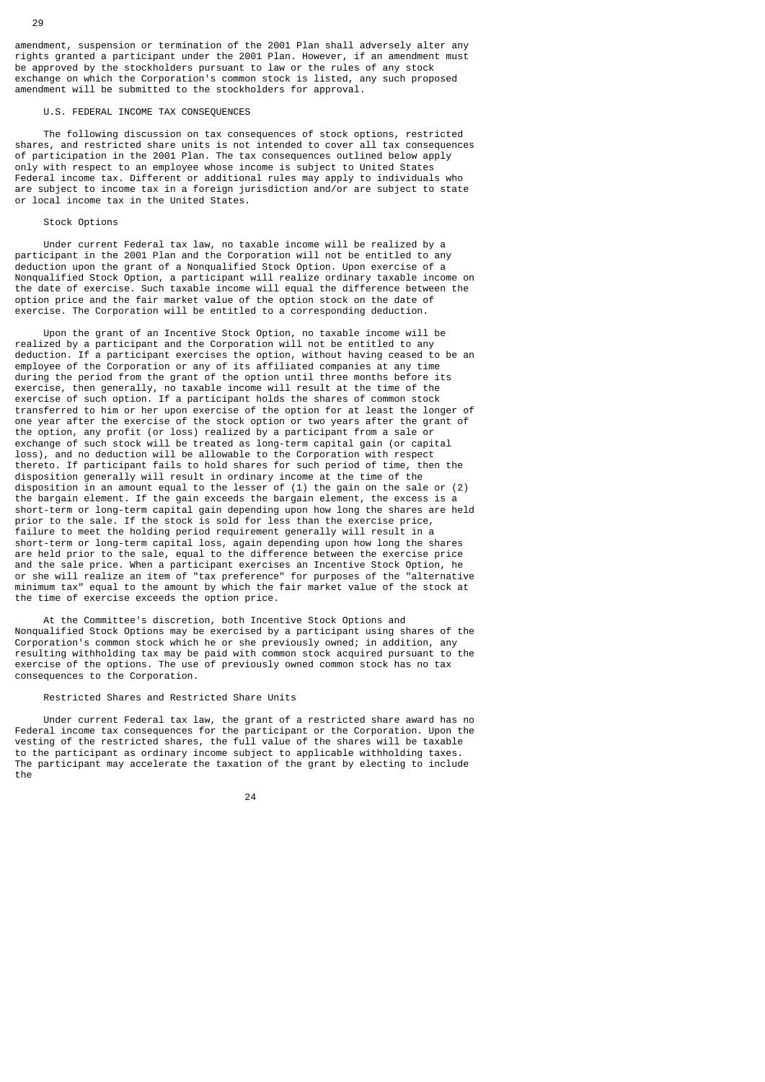amendment, suspension or termination of the 2001 Plan shall adversely alter any rights granted a participant under the 2001 Plan. However, if an amendment must be approved by the stockholders pursuant to law or the rules of any stock exchange on which the Corporation's common stock is listed, any such proposed amendment will be submitted to the stockholders for approval.

# U.S. FEDERAL INCOME TAX CONSEQUENCES

 The following discussion on tax consequences of stock options, restricted shares, and restricted share units is not intended to cover all tax consequences of participation in the 2001 Plan. The tax consequences outlined below apply only with respect to an employee whose income is subject to United States Federal income tax. Different or additional rules may apply to individuals who are subject to income tax in a foreign jurisdiction and/or are subject to state or local income tax in the United States.

#### Stock Ontions

 Under current Federal tax law, no taxable income will be realized by a participant in the 2001 Plan and the Corporation will not be entitled to any deduction upon the grant of a Nonqualified Stock Option. Upon exercise of a Nonqualified Stock Option, a participant will realize ordinary taxable income on the date of exercise. Such taxable income will equal the difference between the option price and the fair market value of the option stock on the date of exercise. The Corporation will be entitled to a corresponding deduction.

 Upon the grant of an Incentive Stock Option, no taxable income will be realized by a participant and the Corporation will not be entitled to any deduction. If a participant exercises the option, without having ceased to be an employee of the Corporation or any of its affiliated companies at any time during the period from the grant of the option until three months before its exercise, then generally, no taxable income will result at the time of the exercise of such option. If a participant holds the shares of common stock transferred to him or her upon exercise of the option for at least the longer of one year after the exercise of the stock option or two years after the grant of the option, any profit (or loss) realized by a participant from a sale or exchange of such stock will be treated as long-term capital gain (or capital loss), and no deduction will be allowable to the Corporation with respect thereto. If participant fails to hold shares for such period of time, then the disposition generally will result in ordinary income at the time of the disposition in an amount equal to the lesser of (1) the gain on the sale or (2) the bargain element. If the gain exceeds the bargain element, the excess is a short-term or long-term capital gain depending upon how long the shares are held prior to the sale. If the stock is sold for less than the exercise price, failure to meet the holding period requirement generally will result in a short-term or long-term capital loss, again depending upon how long the shares are held prior to the sale, equal to the difference between the exercise price and the sale price. When a participant exercises an Incentive Stock Option, he or she will realize an item of "tax preference" for purposes of the "alternative minimum tax" equal to the amount by which the fair market value of the stock at the time of exercise exceeds the option price.

 At the Committee's discretion, both Incentive Stock Options and Nonqualified Stock Options may be exercised by a participant using shares of the Corporation's common stock which he or she previously owned; in addition, any resulting withholding tax may be paid with common stock acquired pursuant to the exercise of the options. The use of previously owned common stock has no tax consequences to the Corporation.

# Restricted Shares and Restricted Share Units

 Under current Federal tax law, the grant of a restricted share award has no Federal income tax consequences for the participant or the Corporation. Upon the vesting of the restricted shares, the full value of the shares will be taxable to the participant as ordinary income subject to applicable withholding taxes. The participant may accelerate the taxation of the grant by electing to include the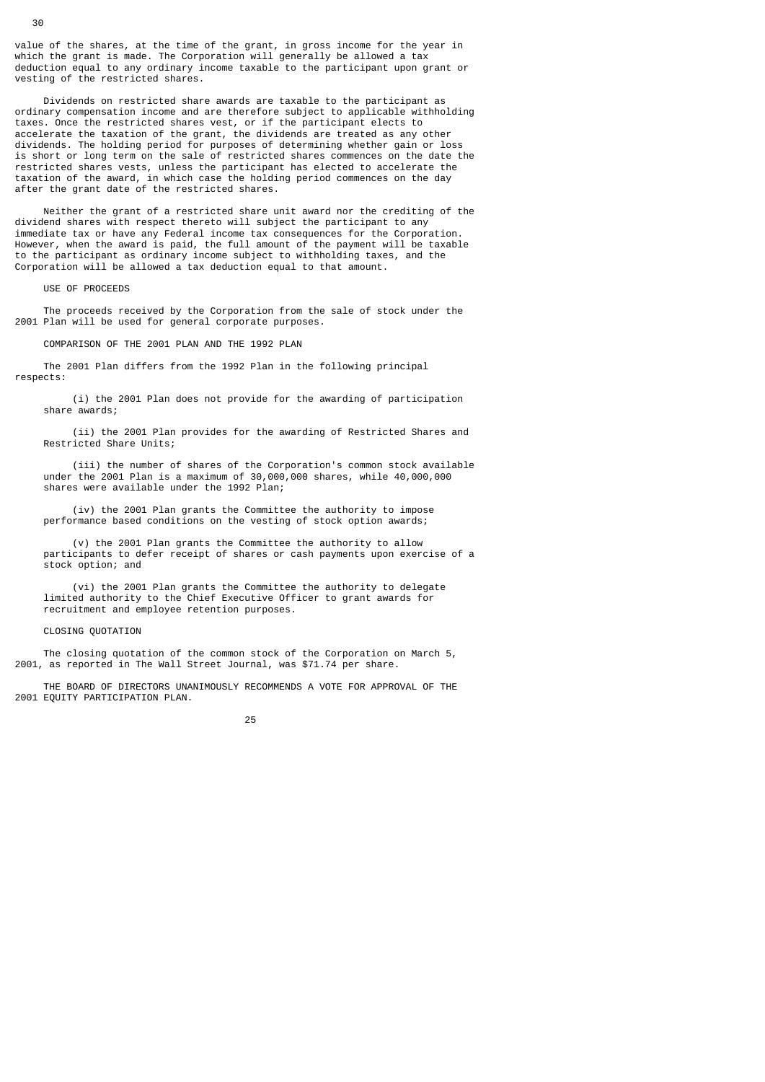value of the shares, at the time of the grant, in gross income for the year in which the grant is made. The Corporation will generally be allowed a tax deduction equal to any ordinary income taxable to the participant upon grant or vesting of the restricted shares.

 Dividends on restricted share awards are taxable to the participant as ordinary compensation income and are therefore subject to applicable withholding taxes. Once the restricted shares vest, or if the participant elects to accelerate the taxation of the grant, the dividends are treated as any other dividends. The holding period for purposes of determining whether gain or loss is short or long term on the sale of restricted shares commences on the date the restricted shares vests, unless the participant has elected to accelerate the taxation of the award, in which case the holding period commences on the day after the grant date of the restricted shares.

 Neither the grant of a restricted share unit award nor the crediting of the dividend shares with respect thereto will subject the participant to any immediate tax or have any Federal income tax consequences for the Corporation. However, when the award is paid, the full amount of the payment will be taxable to the participant as ordinary income subject to withholding taxes, and the Corporation will be allowed a tax deduction equal to that amount.

USE OF PROCEEDS

 The proceeds received by the Corporation from the sale of stock under the 2001 Plan will be used for general corporate purposes.

COMPARISON OF THE 2001 PLAN AND THE 1992 PLAN

 The 2001 Plan differs from the 1992 Plan in the following principal respects:

 (i) the 2001 Plan does not provide for the awarding of participation share awards;

 (ii) the 2001 Plan provides for the awarding of Restricted Shares and Restricted Share Units;

 (iii) the number of shares of the Corporation's common stock available under the 2001 Plan is a maximum of 30,000,000 shares, while 40,000,000 shares were available under the 1992 Plan;

 (iv) the 2001 Plan grants the Committee the authority to impose performance based conditions on the vesting of stock option awards;

 (v) the 2001 Plan grants the Committee the authority to allow participants to defer receipt of shares or cash payments upon exercise of a stock option; and

 (vi) the 2001 Plan grants the Committee the authority to delegate limited authority to the Chief Executive Officer to grant awards for recruitment and employee retention purposes.

#### CLOSING QUOTATION

 The closing quotation of the common stock of the Corporation on March 5, 2001, as reported in The Wall Street Journal, was \$71.74 per share.

 THE BOARD OF DIRECTORS UNANIMOUSLY RECOMMENDS A VOTE FOR APPROVAL OF THE 2001 EQUITY PARTICIPATION PLAN.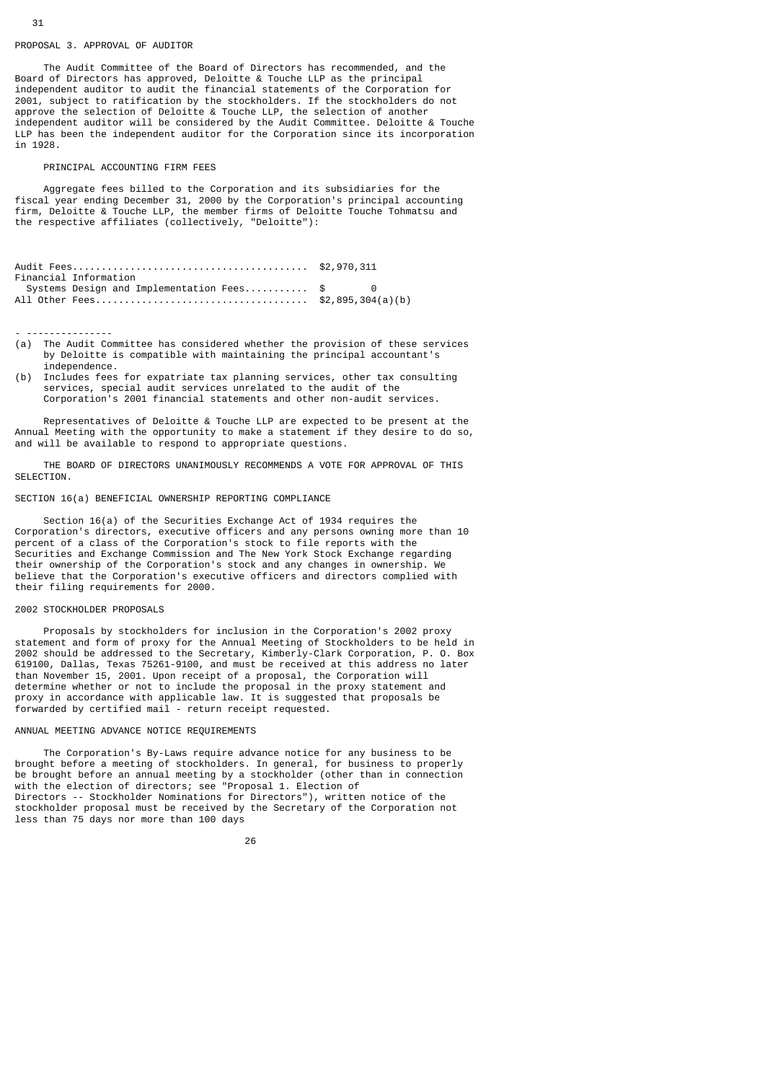# PROPOSAL 3. APPROVAL OF AUDITOR

 The Audit Committee of the Board of Directors has recommended, and the Board of Directors has approved, Deloitte & Touche LLP as the principal independent auditor to audit the financial statements of the Corporation for 2001, subject to ratification by the stockholders. If the stockholders do not approve the selection of Deloitte & Touche LLP, the selection of another independent auditor will be considered by the Audit Committee. Deloitte & Touche LLP has been the independent auditor for the Corporation since its incorporation in 1928.

# PRINCIPAL ACCOUNTING FIRM FEES

 Aggregate fees billed to the Corporation and its subsidiaries for the fiscal year ending December 31, 2000 by the Corporation's principal accounting firm, Deloitte & Touche LLP, the member firms of Deloitte Touche Tohmatsu and the respective affiliates (collectively, "Deloitte"):

| Financial Information |                                                                            |  |
|-----------------------|----------------------------------------------------------------------------|--|
|                       | Systems Design and Implementation Fees $\text{\$} \qquad \qquad \text{\$}$ |  |
|                       |                                                                            |  |

- ---------------

- (a) The Audit Committee has considered whether the provision of these services by Deloitte is compatible with maintaining the principal accountant's independence.
- (b) Includes fees for expatriate tax planning services, other tax consulting services, special audit services unrelated to the audit of the Corporation's 2001 financial statements and other non-audit services.

 Representatives of Deloitte & Touche LLP are expected to be present at the Annual Meeting with the opportunity to make a statement if they desire to do so, and will be available to respond to appropriate questions.

 THE BOARD OF DIRECTORS UNANIMOUSLY RECOMMENDS A VOTE FOR APPROVAL OF THIS SELECTTON.

# SECTION 16(a) BENEFICIAL OWNERSHIP REPORTING COMPLIANCE

 Section 16(a) of the Securities Exchange Act of 1934 requires the Corporation's directors, executive officers and any persons owning more than 10 percent of a class of the Corporation's stock to file reports with the Securities and Exchange Commission and The New York Stock Exchange regarding their ownership of the Corporation's stock and any changes in ownership. We believe that the Corporation's executive officers and directors complied with their filing requirements for 2000.

# 2002 STOCKHOLDER PROPOSALS

 Proposals by stockholders for inclusion in the Corporation's 2002 proxy statement and form of proxy for the Annual Meeting of Stockholders to be held in 2002 should be addressed to the Secretary, Kimberly-Clark Corporation, P. O. Box 619100, Dallas, Texas 75261-9100, and must be received at this address no later than November 15, 2001. Upon receipt of a proposal, the Corporation will determine whether or not to include the proposal in the proxy statement and proxy in accordance with applicable law. It is suggested that proposals be forwarded by certified mail - return receipt requested.

#### ANNUAL MEETING ADVANCE NOTICE REQUIREMENTS

 The Corporation's By-Laws require advance notice for any business to be brought before a meeting of stockholders. In general, for business to properly be brought before an annual meeting by a stockholder (other than in connection with the election of directors; see "Proposal 1. Election of Directors -- Stockholder Nominations for Directors"), written notice of the stockholder proposal must be received by the Secretary of the Corporation not less than 75 days nor more than 100 days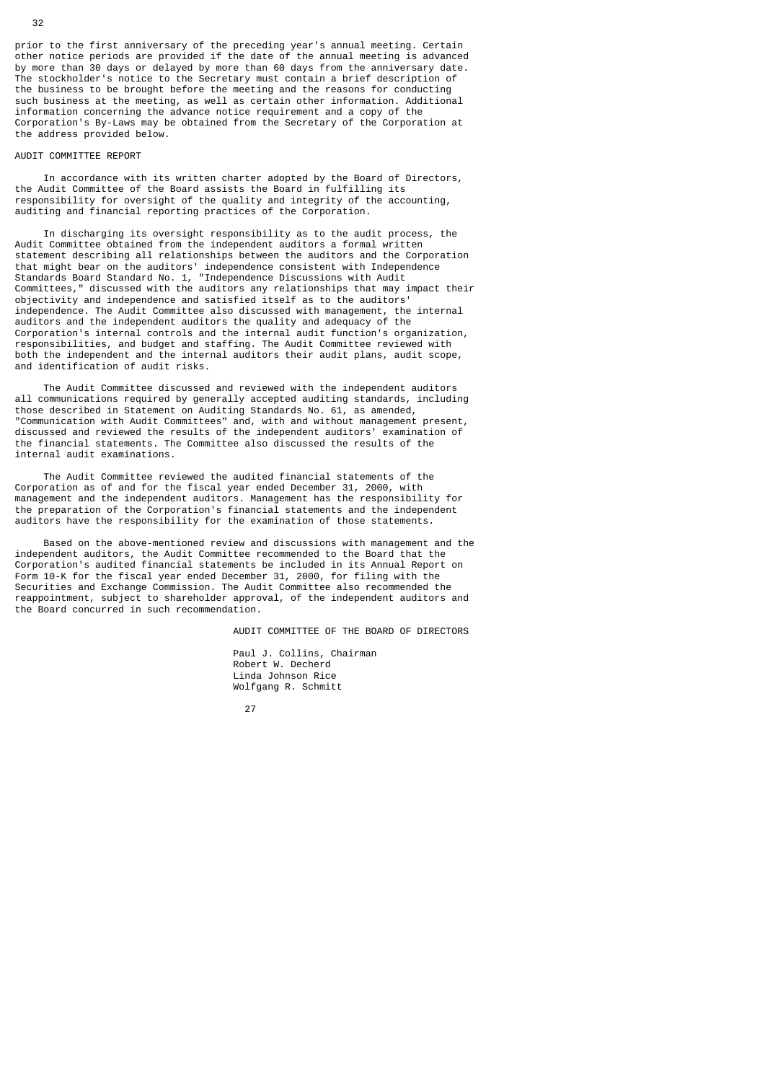prior to the first anniversary of the preceding year's annual meeting. Certain other notice periods are provided if the date of the annual meeting is advanced by more than 30 days or delayed by more than 60 days from the anniversary date. The stockholder's notice to the Secretary must contain a brief description of the business to be brought before the meeting and the reasons for conducting such business at the meeting, as well as certain other information. Additional information concerning the advance notice requirement and a copy of the Corporation's By-Laws may be obtained from the Secretary of the Corporation at the address provided below.

# AUDIT COMMITTEE REPORT

 In accordance with its written charter adopted by the Board of Directors, the Audit Committee of the Board assists the Board in fulfilling its responsibility for oversight of the quality and integrity of the accounting, auditing and financial reporting practices of the Corporation.

 In discharging its oversight responsibility as to the audit process, the Audit Committee obtained from the independent auditors a formal written statement describing all relationships between the auditors and the Corporation that might bear on the auditors' independence consistent with Independence Standards Board Standard No. 1, "Independence Discussions with Audit Committees," discussed with the auditors any relationships that may impact their objectivity and independence and satisfied itself as to the auditors' independence. The Audit Committee also discussed with management, the internal auditors and the independent auditors the quality and adequacy of the Corporation's internal controls and the internal audit function's organization, responsibilities, and budget and staffing. The Audit Committee reviewed with both the independent and the internal auditors their audit plans, audit scope, and identification of audit risks.

 The Audit Committee discussed and reviewed with the independent auditors all communications required by generally accepted auditing standards, including those described in Statement on Auditing Standards No. 61, as amended, "Communication with Audit Committees" and, with and without management present, discussed and reviewed the results of the independent auditors' examination of the financial statements. The Committee also discussed the results of the internal audit examinations.

 The Audit Committee reviewed the audited financial statements of the Corporation as of and for the fiscal year ended December 31, 2000, with management and the independent auditors. Management has the responsibility for the preparation of the Corporation's financial statements and the independent auditors have the responsibility for the examination of those statements.

 Based on the above-mentioned review and discussions with management and the independent auditors, the Audit Committee recommended to the Board that the Corporation's audited financial statements be included in its Annual Report on Form 10-K for the fiscal year ended December 31, 2000, for filing with the Securities and Exchange Commission. The Audit Committee also recommended the reappointment, subject to shareholder approval, of the independent auditors and the Board concurred in such recommendation.

AUDIT COMMITTEE OF THE BOARD OF DIRECTORS

 Paul J. Collins, Chairman Robert W. Decherd Linda Johnson Rice Wolfgang R. Schmitt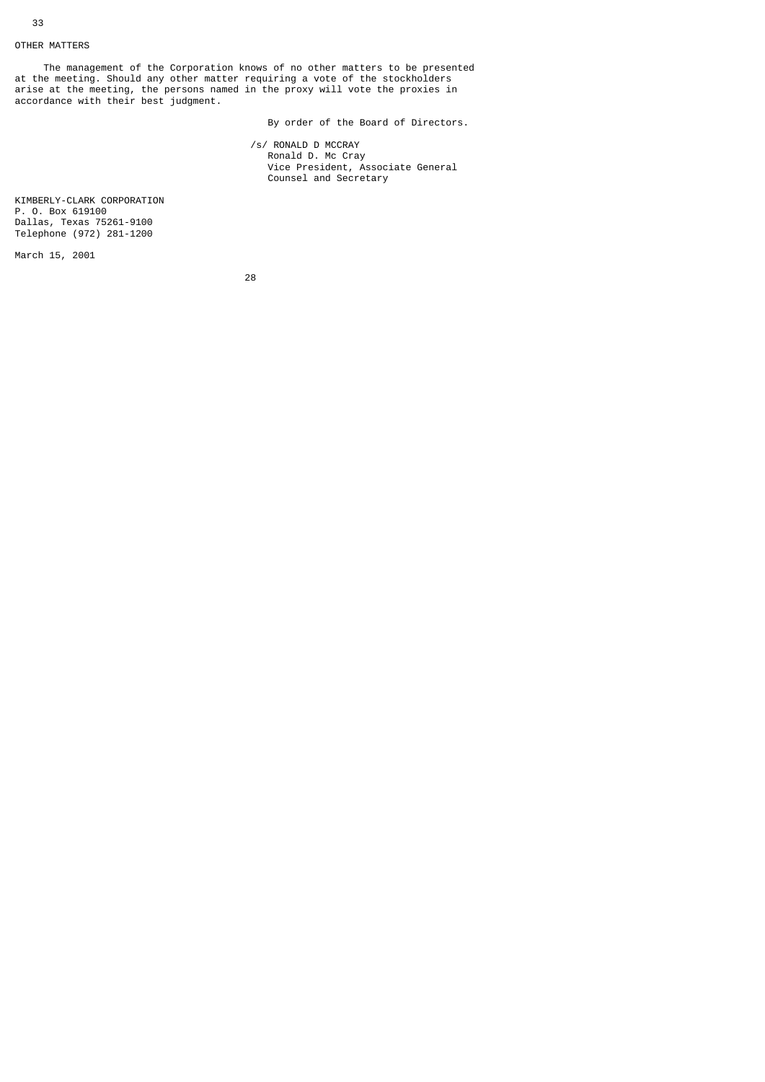# OTHER MATTERS

 The management of the Corporation knows of no other matters to be presented at the meeting. Should any other matter requiring a vote of the stockholders arise at the meeting, the persons named in the proxy will vote the proxies in accordance with their best judgment.

By order of the Board of Directors.

 /s/ RONALD D MCCRAY Ronald D. Mc Cray Vice President, Associate General Counsel and Secretary

KIMBERLY-CLARK CORPORATION P. O. Box 619100 Dallas, Texas 75261-9100 Telephone (972) 281-1200

March 15, 2001

<u>28 and 28</u>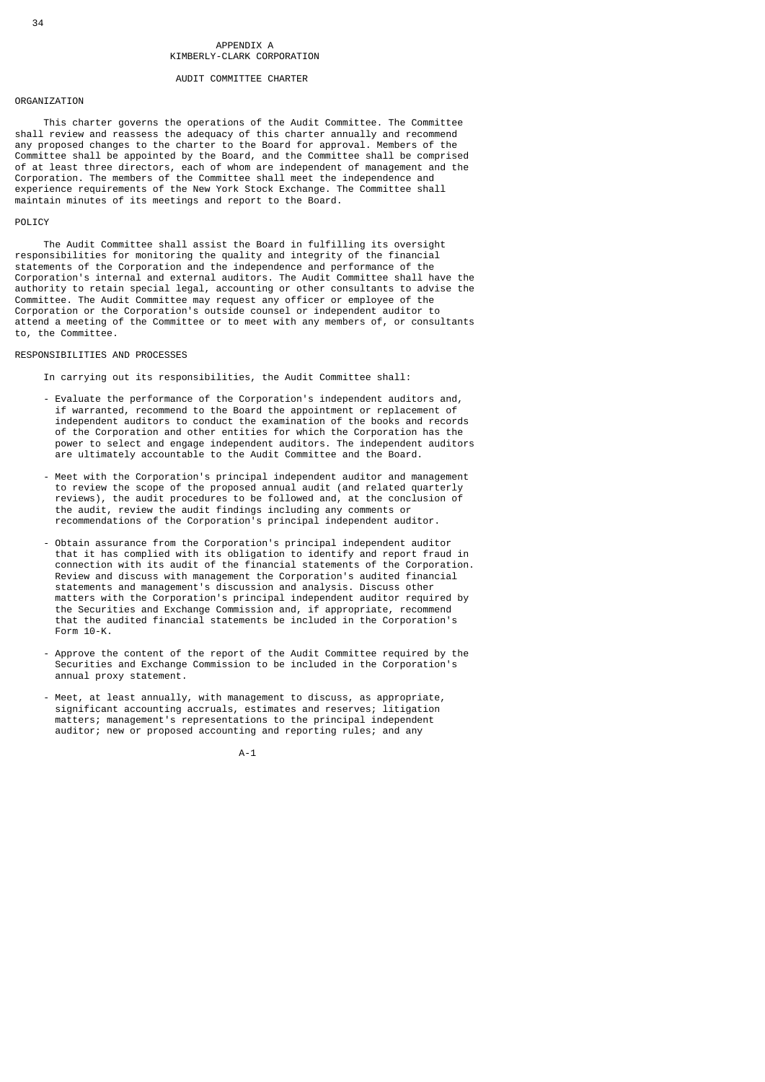# AUDIT COMMITTEE CHARTER

# ORGANIZATION

 This charter governs the operations of the Audit Committee. The Committee shall review and reassess the adequacy of this charter annually and recommend any proposed changes to the charter to the Board for approval. Members of the Committee shall be appointed by the Board, and the Committee shall be comprised of at least three directors, each of whom are independent of management and the Corporation. The members of the Committee shall meet the independence and experience requirements of the New York Stock Exchange. The Committee shall maintain minutes of its meetings and report to the Board.

#### **POLICY**

 The Audit Committee shall assist the Board in fulfilling its oversight responsibilities for monitoring the quality and integrity of the financial statements of the Corporation and the independence and performance of the Corporation's internal and external auditors. The Audit Committee shall have the authority to retain special legal, accounting or other consultants to advise the Committee. The Audit Committee may request any officer or employee of the Corporation or the Corporation's outside counsel or independent auditor to attend a meeting of the Committee or to meet with any members of, or consultants to, the Committee.

#### RESPONSIBILITIES AND PROCESSES

In carrying out its responsibilities, the Audit Committee shall:

- Evaluate the performance of the Corporation's independent auditors and, if warranted, recommend to the Board the appointment or replacement of independent auditors to conduct the examination of the books and records of the Corporation and other entities for which the Corporation has the power to select and engage independent auditors. The independent auditors are ultimately accountable to the Audit Committee and the Board.
- Meet with the Corporation's principal independent auditor and management to review the scope of the proposed annual audit (and related quarterly reviews), the audit procedures to be followed and, at the conclusion of the audit, review the audit findings including any comments or recommendations of the Corporation's principal independent auditor.
	- Obtain assurance from the Corporation's principal independent auditor that it has complied with its obligation to identify and report fraud in connection with its audit of the financial statements of the Corporation. Review and discuss with management the Corporation's audited financial statements and management's discussion and analysis. Discuss other matters with the Corporation's principal independent auditor required by the Securities and Exchange Commission and, if appropriate, recommend that the audited financial statements be included in the Corporation's Form 10-K.
	- Approve the content of the report of the Audit Committee required by the Securities and Exchange Commission to be included in the Corporation's annual proxy statement.
	- Meet, at least annually, with management to discuss, as appropriate, significant accounting accruals, estimates and reserves; litigation matters; management's representations to the principal independent auditor; new or proposed accounting and reporting rules; and any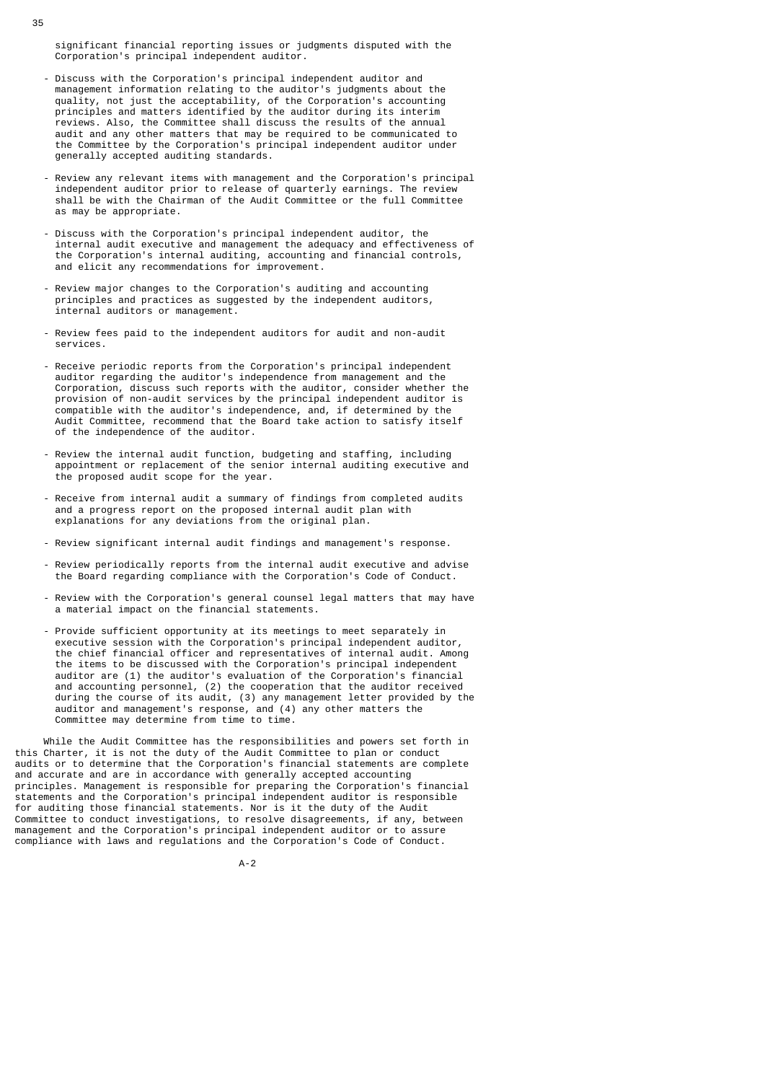significant financial reporting issues or judgments disputed with the Corporation's principal independent auditor.

- Discuss with the Corporation's principal independent auditor and management information relating to the auditor's judgments about the quality, not just the acceptability, of the Corporation's accounting principles and matters identified by the auditor during its interim reviews. Also, the Committee shall discuss the results of the annual audit and any other matters that may be required to be communicated to the Committee by the Corporation's principal independent auditor under generally accepted auditing standards.
- Review any relevant items with management and the Corporation's principal independent auditor prior to release of quarterly earnings. The review shall be with the Chairman of the Audit Committee or the full Committee as may be appropriate.
- Discuss with the Corporation's principal independent auditor, the internal audit executive and management the adequacy and effectiveness of the Corporation's internal auditing, accounting and financial controls, and elicit any recommendations for improvement.
	- Review major changes to the Corporation's auditing and accounting principles and practices as suggested by the independent auditors, internal auditors or management.
	- Review fees paid to the independent auditors for audit and non-audit services.
	- Receive periodic reports from the Corporation's principal independent auditor regarding the auditor's independence from management and the Corporation, discuss such reports with the auditor, consider whether the provision of non-audit services by the principal independent auditor is compatible with the auditor's independence, and, if determined by the Audit Committee, recommend that the Board take action to satisfy itself of the independence of the auditor.
	- Review the internal audit function, budgeting and staffing, including appointment or replacement of the senior internal auditing executive and the proposed audit scope for the year.
- Receive from internal audit a summary of findings from completed audits and a progress report on the proposed internal audit plan with explanations for any deviations from the original plan.
	- Review significant internal audit findings and management's response.
	- Review periodically reports from the internal audit executive and advise the Board regarding compliance with the Corporation's Code of Conduct.
	- Review with the Corporation's general counsel legal matters that may have a material impact on the financial statements.
- Provide sufficient opportunity at its meetings to meet separately in executive session with the Corporation's principal independent auditor, the chief financial officer and representatives of internal audit. Among the items to be discussed with the Corporation's principal independent auditor are (1) the auditor's evaluation of the Corporation's financial and accounting personnel, (2) the cooperation that the auditor received during the course of its audit, (3) any management letter provided by the auditor and management's response, and (4) any other matters the Committee may determine from time to time.

 While the Audit Committee has the responsibilities and powers set forth in this Charter, it is not the duty of the Audit Committee to plan or conduct audits or to determine that the Corporation's financial statements are complete and accurate and are in accordance with generally accepted accounting principles. Management is responsible for preparing the Corporation's financial statements and the Corporation's principal independent auditor is responsible for auditing those financial statements. Nor is it the duty of the Audit Committee to conduct investigations, to resolve disagreements, if any, between management and the Corporation's principal independent auditor or to assure compliance with laws and regulations and the Corporation's Code of Conduct.

A-2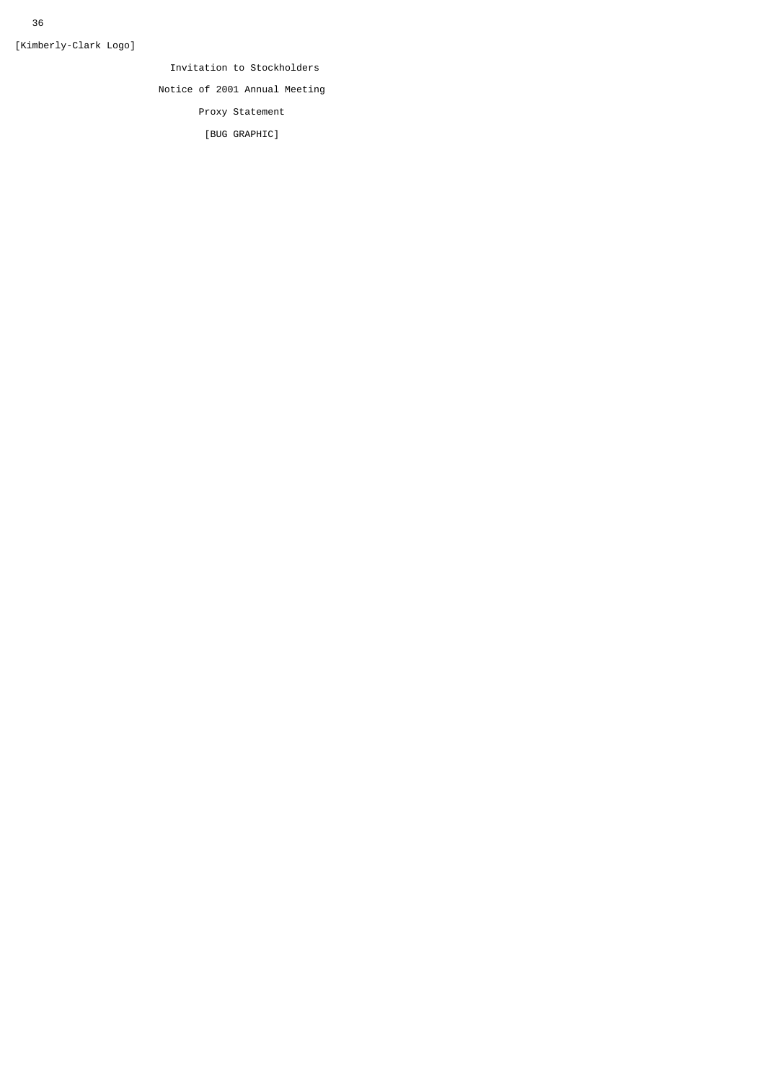[Kimberly-Clark Logo]

Invitation to Stockholders

Notice of 2001 Annual Meeting

Proxy Statement

[BUG GRAPHIC]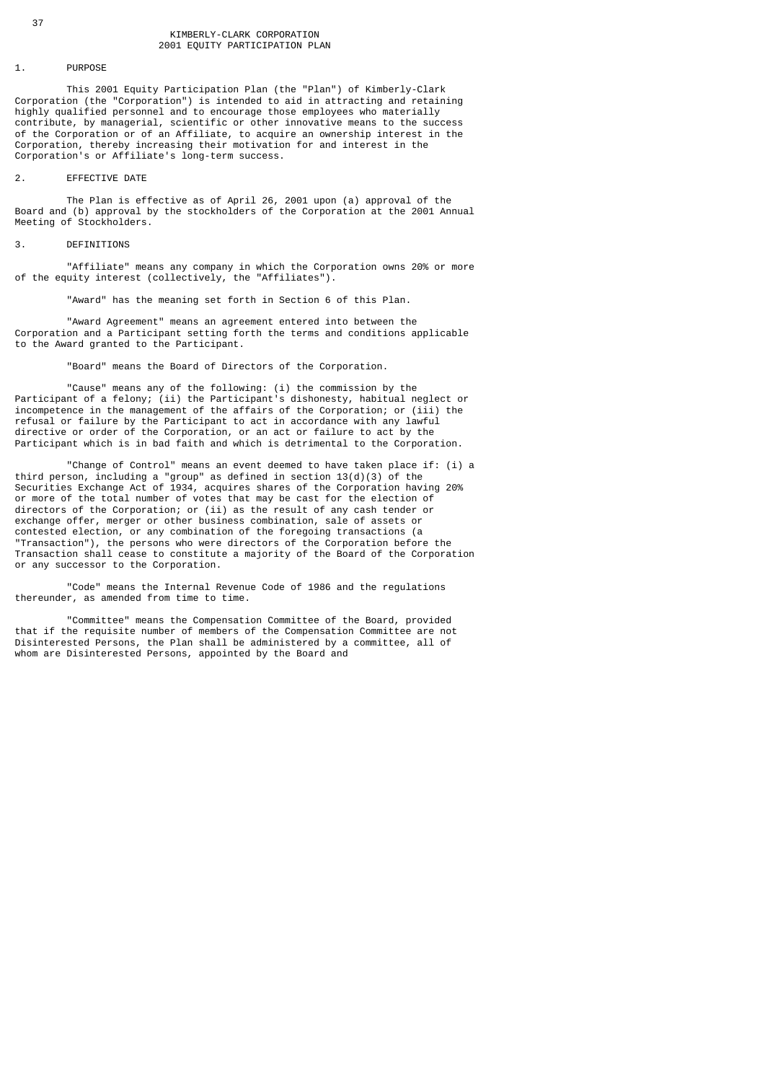# 1. PURPOSE

 This 2001 Equity Participation Plan (the "Plan") of Kimberly-Clark Corporation (the "Corporation") is intended to aid in attracting and retaining highly qualified personnel and to encourage those employees who materially contribute, by managerial, scientific or other innovative means to the success of the Corporation or of an Affiliate, to acquire an ownership interest in the Corporation, thereby increasing their motivation for and interest in the Corporation's or Affiliate's long-term success.

# 2. EFFECTIVE DATE

 The Plan is effective as of April 26, 2001 upon (a) approval of the Board and (b) approval by the stockholders of the Corporation at the 2001 Annual Meeting of Stockholders.

# 3. DEFINITIONS

 "Affiliate" means any company in which the Corporation owns 20% or more of the equity interest (collectively, the "Affiliates").

"Award" has the meaning set forth in Section 6 of this Plan.

 "Award Agreement" means an agreement entered into between the Corporation and a Participant setting forth the terms and conditions applicable to the Award granted to the Participant.

"Board" means the Board of Directors of the Corporation.

 "Cause" means any of the following: (i) the commission by the Participant of a felony; (ii) the Participant's dishonesty, habitual neglect or incompetence in the management of the affairs of the Corporation; or (iii) the refusal or failure by the Participant to act in accordance with any lawful directive or order of the Corporation, or an act or failure to act by the Participant which is in bad faith and which is detrimental to the Corporation.

 "Change of Control" means an event deemed to have taken place if: (i) a third person, including a "group" as defined in section 13(d)(3) of the Securities Exchange Act of 1934, acquires shares of the Corporation having 20% or more of the total number of votes that may be cast for the election of directors of the Corporation; or (ii) as the result of any cash tender or exchange offer, merger or other business combination, sale of assets or contested election, or any combination of the foregoing transactions (a "Transaction"), the persons who were directors of the Corporation before the Transaction shall cease to constitute a majority of the Board of the Corporation or any successor to the Corporation.

 "Code" means the Internal Revenue Code of 1986 and the regulations thereunder, as amended from time to time.

 "Committee" means the Compensation Committee of the Board, provided that if the requisite number of members of the Compensation Committee are not Disinterested Persons, the Plan shall be administered by a committee, all of whom are Disinterested Persons, appointed by the Board and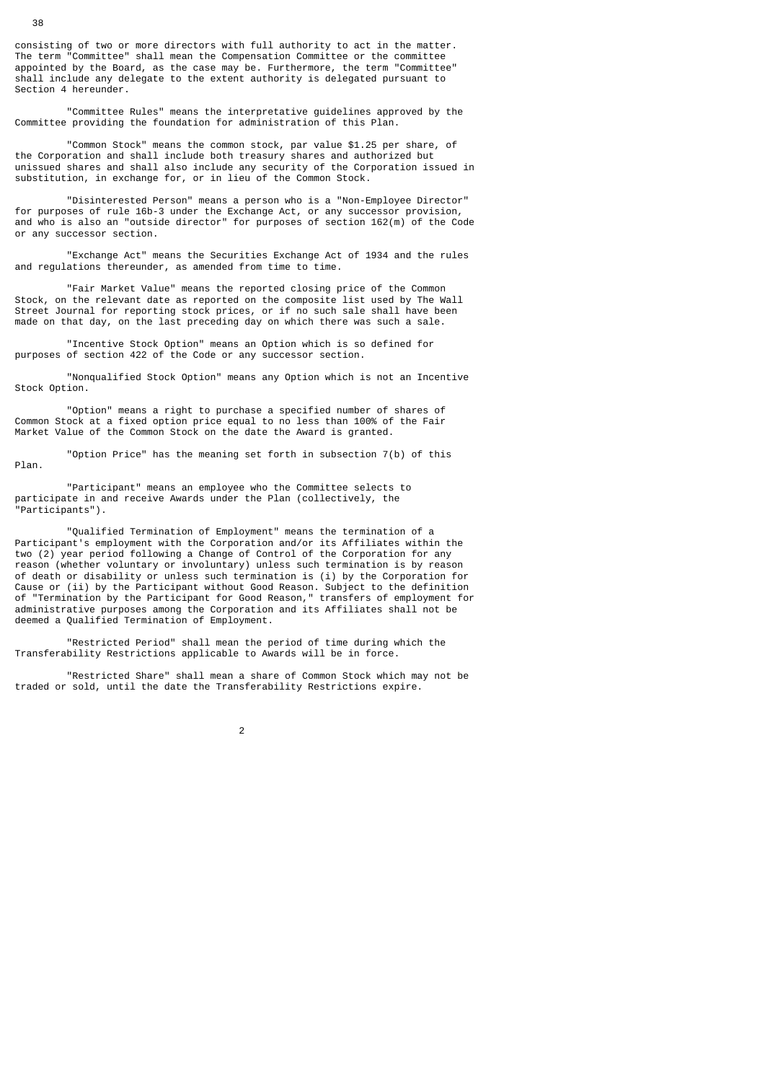consisting of two or more directors with full authority to act in the matter. The term "Committee" shall mean the Compensation Committee or the committee appointed by the Board, as the case may be. Furthermore, the term "Committee" shall include any delegate to the extent authority is delegated pursuant to Section 4 hereunder.

 "Committee Rules" means the interpretative guidelines approved by the Committee providing the foundation for administration of this Plan.

 "Common Stock" means the common stock, par value \$1.25 per share, of the Corporation and shall include both treasury shares and authorized but unissued shares and shall also include any security of the Corporation issued in substitution, in exchange for, or in lieu of the Common Stock.

 "Disinterested Person" means a person who is a "Non-Employee Director" for purposes of rule 16b-3 under the Exchange Act, or any successor provision, and who is also an "outside director" for purposes of section 162(m) of the Code or any successor section.

 "Exchange Act" means the Securities Exchange Act of 1934 and the rules and regulations thereunder, as amended from time to time.

 "Fair Market Value" means the reported closing price of the Common Stock, on the relevant date as reported on the composite list used by The Wall Street Journal for reporting stock prices, or if no such sale shall have been made on that day, on the last preceding day on which there was such a sale.

 "Incentive Stock Option" means an Option which is so defined for purposes of section 422 of the Code or any successor section.

 "Nonqualified Stock Option" means any Option which is not an Incentive Stock Option.

 "Option" means a right to purchase a specified number of shares of Common Stock at a fixed option price equal to no less than 100% of the Fair Market Value of the Common Stock on the date the Award is granted.

 "Option Price" has the meaning set forth in subsection 7(b) of this Plan.

 "Participant" means an employee who the Committee selects to participate in and receive Awards under the Plan (collectively, the "Participants").

 "Qualified Termination of Employment" means the termination of a Participant's employment with the Corporation and/or its Affiliates within the two (2) year period following a Change of Control of the Corporation for any reason (whether voluntary or involuntary) unless such termination is by reason of death or disability or unless such termination is (i) by the Corporation for Cause or (ii) by the Participant without Good Reason. Subject to the definition of "Termination by the Participant for Good Reason," transfers of employment for administrative purposes among the Corporation and its Affiliates shall not be deemed a Qualified Termination of Employment.

 "Restricted Period" shall mean the period of time during which the Transferability Restrictions applicable to Awards will be in force.

 "Restricted Share" shall mean a share of Common Stock which may not be traded or sold, until the date the Transferability Restrictions expire.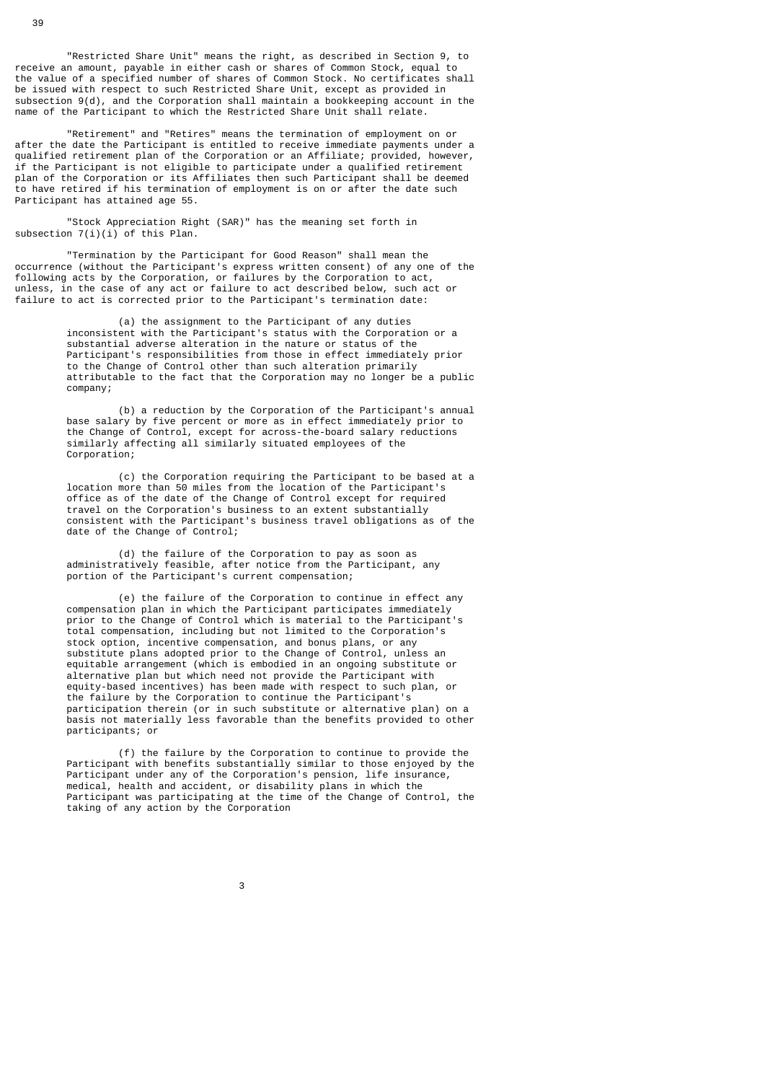"Restricted Share Unit" means the right, as described in Section 9, to receive an amount, payable in either cash or shares of Common Stock, equal to the value of a specified number of shares of Common Stock. No certificates shall be issued with respect to such Restricted Share Unit, except as provided in subsection 9(d), and the Corporation shall maintain a bookkeeping account in the name of the Participant to which the Restricted Share Unit shall relate.

 "Retirement" and "Retires" means the termination of employment on or after the date the Participant is entitled to receive immediate payments under a qualified retirement plan of the Corporation or an Affiliate; provided, however, if the Participant is not eligible to participate under a qualified retirement plan of the Corporation or its Affiliates then such Participant shall be deemed to have retired if his termination of employment is on or after the date such Participant has attained age 55.

 "Stock Appreciation Right (SAR)" has the meaning set forth in subsection  $7(i)(i)$  of this Plan.

 "Termination by the Participant for Good Reason" shall mean the occurrence (without the Participant's express written consent) of any one of the following acts by the Corporation, or failures by the Corporation to act, unless, in the case of any act or failure to act described below, such act or failure to act is corrected prior to the Participant's termination date:

 (a) the assignment to the Participant of any duties inconsistent with the Participant's status with the Corporation or a substantial adverse alteration in the nature or status of the Participant's responsibilities from those in effect immediately prior to the Change of Control other than such alteration primarily attributable to the fact that the Corporation may no longer be a public company;

> (b) a reduction by the Corporation of the Participant's annual base salary by five percent or more as in effect immediately prior to the Change of Control, except for across-the-board salary reductions similarly affecting all similarly situated employees of the Corporation;

> (c) the Corporation requiring the Participant to be based at a location more than 50 miles from the location of the Participant's office as of the date of the Change of Control except for required travel on the Corporation's business to an extent substantially consistent with the Participant's business travel obligations as of the date of the Change of Control;

 (d) the failure of the Corporation to pay as soon as administratively feasible, after notice from the Participant, any portion of the Participant's current compensation;

 (e) the failure of the Corporation to continue in effect any compensation plan in which the Participant participates immediately prior to the Change of Control which is material to the Participant's total compensation, including but not limited to the Corporation's stock option, incentive compensation, and bonus plans, or any substitute plans adopted prior to the Change of Control, unless an equitable arrangement (which is embodied in an ongoing substitute or alternative plan but which need not provide the Participant with equity-based incentives) has been made with respect to such plan, or the failure by the Corporation to continue the Participant's participation therein (or in such substitute or alternative plan) on a basis not materially less favorable than the benefits provided to other participants; or

> (f) the failure by the Corporation to continue to provide the Participant with benefits substantially similar to those enjoyed by the Participant under any of the Corporation's pension, life insurance, medical, health and accident, or disability plans in which the Participant was participating at the time of the Change of Control, the taking of any action by the Corporation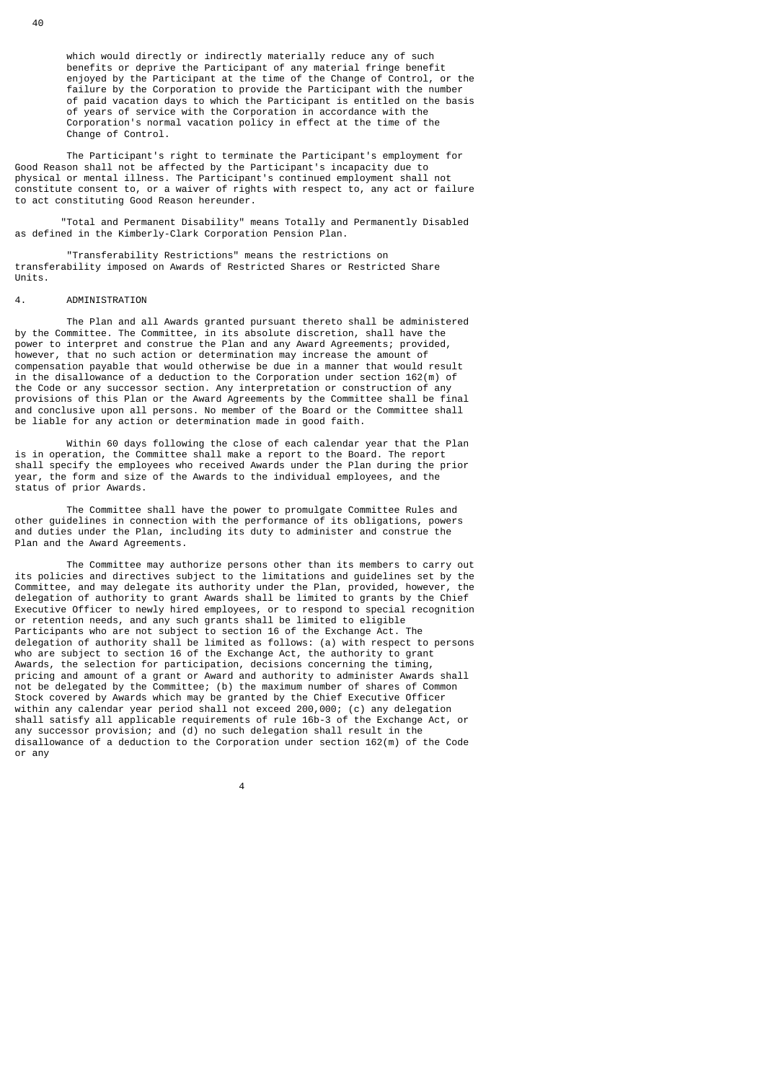which would directly or indirectly materially reduce any of such benefits or deprive the Participant of any material fringe benefit enjoyed by the Participant at the time of the Change of Control, or the failure by the Corporation to provide the Participant with the number of paid vacation days to which the Participant is entitled on the basis of years of service with the Corporation in accordance with the Corporation's normal vacation policy in effect at the time of the Change of Control.

 The Participant's right to terminate the Participant's employment for Good Reason shall not be affected by the Participant's incapacity due to physical or mental illness. The Participant's continued employment shall not constitute consent to, or a waiver of rights with respect to, any act or failure to act constituting Good Reason hereunder.

 "Total and Permanent Disability" means Totally and Permanently Disabled as defined in the Kimberly-Clark Corporation Pension Plan.

 "Transferability Restrictions" means the restrictions on transferability imposed on Awards of Restricted Shares or Restricted Share Units.

## 4. ADMINISTRATION

 The Plan and all Awards granted pursuant thereto shall be administered by the Committee. The Committee, in its absolute discretion, shall have the power to interpret and construe the Plan and any Award Agreements; provided, however, that no such action or determination may increase the amount of compensation payable that would otherwise be due in a manner that would result in the disallowance of a deduction to the Corporation under section 162(m) of the Code or any successor section. Any interpretation or construction of any provisions of this Plan or the Award Agreements by the Committee shall be final and conclusive upon all persons. No member of the Board or the Committee shall be liable for any action or determination made in good faith.

 Within 60 days following the close of each calendar year that the Plan is in operation, the Committee shall make a report to the Board. The report shall specify the employees who received Awards under the Plan during the prior year, the form and size of the Awards to the individual employees, and the status of prior Awards.

 The Committee shall have the power to promulgate Committee Rules and other guidelines in connection with the performance of its obligations, powers and duties under the Plan, including its duty to administer and construe the Plan and the Award Agreements.

 The Committee may authorize persons other than its members to carry out its policies and directives subject to the limitations and guidelines set by the Committee, and may delegate its authority under the Plan, provided, however, the delegation of authority to grant Awards shall be limited to grants by the Chief Executive Officer to newly hired employees, or to respond to special recognition or retention needs, and any such grants shall be limited to eligible Participants who are not subject to section 16 of the Exchange Act. The delegation of authority shall be limited as follows: (a) with respect to persons who are subject to section 16 of the Exchange Act, the authority to grant Awards, the selection for participation, decisions concerning the timing, pricing and amount of a grant or Award and authority to administer Awards shall not be delegated by the Committee; (b) the maximum number of shares of Common Stock covered by Awards which may be granted by the Chief Executive Officer within any calendar year period shall not exceed 200,000; (c) any delegation shall satisfy all applicable requirements of rule 16b-3 of the Exchange Act, or any successor provision; and (d) no such delegation shall result in the disallowance of a deduction to the Corporation under section 162(m) of the Code or any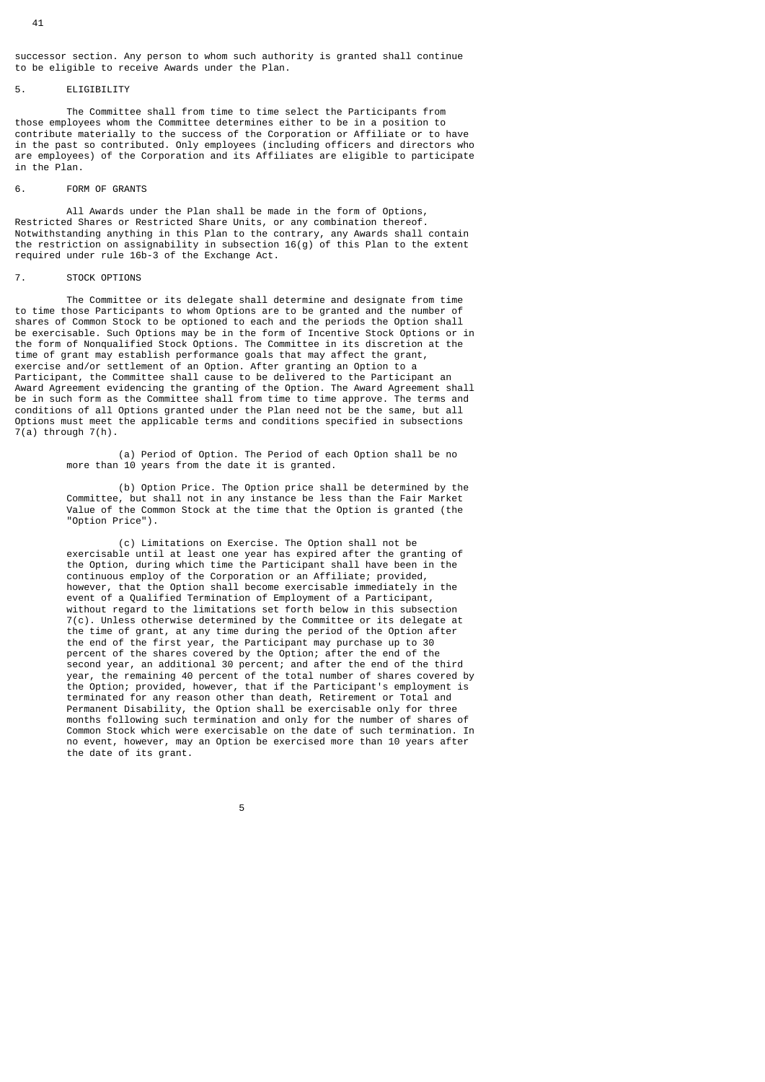successor section. Any person to whom such authority is granted shall continue to be eligible to receive Awards under the Plan.

# **ELIGIBILITY**

 The Committee shall from time to time select the Participants from those employees whom the Committee determines either to be in a position to contribute materially to the success of the Corporation or Affiliate or to have in the past so contributed. Only employees (including officers and directors who are employees) of the Corporation and its Affiliates are eligible to participate in the Plan.

## 6. FORM OF GRANTS

 All Awards under the Plan shall be made in the form of Options, Restricted Shares or Restricted Share Units, or any combination thereof. Notwithstanding anything in this Plan to the contrary, any Awards shall contain the restriction on assignability in subsection  $16(g)$  of this Plan to the extent required under rule 16b-3 of the Exchange Act.

#### 7. STOCK OPTIONS

 The Committee or its delegate shall determine and designate from time to time those Participants to whom Options are to be granted and the number of shares of Common Stock to be optioned to each and the periods the Option shall be exercisable. Such Options may be in the form of Incentive Stock Options or in the form of Nonqualified Stock Options. The Committee in its discretion at the time of grant may establish performance goals that may affect the grant, exercise and/or settlement of an Option. After granting an Option to a Participant, the Committee shall cause to be delivered to the Participant an Award Agreement evidencing the granting of the Option. The Award Agreement shall be in such form as the Committee shall from time to time approve. The terms and conditions of all Options granted under the Plan need not be the same, but all Options must meet the applicable terms and conditions specified in subsections  $7(a)$  through  $7(h)$ .

> (a) Period of Option. The Period of each Option shall be no more than 10 years from the date it is granted.

 (b) Option Price. The Option price shall be determined by the Committee, but shall not in any instance be less than the Fair Market Value of the Common Stock at the time that the Option is granted (the "Option Price").

 (c) Limitations on Exercise. The Option shall not be exercisable until at least one year has expired after the granting of the Option, during which time the Participant shall have been in the continuous employ of the Corporation or an Affiliate; provided, however, that the Option shall become exercisable immediately in the event of a Qualified Termination of Employment of a Participant, without regard to the limitations set forth below in this subsection 7(c). Unless otherwise determined by the Committee or its delegate at the time of grant, at any time during the period of the Option after the end of the first year, the Participant may purchase up to 30 percent of the shares covered by the Option; after the end of the second year, an additional 30 percent; and after the end of the third year, the remaining 40 percent of the total number of shares covered by the Option; provided, however, that if the Participant's employment is terminated for any reason other than death, Retirement or Total and Permanent Disability, the Option shall be exercisable only for three months following such termination and only for the number of shares of Common Stock which were exercisable on the date of such termination. In no event, however, may an Option be exercised more than 10 years after the date of its grant.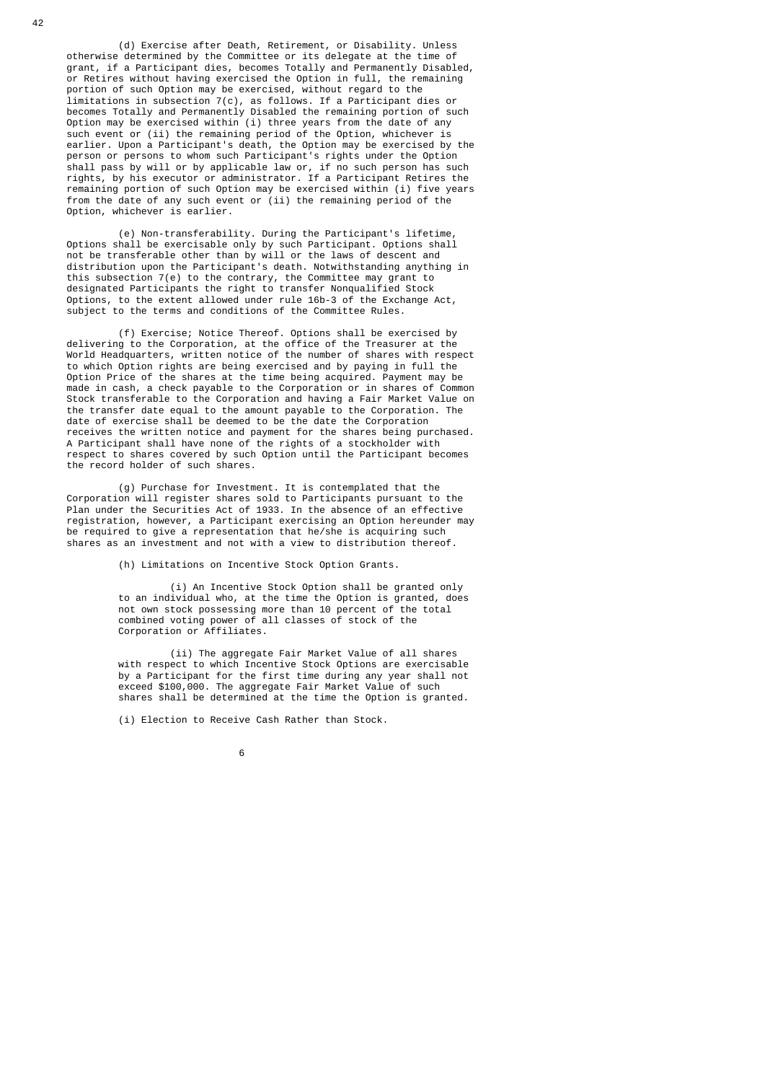(d) Exercise after Death, Retirement, or Disability. Unless otherwise determined by the Committee or its delegate at the time of grant, if a Participant dies, becomes Totally and Permanently Disabled, or Retires without having exercised the Option in full, the remaining portion of such Option may be exercised, without regard to the limitations in subsection 7(c), as follows. If a Participant dies or becomes Totally and Permanently Disabled the remaining portion of such Option may be exercised within (i) three years from the date of any such event or (ii) the remaining period of the Option, whichever is earlier. Upon a Participant's death, the Option may be exercised by the person or persons to whom such Participant's rights under the Option shall pass by will or by applicable law or, if no such person has such rights, by his executor or administrator. If a Participant Retires the remaining portion of such Option may be exercised within (i) five years from the date of any such event or (ii) the remaining period of the Option, whichever is earlier.

 (e) Non-transferability. During the Participant's lifetime, Options shall be exercisable only by such Participant. Options shall not be transferable other than by will or the laws of descent and distribution upon the Participant's death. Notwithstanding anything in this subsection 7(e) to the contrary, the Committee may grant to designated Participants the right to transfer Nonqualified Stock Options, to the extent allowed under rule 16b-3 of the Exchange Act, subject to the terms and conditions of the Committee Rules.

> (f) Exercise; Notice Thereof. Options shall be exercised by delivering to the Corporation, at the office of the Treasurer at the World Headquarters, written notice of the number of shares with respect to which Option rights are being exercised and by paying in full the Option Price of the shares at the time being acquired. Payment may be made in cash, a check payable to the Corporation or in shares of Common Stock transferable to the Corporation and having a Fair Market Value on the transfer date equal to the amount payable to the Corporation. The date of exercise shall be deemed to be the date the Corporation receives the written notice and payment for the shares being purchased. A Participant shall have none of the rights of a stockholder with respect to shares covered by such Option until the Participant becomes the record holder of such shares.

 (g) Purchase for Investment. It is contemplated that the Corporation will register shares sold to Participants pursuant to the Plan under the Securities Act of 1933. In the absence of an effective registration, however, a Participant exercising an Option hereunder may be required to give a representation that he/she is acquiring such shares as an investment and not with a view to distribution thereof.

(h) Limitations on Incentive Stock Option Grants.

 (i) An Incentive Stock Option shall be granted only to an individual who, at the time the Option is granted, does not own stock possessing more than 10 percent of the total combined voting power of all classes of stock of the Corporation or Affiliates.

 (ii) The aggregate Fair Market Value of all shares with respect to which Incentive Stock Options are exercisable by a Participant for the first time during any year shall not exceed \$100,000. The aggregate Fair Market Value of such shares shall be determined at the time the Option is granted.

(i) Election to Receive Cash Rather than Stock.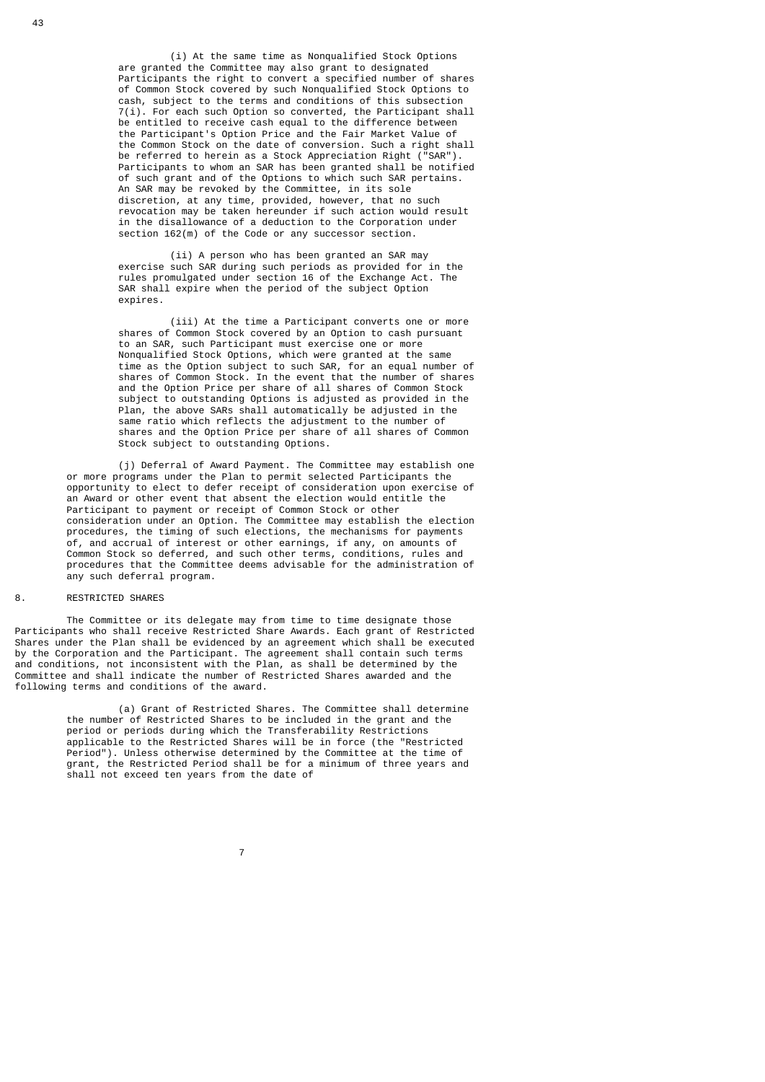(i) At the same time as Nonqualified Stock Options are granted the Committee may also grant to designated Participants the right to convert a specified number of shares of Common Stock covered by such Nonqualified Stock Options to cash, subject to the terms and conditions of this subsection 7(i). For each such Option so converted, the Participant shall be entitled to receive cash equal to the difference between the Participant's Option Price and the Fair Market Value of the Common Stock on the date of conversion. Such a right shall be referred to herein as a Stock Appreciation Right ("SAR"). Participants to whom an SAR has been granted shall be notified of such grant and of the Options to which such SAR pertains. An SAR may be revoked by the Committee, in its sole discretion, at any time, provided, however, that no such revocation may be taken hereunder if such action would result in the disallowance of a deduction to the Corporation under section 162(m) of the Code or any successor section.

> (ii) A person who has been granted an SAR may exercise such SAR during such periods as provided for in the rules promulgated under section 16 of the Exchange Act. The SAR shall expire when the period of the subject Option expires.

 (iii) At the time a Participant converts one or more shares of Common Stock covered by an Option to cash pursuant to an SAR, such Participant must exercise one or more Nonqualified Stock Options, which were granted at the same time as the Option subject to such SAR, for an equal number of shares of Common Stock. In the event that the number of shares and the Option Price per share of all shares of Common Stock subject to outstanding Options is adjusted as provided in the Plan, the above SARs shall automatically be adjusted in the same ratio which reflects the adjustment to the number of shares and the Option Price per share of all shares of Common Stock subject to outstanding Options.

 (j) Deferral of Award Payment. The Committee may establish one or more programs under the Plan to permit selected Participants the opportunity to elect to defer receipt of consideration upon exercise of an Award or other event that absent the election would entitle the Participant to payment or receipt of Common Stock or other consideration under an Option. The Committee may establish the election procedures, the timing of such elections, the mechanisms for payments of, and accrual of interest or other earnings, if any, on amounts of Common Stock so deferred, and such other terms, conditions, rules and procedures that the Committee deems advisable for the administration of any such deferral program.

## 8. RESTRICTED SHARES

 The Committee or its delegate may from time to time designate those Participants who shall receive Restricted Share Awards. Each grant of Restricted Shares under the Plan shall be evidenced by an agreement which shall be executed by the Corporation and the Participant. The agreement shall contain such terms and conditions, not inconsistent with the Plan, as shall be determined by the Committee and shall indicate the number of Restricted Shares awarded and the following terms and conditions of the award.

> (a) Grant of Restricted Shares. The Committee shall determine the number of Restricted Shares to be included in the grant and the period or periods during which the Transferability Restrictions applicable to the Restricted Shares will be in force (the "Restricted Period"). Unless otherwise determined by the Committee at the time of grant, the Restricted Period shall be for a minimum of three years and shall not exceed ten years from the date of

7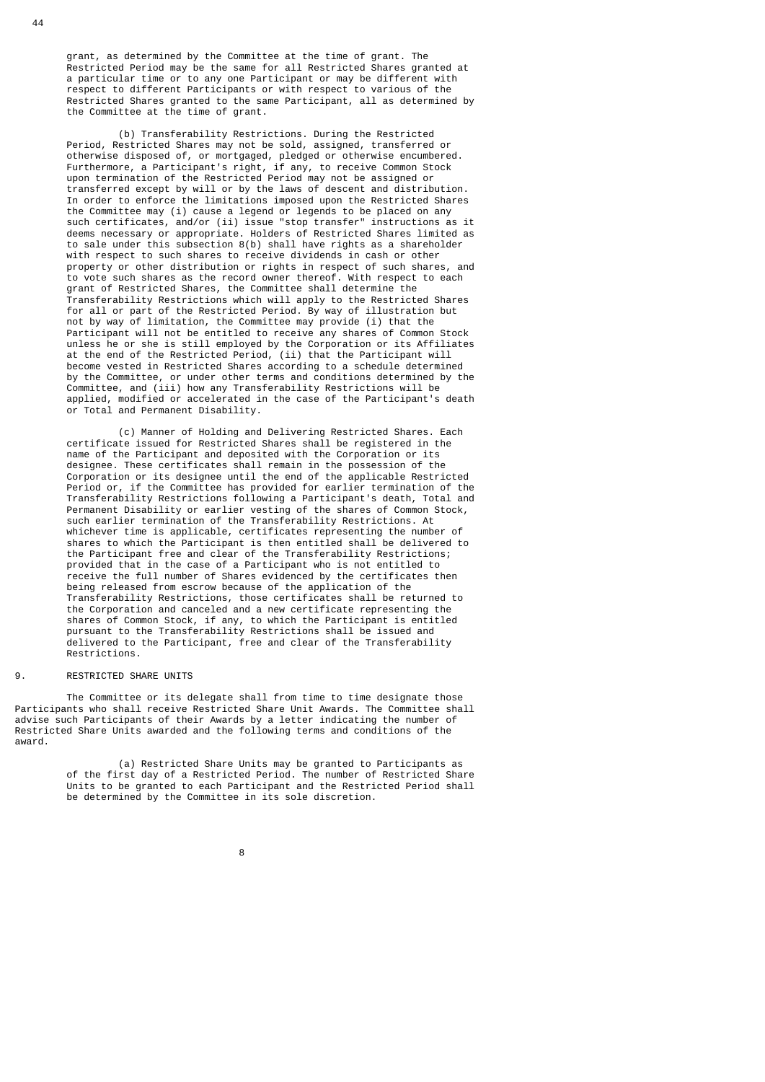grant, as determined by the Committee at the time of grant. The Restricted Period may be the same for all Restricted Shares granted at a particular time or to any one Participant or may be different with respect to different Participants or with respect to various of the Restricted Shares granted to the same Participant, all as determined by the Committee at the time of grant.

 (b) Transferability Restrictions. During the Restricted Period, Restricted Shares may not be sold, assigned, transferred or otherwise disposed of, or mortgaged, pledged or otherwise encumbered. Furthermore, a Participant's right, if any, to receive Common Stock upon termination of the Restricted Period may not be assigned or transferred except by will or by the laws of descent and distribution. In order to enforce the limitations imposed upon the Restricted Shares the Committee may (i) cause a legend or legends to be placed on any such certificates, and/or (ii) issue "stop transfer" instructions as it deems necessary or appropriate. Holders of Restricted Shares limited as to sale under this subsection 8(b) shall have rights as a shareholder with respect to such shares to receive dividends in cash or other property or other distribution or rights in respect of such shares, and to vote such shares as the record owner thereof. With respect to each grant of Restricted Shares, the Committee shall determine the Transferability Restrictions which will apply to the Restricted Shares for all or part of the Restricted Period. By way of illustration but not by way of limitation, the Committee may provide (i) that the Participant will not be entitled to receive any shares of Common Stock unless he or she is still employed by the Corporation or its Affiliates at the end of the Restricted Period, (ii) that the Participant will become vested in Restricted Shares according to a schedule determined by the Committee, or under other terms and conditions determined by the Committee, and (iii) how any Transferability Restrictions will be applied, modified or accelerated in the case of the Participant's death or Total and Permanent Disability.

> (c) Manner of Holding and Delivering Restricted Shares. Each certificate issued for Restricted Shares shall be registered in the name of the Participant and deposited with the Corporation or its designee. These certificates shall remain in the possession of the Corporation or its designee until the end of the applicable Restricted Period or, if the Committee has provided for earlier termination of the Transferability Restrictions following a Participant's death, Total and Permanent Disability or earlier vesting of the shares of Common Stock, such earlier termination of the Transferability Restrictions. At whichever time is applicable, certificates representing the number of shares to which the Participant is then entitled shall be delivered to the Participant free and clear of the Transferability Restrictions; provided that in the case of a Participant who is not entitled to receive the full number of Shares evidenced by the certificates then being released from escrow because of the application of the Transferability Restrictions, those certificates shall be returned to the Corporation and canceled and a new certificate representing the shares of Common Stock, if any, to which the Participant is entitled pursuant to the Transferability Restrictions shall be issued and delivered to the Participant, free and clear of the Transferability Restrictions.

# 9. RESTRICTED SHARE UNITS

 The Committee or its delegate shall from time to time designate those Participants who shall receive Restricted Share Unit Awards. The Committee shall advise such Participants of their Awards by a letter indicating the number of Restricted Share Units awarded and the following terms and conditions of the award.

> (a) Restricted Share Units may be granted to Participants as of the first day of a Restricted Period. The number of Restricted Share Units to be granted to each Participant and the Restricted Period shall be determined by the Committee in its sole discretion.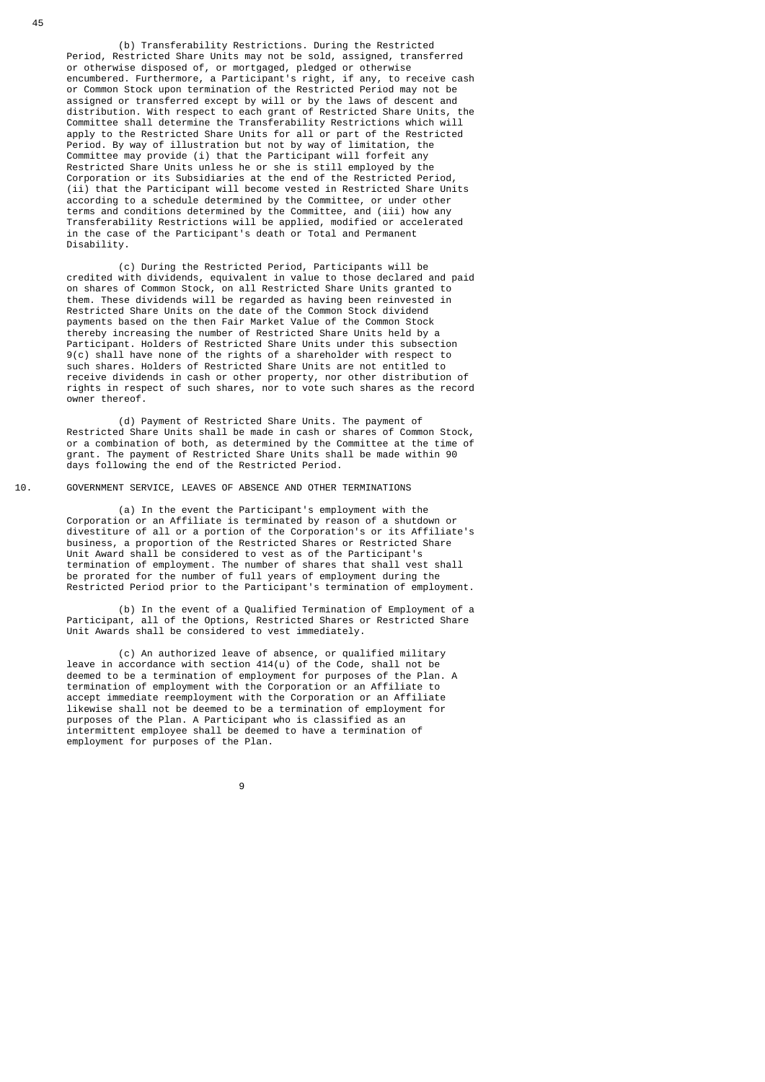(b) Transferability Restrictions. During the Restricted Period, Restricted Share Units may not be sold, assigned, transferred or otherwise disposed of, or mortgaged, pledged or otherwise encumbered. Furthermore, a Participant's right, if any, to receive cash or Common Stock upon termination of the Restricted Period may not be assigned or transferred except by will or by the laws of descent and distribution. With respect to each grant of Restricted Share Units, the Committee shall determine the Transferability Restrictions which will apply to the Restricted Share Units for all or part of the Restricted Period. By way of illustration but not by way of limitation, the Committee may provide (i) that the Participant will forfeit any Restricted Share Units unless he or she is still employed by the Corporation or its Subsidiaries at the end of the Restricted Period, (ii) that the Participant will become vested in Restricted Share Units according to a schedule determined by the Committee, or under other terms and conditions determined by the Committee, and (iii) how any Transferability Restrictions will be applied, modified or accelerated in the case of the Participant's death or Total and Permanent Disability.

 (c) During the Restricted Period, Participants will be credited with dividends, equivalent in value to those declared and paid on shares of Common Stock, on all Restricted Share Units granted to them. These dividends will be regarded as having been reinvested in Restricted Share Units on the date of the Common Stock dividend payments based on the then Fair Market Value of the Common Stock thereby increasing the number of Restricted Share Units held by a Participant. Holders of Restricted Share Units under this subsection 9(c) shall have none of the rights of a shareholder with respect to such shares. Holders of Restricted Share Units are not entitled to receive dividends in cash or other property, nor other distribution of rights in respect of such shares, nor to vote such shares as the record owner thereof.

 (d) Payment of Restricted Share Units. The payment of Restricted Share Units shall be made in cash or shares of Common Stock, or a combination of both, as determined by the Committee at the time of grant. The payment of Restricted Share Units shall be made within 90 days following the end of the Restricted Period.

# 10. GOVERNMENT SERVICE, LEAVES OF ABSENCE AND OTHER TERMINATIONS

 (a) In the event the Participant's employment with the Corporation or an Affiliate is terminated by reason of a shutdown or divestiture of all or a portion of the Corporation's or its Affiliate's business, a proportion of the Restricted Shares or Restricted Share Unit Award shall be considered to vest as of the Participant's termination of employment. The number of shares that shall vest shall be prorated for the number of full years of employment during the Restricted Period prior to the Participant's termination of employment.

 (b) In the event of a Qualified Termination of Employment of a Participant, all of the Options, Restricted Shares or Restricted Share Unit Awards shall be considered to vest immediately.

 (c) An authorized leave of absence, or qualified military leave in accordance with section 414(u) of the Code, shall not be deemed to be a termination of employment for purposes of the Plan. A termination of employment with the Corporation or an Affiliate to accept immediate reemployment with the Corporation or an Affiliate likewise shall not be deemed to be a termination of employment for purposes of the Plan. A Participant who is classified as an intermittent employee shall be deemed to have a termination of employment for purposes of the Plan.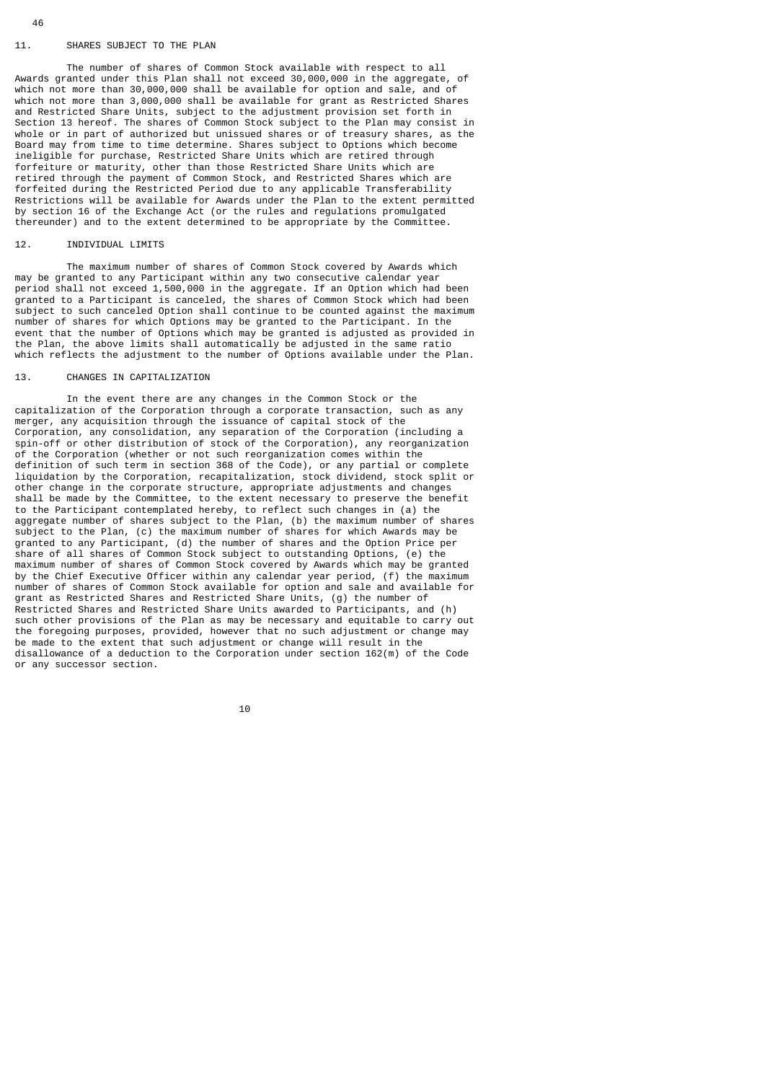# 11. SHARES SUBJECT TO THE PLAN

 The number of shares of Common Stock available with respect to all Awards granted under this Plan shall not exceed 30,000,000 in the aggregate, of which not more than 30,000,000 shall be available for option and sale, and of which not more than 3,000,000 shall be available for grant as Restricted Shares and Restricted Share Units, subject to the adjustment provision set forth in Section 13 hereof. The shares of Common Stock subject to the Plan may consist in whole or in part of authorized but unissued shares or of treasury shares, as the Board may from time to time determine. Shares subject to Options which become ineligible for purchase, Restricted Share Units which are retired through forfeiture or maturity, other than those Restricted Share Units which are retired through the payment of Common Stock, and Restricted Shares which are forfeited during the Restricted Period due to any applicable Transferability Restrictions will be available for Awards under the Plan to the extent permitted by section 16 of the Exchange Act (or the rules and regulations promulgated thereunder) and to the extent determined to be appropriate by the Committee.

# 12. INDIVIDUAL LIMITS

 The maximum number of shares of Common Stock covered by Awards which may be granted to any Participant within any two consecutive calendar year period shall not exceed 1,500,000 in the aggregate. If an Option which had been granted to a Participant is canceled, the shares of Common Stock which had been subject to such canceled Option shall continue to be counted against the maximum number of shares for which Options may be granted to the Participant. In the event that the number of Options which may be granted is adjusted as provided in the Plan, the above limits shall automatically be adjusted in the same ratio which reflects the adjustment to the number of Options available under the Plan.

# 13. CHANGES IN CAPITALIZATION

 In the event there are any changes in the Common Stock or the capitalization of the Corporation through a corporate transaction, such as any merger, any acquisition through the issuance of capital stock of the Corporation, any consolidation, any separation of the Corporation (including a spin-off or other distribution of stock of the Corporation), any reorganization of the Corporation (whether or not such reorganization comes within the definition of such term in section 368 of the Code), or any partial or complete liquidation by the Corporation, recapitalization, stock dividend, stock split or other change in the corporate structure, appropriate adjustments and changes shall be made by the Committee, to the extent necessary to preserve the benefit to the Participant contemplated hereby, to reflect such changes in (a) the aggregate number of shares subject to the Plan, (b) the maximum number of shares subject to the Plan, (c) the maximum number of shares for which Awards may be granted to any Participant, (d) the number of shares and the Option Price per share of all shares of Common Stock subject to outstanding Options, (e) the maximum number of shares of Common Stock covered by Awards which may be granted by the Chief Executive Officer within any calendar year period, (f) the maximum number of shares of Common Stock available for option and sale and available for grant as Restricted Shares and Restricted Share Units, (g) the number of Restricted Shares and Restricted Share Units awarded to Participants, and (h) such other provisions of the Plan as may be necessary and equitable to carry out the foregoing purposes, provided, however that no such adjustment or change may be made to the extent that such adjustment or change will result in the disallowance of a deduction to the Corporation under section 162(m) of the Code or any successor section.

10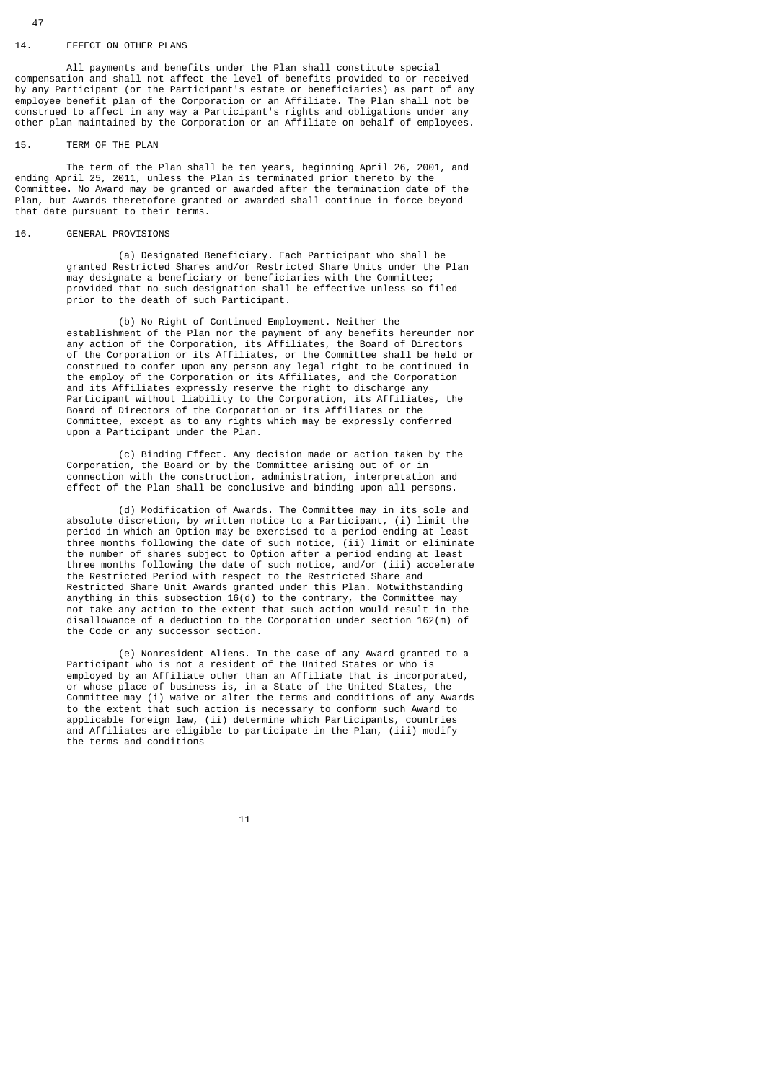#### 14. EFFECT ON OTHER PLANS

 All payments and benefits under the Plan shall constitute special compensation and shall not affect the level of benefits provided to or received by any Participant (or the Participant's estate or beneficiaries) as part of any employee benefit plan of the Corporation or an Affiliate. The Plan shall not be construed to affect in any way a Participant's rights and obligations under any other plan maintained by the Corporation or an Affiliate on behalf of employees.

#### 15. TERM OF THE PLAN

 The term of the Plan shall be ten years, beginning April 26, 2001, and ending April 25, 2011, unless the Plan is terminated prior thereto by the Committee. No Award may be granted or awarded after the termination date of the Plan, but Awards theretofore granted or awarded shall continue in force beyond that date pursuant to their terms.

#### 16. GENERAL PROVISIONS

 (a) Designated Beneficiary. Each Participant who shall be granted Restricted Shares and/or Restricted Share Units under the Plan may designate a beneficiary or beneficiaries with the Committee; provided that no such designation shall be effective unless so filed prior to the death of such Participant.

 (b) No Right of Continued Employment. Neither the establishment of the Plan nor the payment of any benefits hereunder nor any action of the Corporation, its Affiliates, the Board of Directors of the Corporation or its Affiliates, or the Committee shall be held or construed to confer upon any person any legal right to be continued in the employ of the Corporation or its Affiliates, and the Corporation and its Affiliates expressly reserve the right to discharge any Participant without liability to the Corporation, its Affiliates, the Board of Directors of the Corporation or its Affiliates or the Committee, except as to any rights which may be expressly conferred upon a Participant under the Plan.

 (c) Binding Effect. Any decision made or action taken by the Corporation, the Board or by the Committee arising out of or in connection with the construction, administration, interpretation and effect of the Plan shall be conclusive and binding upon all persons.

> (d) Modification of Awards. The Committee may in its sole and absolute discretion, by written notice to a Participant, (i) limit the period in which an Option may be exercised to a period ending at least three months following the date of such notice, (ii) limit or eliminate the number of shares subject to Option after a period ending at least three months following the date of such notice, and/or (iii) accelerate the Restricted Period with respect to the Restricted Share and Restricted Share Unit Awards granted under this Plan. Notwithstanding anything in this subsection  $16(d)$  to the contrary, the Committee may not take any action to the extent that such action would result in the disallowance of a deduction to the Corporation under section 162(m) of the Code or any successor section.

 (e) Nonresident Aliens. In the case of any Award granted to a Participant who is not a resident of the United States or who is employed by an Affiliate other than an Affiliate that is incorporated, or whose place of business is, in a State of the United States, the Committee may (i) waive or alter the terms and conditions of any Awards to the extent that such action is necessary to conform such Award to applicable foreign law, (ii) determine which Participants, countries and Affiliates are eligible to participate in the Plan, (iii) modify the terms and conditions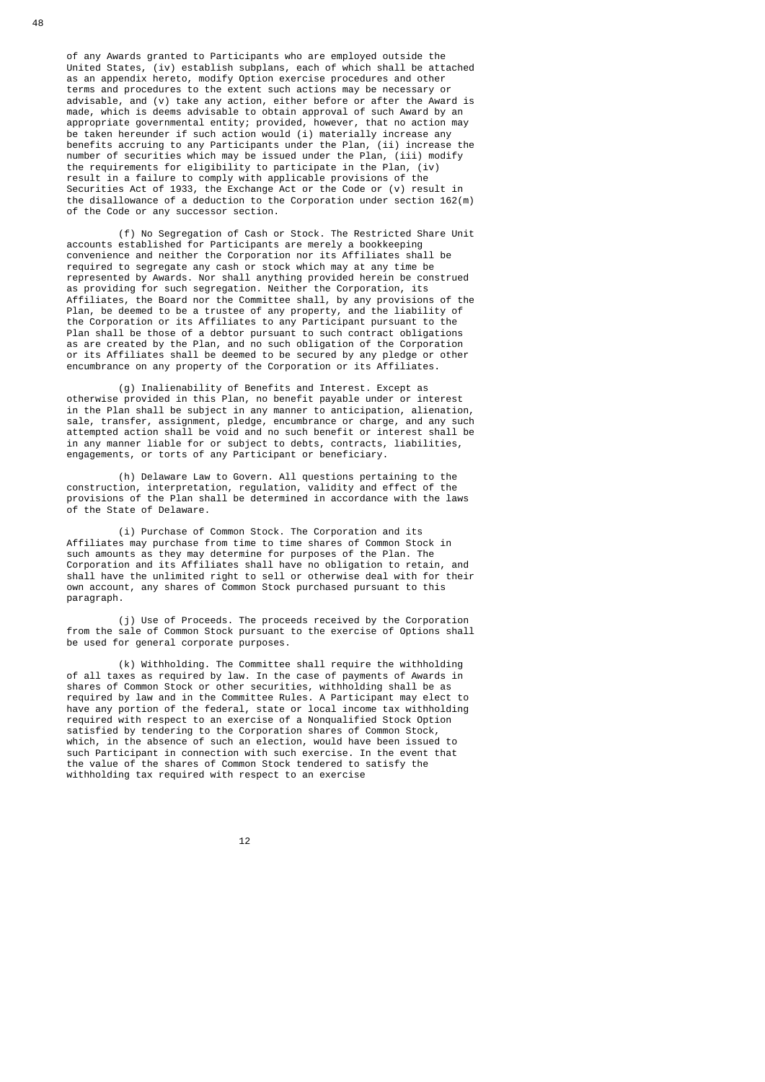of any Awards granted to Participants who are employed outside the United States, (iv) establish subplans, each of which shall be attached as an appendix hereto, modify Option exercise procedures and other terms and procedures to the extent such actions may be necessary or advisable, and (v) take any action, either before or after the Award is made, which is deems advisable to obtain approval of such Award by an appropriate governmental entity; provided, however, that no action may be taken hereunder if such action would (i) materially increase any benefits accruing to any Participants under the Plan, (ii) increase the number of securities which may be issued under the Plan, (iii) modify the requirements for eligibility to participate in the Plan, (iv) result in a failure to comply with applicable provisions of the Securities Act of 1933, the Exchange Act or the Code or (v) result in the disallowance of a deduction to the Corporation under section 162(m) of the Code or any successor section.

 (f) No Segregation of Cash or Stock. The Restricted Share Unit accounts established for Participants are merely a bookkeeping convenience and neither the Corporation nor its Affiliates shall be required to segregate any cash or stock which may at any time be represented by Awards. Nor shall anything provided herein be construed as providing for such segregation. Neither the Corporation, its Affiliates, the Board nor the Committee shall, by any provisions of the Plan, be deemed to be a trustee of any property, and the liability of the Corporation or its Affiliates to any Participant pursuant to the Plan shall be those of a debtor pursuant to such contract obligations as are created by the Plan, and no such obligation of the Corporation or its Affiliates shall be deemed to be secured by any pledge or other encumbrance on any property of the Corporation or its Affiliates.

> (g) Inalienability of Benefits and Interest. Except as otherwise provided in this Plan, no benefit payable under or interest in the Plan shall be subject in any manner to anticipation, alienation, sale, transfer, assignment, pledge, encumbrance or charge, and any such attempted action shall be void and no such benefit or interest shall be in any manner liable for or subject to debts, contracts, liabilities, engagements, or torts of any Participant or beneficiary.

 (h) Delaware Law to Govern. All questions pertaining to the construction, interpretation, regulation, validity and effect of the provisions of the Plan shall be determined in accordance with the laws of the State of Delaware.

> (i) Purchase of Common Stock. The Corporation and its Affiliates may purchase from time to time shares of Common Stock in such amounts as they may determine for purposes of the Plan. The Corporation and its Affiliates shall have no obligation to retain, and shall have the unlimited right to sell or otherwise deal with for their own account, any shares of Common Stock purchased pursuant to this paragraph.

> (j) Use of Proceeds. The proceeds received by the Corporation from the sale of Common Stock pursuant to the exercise of Options shall be used for general corporate purposes.

 (k) Withholding. The Committee shall require the withholding of all taxes as required by law. In the case of payments of Awards in shares of Common Stock or other securities, withholding shall be as required by law and in the Committee Rules. A Participant may elect to have any portion of the federal, state or local income tax withholding required with respect to an exercise of a Nonqualified Stock Option satisfied by tendering to the Corporation shares of Common Stock, which, in the absence of such an election, would have been issued to such Participant in connection with such exercise. In the event that the value of the shares of Common Stock tendered to satisfy the withholding tax required with respect to an exercise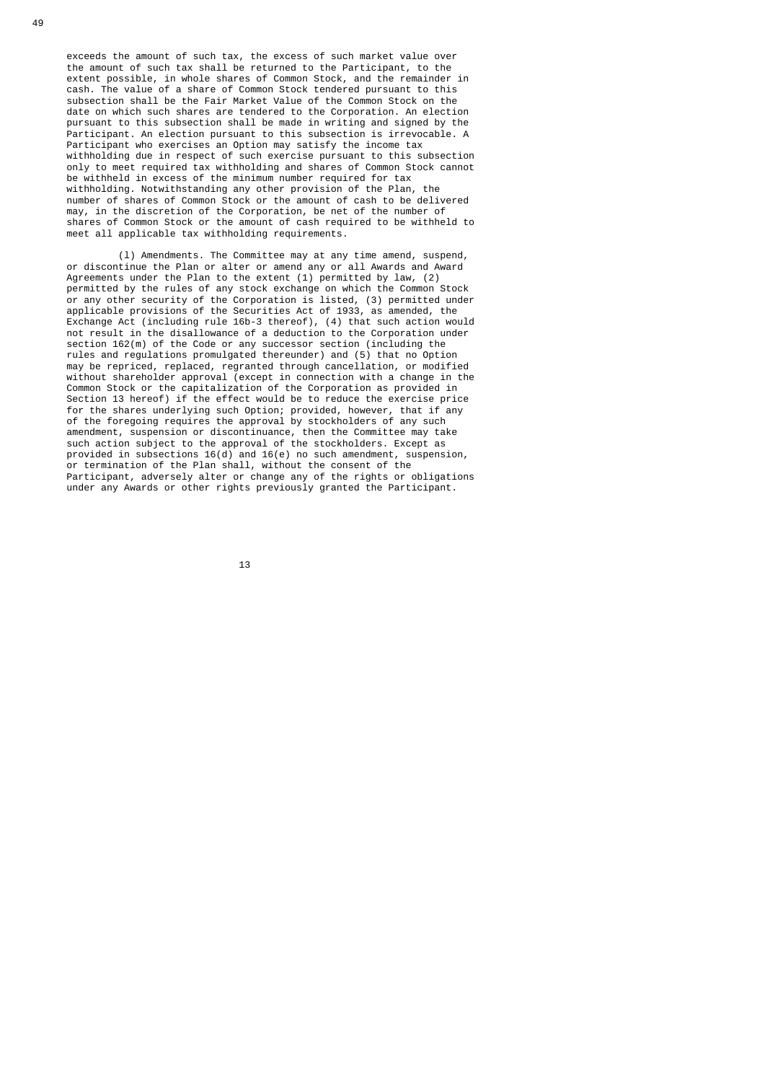exceeds the amount of such tax, the excess of such market value over the amount of such tax shall be returned to the Participant, to the extent possible, in whole shares of Common Stock, and the remainder in cash. The value of a share of Common Stock tendered pursuant to this subsection shall be the Fair Market Value of the Common Stock on the date on which such shares are tendered to the Corporation. An election pursuant to this subsection shall be made in writing and signed by the Participant. An election pursuant to this subsection is irrevocable. A Participant who exercises an Option may satisfy the income tax withholding due in respect of such exercise pursuant to this subsection only to meet required tax withholding and shares of Common Stock cannot be withheld in excess of the minimum number required for tax withholding. Notwithstanding any other provision of the Plan, the number of shares of Common Stock or the amount of cash to be delivered may, in the discretion of the Corporation, be net of the number of shares of Common Stock or the amount of cash required to be withheld to meet all applicable tax withholding requirements.

 (l) Amendments. The Committee may at any time amend, suspend, or discontinue the Plan or alter or amend any or all Awards and Award Agreements under the Plan to the extent (1) permitted by law, (2) permitted by the rules of any stock exchange on which the Common Stock or any other security of the Corporation is listed, (3) permitted under applicable provisions of the Securities Act of 1933, as amended, the Exchange Act (including rule 16b-3 thereof), (4) that such action would not result in the disallowance of a deduction to the Corporation under section 162(m) of the Code or any successor section (including the rules and regulations promulgated thereunder) and (5) that no Option may be repriced, replaced, regranted through cancellation, or modified without shareholder approval (except in connection with a change in the Common Stock or the capitalization of the Corporation as provided in Section 13 hereof) if the effect would be to reduce the exercise price for the shares underlying such Option; provided, however, that if any of the foregoing requires the approval by stockholders of any such amendment, suspension or discontinuance, then the Committee may take such action subject to the approval of the stockholders. Except as provided in subsections  $16(d)$  and  $16(e)$  no such amendment, suspension, or termination of the Plan shall, without the consent of the Participant, adversely alter or change any of the rights or obligations under any Awards or other rights previously granted the Participant.

13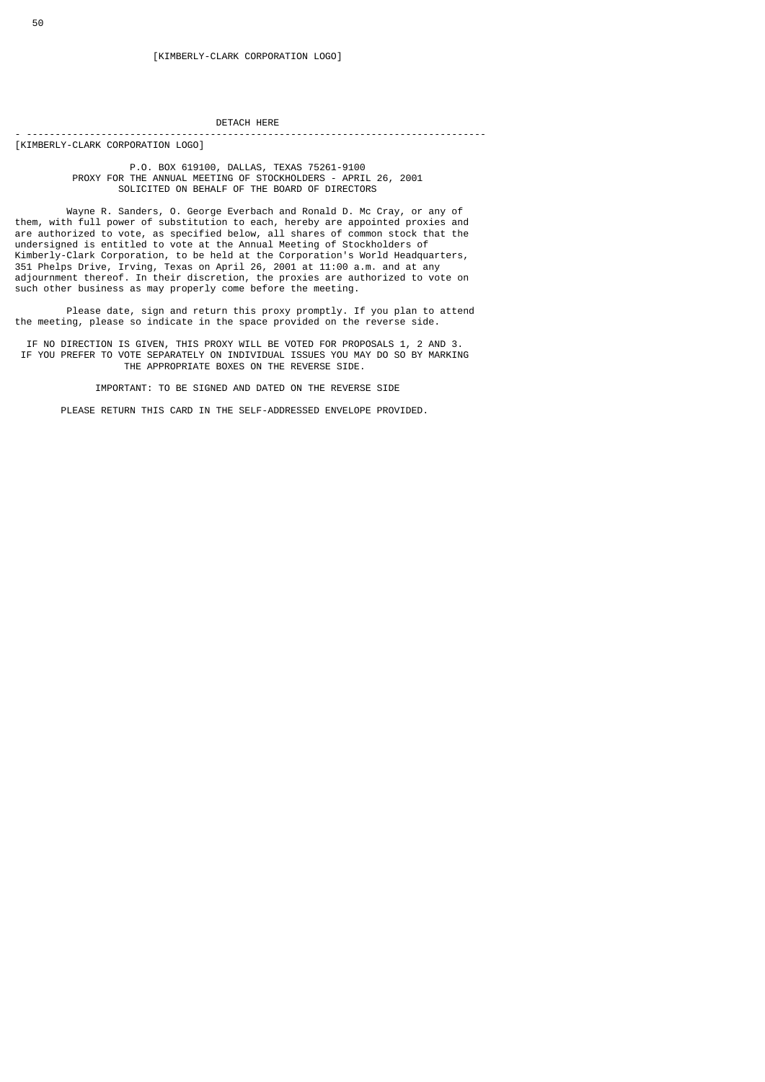# DETACH HERE

- --------------------------------------------------------------------------------

[KIMBERLY-CLARK CORPORATION LOGO]

#### P.O. BOX 619100, DALLAS, TEXAS 75261-9100 PROXY FOR THE ANNUAL MEETING OF STOCKHOLDERS - APRIL 26, 2001 SOLICITED ON BEHALF OF THE BOARD OF DIRECTORS

 Wayne R. Sanders, O. George Everbach and Ronald D. Mc Cray, or any of them, with full power of substitution to each, hereby are appointed proxies and are authorized to vote, as specified below, all shares of common stock that the undersigned is entitled to vote at the Annual Meeting of Stockholders of Kimberly-Clark Corporation, to be held at the Corporation's World Headquarters, 351 Phelps Drive, Irving, Texas on April 26, 2001 at 11:00 a.m. and at any adjournment thereof. In their discretion, the proxies are authorized to vote on such other business as may properly come before the meeting.

 Please date, sign and return this proxy promptly. If you plan to attend the meeting, please so indicate in the space provided on the reverse side.

 IF NO DIRECTION IS GIVEN, THIS PROXY WILL BE VOTED FOR PROPOSALS 1, 2 AND 3. IF YOU PREFER TO VOTE SEPARATELY ON INDIVIDUAL ISSUES YOU MAY DO SO BY MARKING THE APPROPRIATE BOXES ON THE REVERSE SIDE.

IMPORTANT: TO BE SIGNED AND DATED ON THE REVERSE SIDE

PLEASE RETURN THIS CARD IN THE SELF-ADDRESSED ENVELOPE PROVIDED.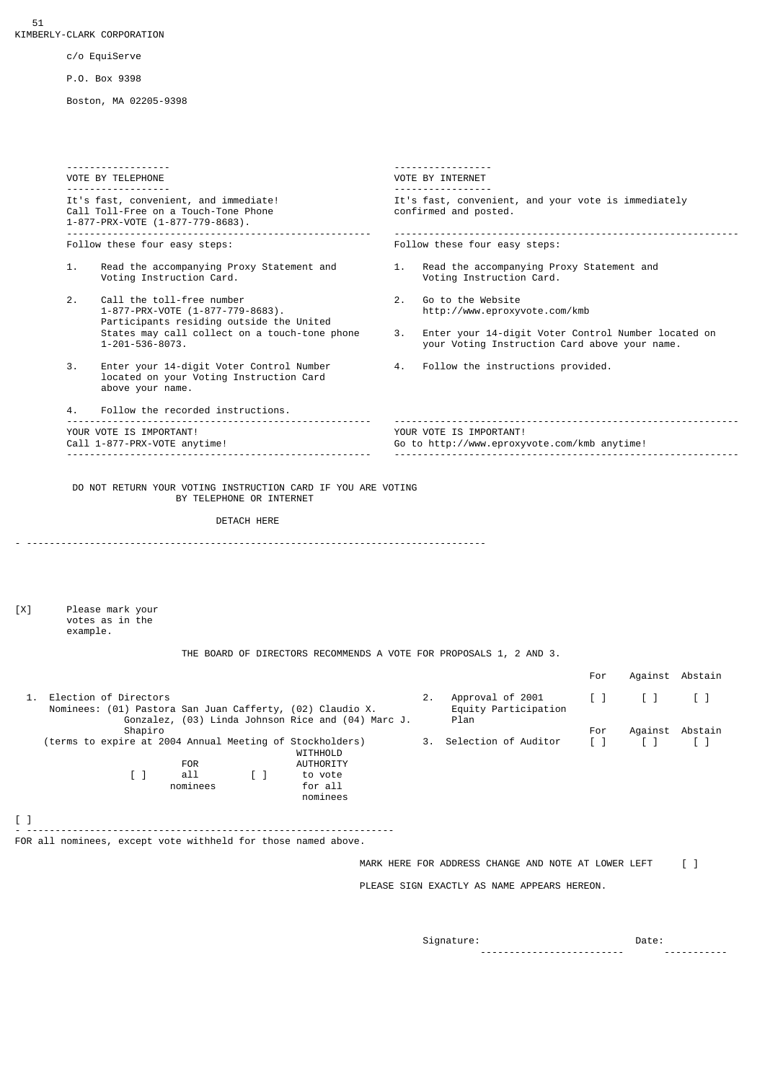[ ]

c/o EquiServe

P.O. Box 9398

Boston, MA 02205-9398

 ------------------ ----------------- VOTE BY TELEPHONE VOTE BY INTERNET ------------------<br>It's fast, convenient, and immediate! It's fast, convenient, and your vote is immediately Call Toll-Free on a Touch-Tone Phone example the confirmed and posted. 1-877-PRX-VOTE (1-877-779-8683). ----------------------------------------------------- ------------------------------------------------------------ Follow these four easy steps: 1. Read the accompanying Proxy Statement and 1. Read the accompanying Proxy Statement and Voting Instruction Card. Voting Instruction Card. 2. Call the toll-free number<br>1-877-PRX-VOTE (1-877-779-8683).  $1-877-779-8683$  $1-877-PRX-VOTE (1-877-779-8683)$ . Participants residing outside the United<br>States may call collect on a touch-tone phone States may call collect on a touch-tone phone 3. Enter your 14-digit Voter Control Number located on<br>1-201-536-8073. vour Voting Instruction Card above your name. your Voting Instruction Card above your name. 3. Enter your 14-digit Voter Control Number 4. Follow the instructions provided. located on your Voting Instruction Card above your name. 4. Follow the recorded instructions. ----------------------------------------------------- ------------------------------------------------------------ YOUR VOTE IS IMPORTANT!<br>Call 1-877-PRX-VOTE anytime!  $\begin{array}{ccc} 0 & 0 & 0 & 0 \\ 0 & 0 & 0 & 0 \\ 0 & 0 & 0 & 0 \end{array}$  Your VOTE IS IMPORTANT! Go to http://www.eproxyvote.com/kmb anytime! ----------------------------------------------------- ------------------------------------------------------------ DO NOT RETURN YOUR VOTING INSTRUCTION CARD IF YOU ARE VOTING BY TELEPHONE OR INTERNET DETACH HERE - -------------------------------------------------------------------------------- [X] Please mark your votes as in the example. THE BOARD OF DIRECTORS RECOMMENDS A VOTE FOR PROPOSALS 1, 2 AND 3. For Against Abstain 1. Election of Directors 2. Approval of 2001 [ ] [ ] [ ] Nominees: (01) Pastora San Juan Cafferty, (02) Claudio X. Equity Participation Gonzalez, (03) Linda Johnson Rice and (04) Marc J. Plan Shapiro<br>re at 2004 Annual Meeting of Stockholders) 3. Selection of Auditor [] [] [] (terms to expire at 2004 Annual Meeting of Stockholders) WITHHOLD<br>FOR AUTHORTTY **AUTHORITY** [ ] all [ ] to vote<br>nominees for all nominees nominees - ---------------------------------------------------------------- FOR all nominees, except vote withheld for those named above. MARK HERE FOR ADDRESS CHANGE AND NOTE AT LOWER LEFT [ ] PLEASE SIGN EXACTLY AS NAME APPEARS HEREON.  ${\tt Signature:} \quad$  Date: ------------------------- -----------